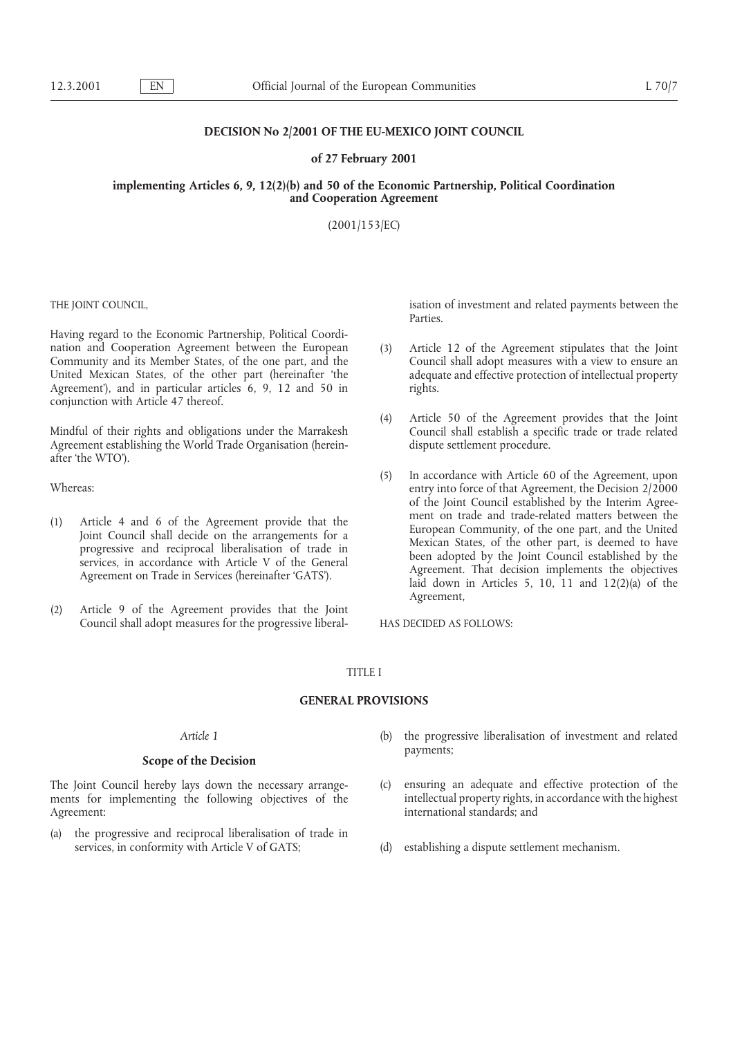# **DECISION No 2/2001 OF THE EU-MEXICO JOINT COUNCIL**

### **of 27 February 2001**

# **implementing Articles 6, 9, 12(2)(b) and 50 of the Economic Partnership, Political Coordination and Cooperation Agreement**

(2001/153/EC)

Having regard to the Economic Partnership, Political Coordination and Cooperation Agreement between the European (3) Article 12 of the Agreement stipulates that the Joint United Mexican States, of the other part (hereinafter 'the adequate Agreement'), and in particular articles 6, 9, 12 and 50 in Agreement'), and in particular articles  $6, 9, 12$  and  $50$  in conjunction with Article 47 thereof.

Agreement establishing the World Trade Organisation (herein- dispute settlement procedure. after 'the WTO').

- 
- (2) Article 9 of the Agreement provides that the Joint Council shall adopt measures for the progressive liberal- HAS DECIDED AS FOLLOWS:

THE JOINT COUNCIL, THE JOINT COUNCIL, Parties.

- Community and its Member States, of the one part, and the Council shall adopt measures with a view to ensure an United Mexican States, of the other part (hereinafter 'the adequate and effective protection of intellectual p
- (4) Article 50 of the Agreement provides that the Joint Mindful of their rights and obligations under the Marrakesh Council shall establish a specific trade or trade related
- (5) In accordance with Article 60 of the Agreement, upon Whereas: entry into force of that Agreement, the Decision 2/2000 of the Joint Council established by the Interim Agree-(1) Article 4 and 6 of the Agreement provide that the ment on trade and trade-related matters between the Joint Council shall decide on the arrangements for a<br>progressive and reciprocal liberalisation of trade in services, Agreement,

# TITLE I

# **GENERAL PROVISIONS**

# **Scope of the Decision**

The Joint Council hereby lays down the necessary arrange- (c) ensuring an adequate and effective protection of the ments for implementing the following objectives of the intellectual property rights, in accordance with the highest Agreement: international standards; and

- (a) the progressive and reciprocal liberalisation of trade in services, in conformity with Article V of GATS;
- *Article 1* (b) the progressive liberalisation of investment and related payments:
	-
	- (d) establishing a dispute settlement mechanism.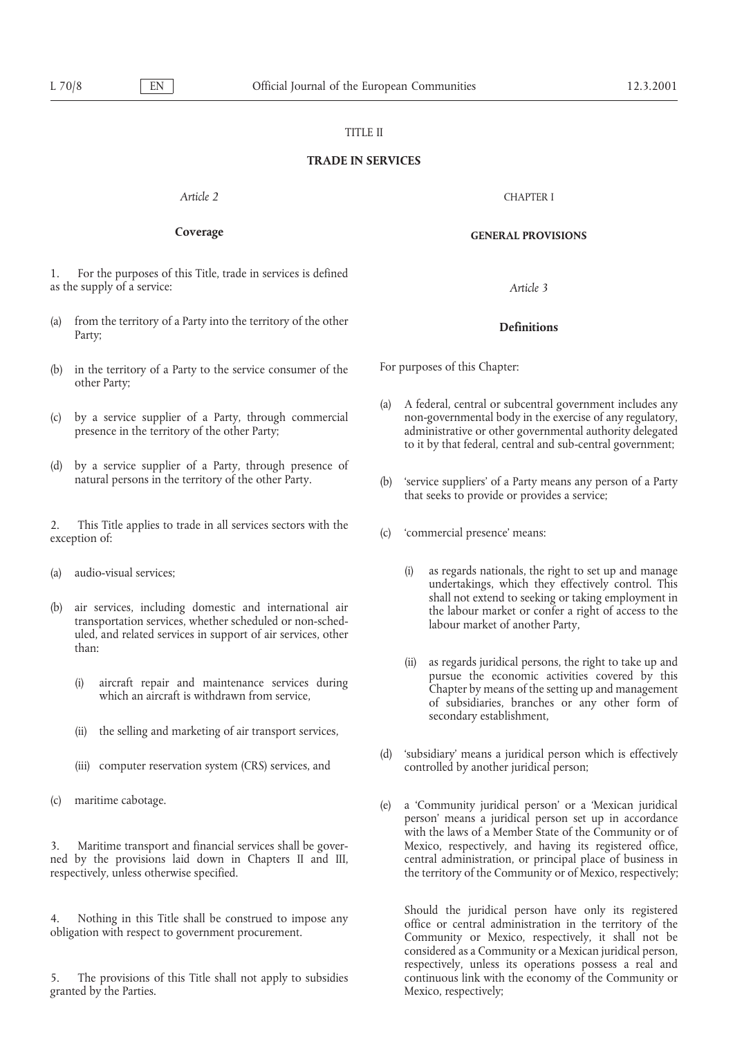## TITLE II

# **TRADE IN SERVICES**

*Article 2* CHAPTER I

1. For the purposes of this Title, trade in services is defined as the supply of a service: *Article 3*

- (a) from the territory of a Party into the territory of the other **Definitions** Party;
- (b) in the territory of a Party to the service consumer of the For purposes of this Chapter: other Party;
- 
- (d) by a service supplier of a Party, through presence of natural persons in the territory of the other Party. (b) 'service suppliers' of a Party means any person of a Party

2. This Title applies to trade in all services sectors with the (c) 'commercial presence' means: exception of:

- 
- (b) air services, including domestic and international air strand to seeking or taking employment in the labour market or confer a right of access to the labour market or confer a right of access to the labour market of an than:
	-
	- (ii) the selling and marketing of air transport services,
	-
- 

ned by the provisions laid down in Chapters II and III, central administration, or principal place of business in respectively, unless otherwise specified. the territory of the Community or of Mexico, respectively;

granted by the Parties. The Parties of the Parties of the Parties of the Parties of the Parties of the Parties of the Parties of the Parties of the Parties of the Parties of the Parties of the Parties of the Parties of the

# **Coverage GENERAL PROVISIONS**

- (a) A federal, central or subcentral government includes any (c) by a service supplier of a Party, through commercial non-governmental body in the exercise of any regulatory, presence in the territory of the other Party; administrative or other governmental authority delegated to it by that federal, central and sub-central government;
	- that seeks to provide or provides a service;
	-
- (a) audio-visual services; (i) as regards nationals, the right to set up and manage undertakings, which they effectively control. This
	- (ii) as regards juridical persons, the right to take up and (i) aircraft repair and maintenance services during<br>which an aircraft is withdrawn from service,<br>of subsidiaries, branches or any other form of secondary establishment,
	- (iii) computer reservation system (CRS) services, and (d) 'subsidiary' means a juridical person which is effectively<br>controlled by another juridical person;
- (c) maritime cabotage. (e) a 'Community juridical person' or a 'Mexican juridical person' means a juridical person set up in accordance with the laws of a Member State of the Community or of 3. Maritime transport and financial services shall be gover- Mexico, respectively, and having its registered office,

4. Nothing in this Title shall be construed to impose any should the juridical person have only its registered<br>obligation with respect to government procurement. Community or Mexico, respectively, it shall not be considered as a Community or a Mexican juridical person, respectively, unless its operations possess a real and 5. The provisions of this Title shall not apply to subsidies continuous link with the economy of the Community or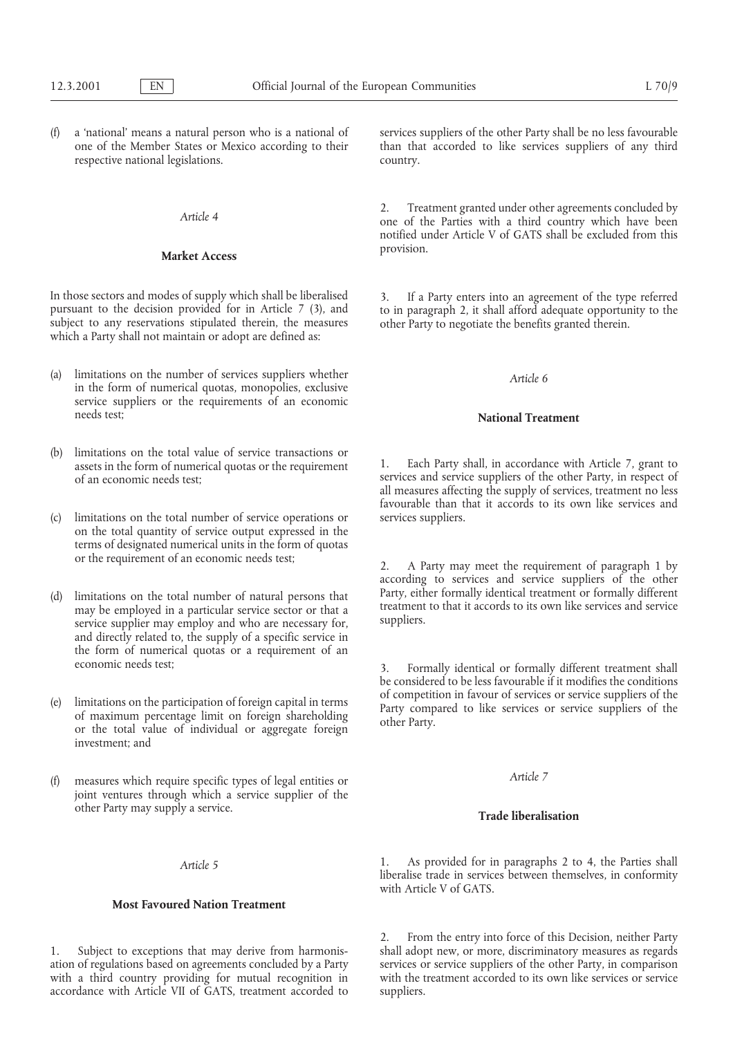(f) a 'national' means a natural person who is a national of services suppliers of the other Party shall be no less favourable respective national legislations.  $\sim$  country.

In those sectors and modes of supply which shall be liberalised 3. If a Party enters into an agreement of the type referred pursuant to the decision provided for in Article 7 (3), and to in paragraph 2, it shall afford ade subject to any reservations stipulated therein, the measures other Party to negotiate the benefits granted therein. which a Party shall not maintain or adopt are defined as:

- (a) limitations on the number of services suppliers whether *Article 6* in the form of numerical quotas, monopolies, exclusive service suppliers or the requirements of an economic needs test; **National Treatment**
- (b) limitations on the total value of service transactions or assets in the form of numerical quotas or the requirement 1. Each Party shall, in accordance with Article 7, grant to
- (c) limitations on the total number of service operations or services suppliers. on the total quantity of service output expressed in the terms of designated numerical units in the form of quotas or the requirement of an economic needs test;
- may be employed in a particular service sector or that a treatment  $\frac{1}{1}$  receives suppliers. service supplier may employ and who are necessary for, and directly related to, the supply of a specific service in the form of numerical quotas or a requirement of an economic needs test;  $\overline{\hspace{1.5cm}}$  3. Formally identical or formally different treatment shall
- (e) limitations on the participation of foreign capital in terms<br>of maximum percentage limit on foreign shareholding<br>or the total value of individual or aggregate foreign<br>or the Party. investment; and
- *Article 7* (f) measures which require specific types of legal entities or joint ventures through which a service supplier of the other Party may supply a service. **Trade liberalisation**

## **Most Favoured Nation Treatment**

ation of regulations based on agreements concluded by a Party accordance with Article VII of GATS, treatment accorded to suppliers.

than that accorded to like services suppliers of any third

2. Treatment granted under other agreements concluded by *Article 4* one of the Parties with a third country which have been notified under Article V of GATS shall be excluded from this provision. **Market Access**

to in paragraph 2, it shall afford adequate opportunity to the

of an economic needs test;<br>of an economic needs test;<br> $\frac{1}{2}$  services and service suppliers of the other Party, in respect of all measures affecting the supply of services, treatment no less favourable than that it accords to its own like services and

2. A Party may meet the requirement of paragraph 1 by according to services and service suppliers of the other Party, either formally identical treatment or formally different (d) limitations on the total number of natural persons that Party, either formally identical treatment or formally different may be employed in a particular service sector or that a creatment to that it accords to its own

be considered to be less favourable if it modifies the conditions<br>of competition in favour of services or service suppliers of the

*Article 5* 1. As provided for in paragraphs 2 to 4, the Parties shall liberalise trade in services between themselves, in conformity with Article V of GATS.

2. From the entry into force of this Decision, neither Party 1. Subject to exceptions that may derive from harmonis-<br>ation of regulations based on agreements concluded by a Party services or service suppliers of the other Party, in comparison with a third country providing for mutual recognition in with the treatment accorded to its own like services or service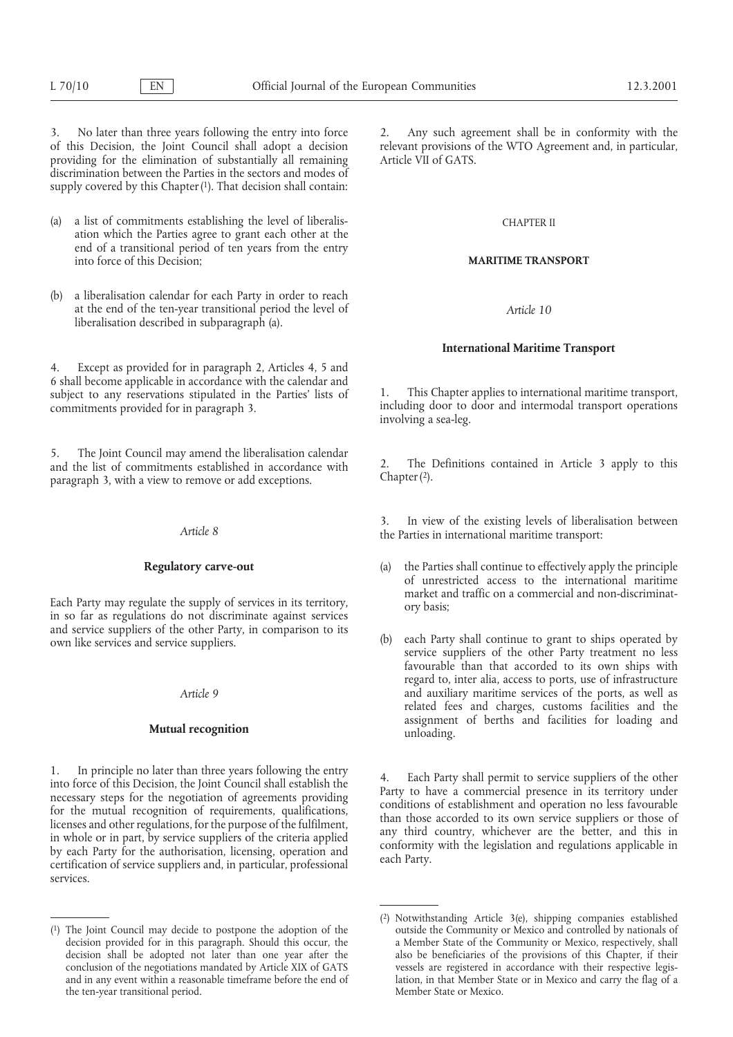3. No later than three years following the entry into force 2. Any such agreement shall be in conformity with the of this Decision, the Joint Council shall adopt a decision relevant provisions of the WTO Agreement and, in of this Decision, the Joint Council shall adopt a decision relevant provisions of providing for the elimination of substantially all remaining Article VII of GATS. providing for the elimination of substantially all remaining discrimination between the Parties in the sectors and modes of supply covered by this Chapter $(1)$ . That decision shall contain:

- (a) a list of commitments establishing the level of liberalis- CHAPTER II ation which the Parties agree to grant each other at the end of a transitional period of ten years from the entry into force of this Decision; **MARITIME TRANSPORT**
- (b) a liberalisation calendar for each Party in order to reach at the end of the ten-year transitional period the level of *Article 10* liberalisation described in subparagraph (a).

4. Except as provided for in paragraph 2, Articles 4, 5 and subject to any reservations stipulated in the Parties' lists of  $1.$  This Chapter applies to international maritime transport,

5. The Joint Council may amend the liberalisation calendar<br>and the list of commitments established in accordance with 2. The Definitions contained in Article 3 apply to this chapter (2). paragraph 3, with a view to remove or add exceptions.

Each Party may regulate the supply of services in its territory, in so far as regulations do not discriminate against services ory basis; and service suppliers of the other Party, in comparison to its

1. In principle no later than three years following the entry<br>
into force of this Decision, the Joint Council shall establish the<br>
necessary steps for the negotiation of agreements providing<br>
for the mutual recognition of services.

### **International Maritime Transport**

commitments provided for in paragraph 3. including door to door and intermodal transport operations involving a sea-leg.

3. In view of the existing levels of liberalisation between *Article 8* the Parties in international maritime transport:

- **Regulatory carve-out** (a) the Parties shall continue to effectively apply the principle of unrestricted access to the international maritime
- and service suppliers of the other Party, in comparison to its (b) each Party shall continue to grant to ships operated by service suppliers of the other Party treatment no less favourable than that accorded to its own ships with regard to, inter alia, access to ports, use of infrastructure *Article 9* and auxiliary maritime services of the ports, as well as related fees and charges, customs facilities and the assignment of berths and facilities for loading and **Mutual recognition** unloading.

decision shall be adopted not later than one year after the the ten-year transitional period.

<sup>(2)</sup> Notwithstanding Article 3(e), shipping companies established (1) The Joint Council may decide to postpone the adoption of the controlled by nationals of decision provided for in this paragraph. Should this occur, the decision provided for in this paragraph. Should this occur, the a decision provided for in this paragraph. Should this occur, the a Member State of the Community or Mexico, respectively, shall decision shall be adopted not later than one year after the also be beneficiaries of the provis conclusion of the negotiations mandated by Article XIX of GATS vessels are registered in accordance with their respective legislation, in that Member State or in Mexico and carry the flag of a<br>Member State or Mexico.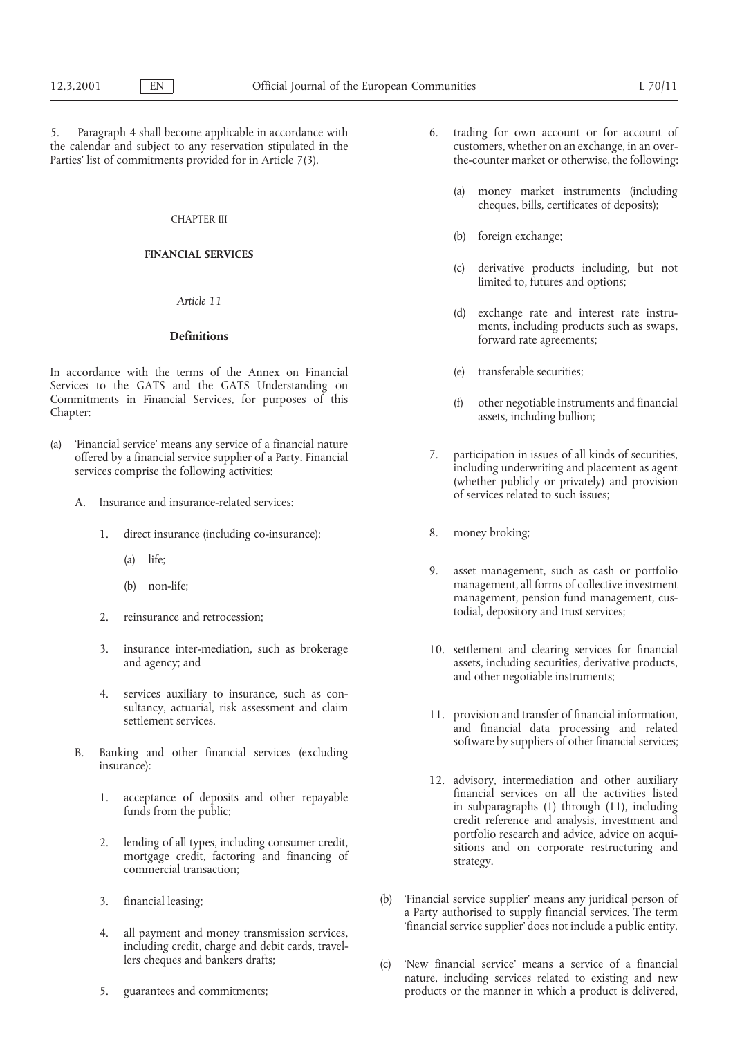5. Paragraph 4 shall become applicable in accordance with 6. trading for own account or for account of the calendar and subject to any reservation stipulated in the customers, whether on an exchange, in an overthe calendar and subject to any reservation stipulated in the customers, whether on an exchange, in an over-<br>Parties' list of commitments provided for in Article 7(3). Parties' list of commitments provided for in Article 7(3).

## CHAPTER III

# **FINANCIAL SERVICES**

*Article 11*

In accordance with the terms of the Annex on Financial (e) transferable securities; Services to the GATS and the GATS Understanding on Commitments in Financial Services, for purposes of this (f) other negotiable instruments and financial Chapter:<br>
Chapter:

- - A. Insurance and insurance-related services:
		- 1. direct insurance (including co-insurance): 8. money broking;
			-
			-
		-
		- 3. insurance inter-mediation, such as brokerage 10. settlement and clearing services for financial
		- 4. services auxiliary to insurance, such as con-
	- insurance):
		-
		- 2. lending of all types, including consumer credit,<br>
		mortgage credit, factoring and financing of sitions and on corporate restructuring and<br>
		commercial transaction;
		-
		- including credit, charge and debit cards, travel-
		-
- - (a) money market instruments (including cheques, bills, certificates of deposits);
	- (b) foreign exchange;
	- (c) derivative products including, but not limited to, futures and options;
- (d) exchange rate and interest rate instru-**Definitions Definitions Definitions Forward rate agreements**; **PERIMPLE ASSES FOR A FOREXALLE A** FORWARD **FOR A FOREXALLE A** FORWARD **FOR A FOREXALLE A** FORWARD **FOR A FOREXALLE A** FOR A FOREXALLE A FOREXALLE A FO
	-
	-
- (a) 'Financial service' means any service of a financial nature<br>offered by a financial service supplier of a Party. Financial and mature<br>services comprise the following activities:<br>the following activities:<br>the following a
	-
	- (a) life; 9. asset management, such as cash or portfolio (b) non-life; management, all forms of collective investment management, pension fund management, custodial, depository and trust services; 2. reinsurance and retrocession;
		- and agency; and  $\alpha$  assets, including securities, derivative products, and other negotiable instruments;
	- sultancy, actuarial, risk assessment and claim 11. provision and transfer of financial information, settlement services.<br>
	and financial data processing and related software by suppliers of other financial services; B. Banking and other financial services (excluding
		- 12. advisory, intermediation and other auxiliary 1. acceptance of deposits and other repayable funds from the public; in subparagraphs (1) through (11), including credit reference and analysis, investment and portfolio research and advice, advice on acqui-
		- 3. financial leasing; (b) 'Financial service supplier' means any juridical person of a Party authorised to supply financial services. The term 'financial service supplier' does not include a public entity. 4. all payment and money transmission services,
		- lers cheques and bankers drafts; (c) 'New financial service' means a service of a financial nature, including services related to existing and new 5. guarantees and commitments; products or the manner in which a product is delivered,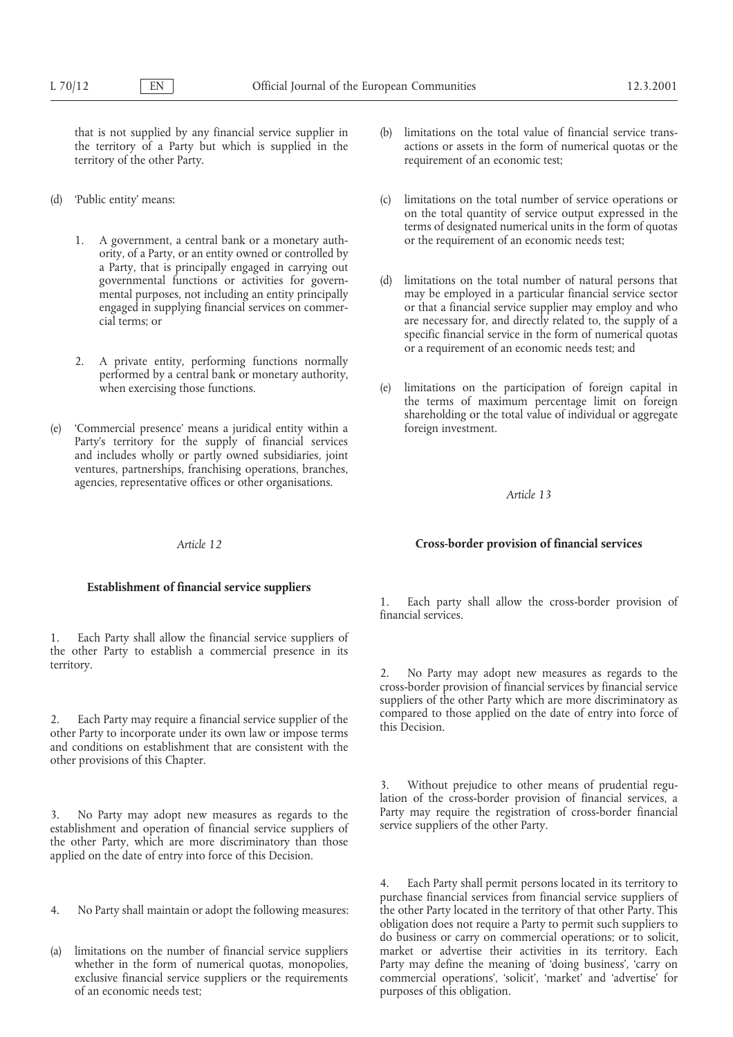territory of the other Party.

- - ority, of a Party, or an entity owned or controlled by a Party, that is principally engaged in carrying out mental purposes, not including an entity principally
	- 2. A private entity, performing functions normally performed by a central bank or monetary authority, when exercising those functions.
- (e) 'Commercial presence' means a juridical entity within a foreign investment. Party's territory for the supply of financial services and includes wholly or partly owned subsidiaries, joint ventures, partnerships, franchising operations, branches, agencies, representative offices or other organisations.

## **Establishment of financial service suppliers**

1. Each Party shall allow the financial service suppliers of the other Party to establish a commercial presence in its territory. 2. No Party may adopt new measures as regards to the

and conditions on establishment that are consistent with the other provisions of this Chapter.

establishment and operation of financial service suppliers of the other Party, which are more discriminatory than those applied on the date of entry into force of this Decision.

of an economic needs test; purposes of this obligation.

- that is not supplied by any financial service supplier in (b) limitations on the total value of financial service trans-<br>the territory of a Party but which is supplied in the actions or assets in the form of numerical quot actions or assets in the form of numerical quotas or the
- (d) 'Public entity' means: (c) limitations on the total number of service operations or on the total quantity of service output expressed in the terms of designated numerical units in the form of quotas 1. A government, a central bank or a monetary auth- or the requirement of an economic needs test;
	- (d) limitations on the total number of natural persons that may be emploved in a particular financial service sector engaged in supplying financial services on commer- or that a financial service supplier may employ and who cial terms; or are necessary for, and directly related to, the supply of a specific financial service in the form of numerical quotas or a requirement of an economic needs test; and
		- (e) limitations on the participation of foreign capital in the terms of maximum percentage limit on foreign shareholding or the total value of individual or aggregate

# *Article 13*

## *Article 12* **Cross-border provision of financial services**

1. Each party shall allow the cross-border provision of financial services.

cross-border provision of financial services by financial service suppliers of the other Party which are more discriminatory as 2. Each Party may require a financial service supplier of the compared to those applied on the date of entry into force of this Decision.

3. Without prejudice to other means of prudential regulation of the cross-border provision of financial services, a 3. No Party may adopt new measures as regards to the Party may require the registration of cross-border financial establishment and operation of financial service suppliers of service suppliers of the other Party.

4. Each Party shall permit persons located in its territory to purchase financial services from financial service suppliers of 4. No Party shall maintain or adopt the following measures: the other Party located in the territory of that other Party. This obligation does not require a Party to permit such suppliers to do business or carry on commercial operations; or to solicit, (a) limitations on the number of financial service suppliers market or advertise their activities in its territory. Each whether in the form of numerical quotas, monopolies, Party may define the meaning of 'doing business' Party may define the meaning of 'doing business', 'carry on exclusive financial service suppliers or the requirements commercial operations', 'solicit', 'market' and 'advertise' for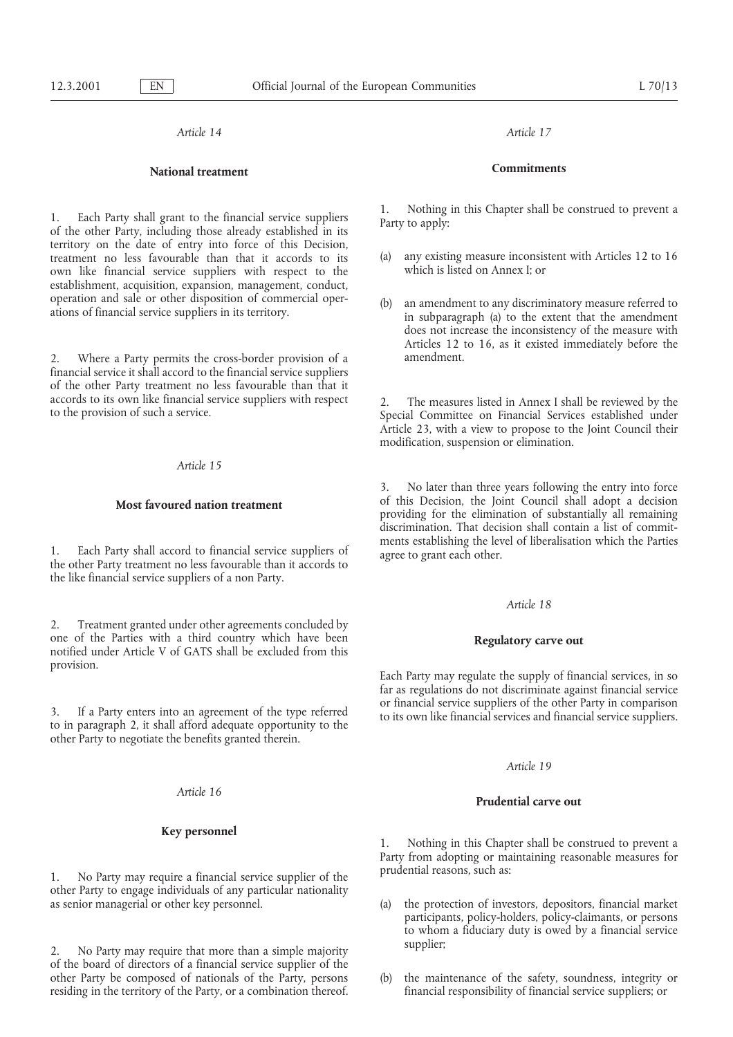# **National treatment Commitments**

1. Each Party shall grant to the financial service suppliers 1. Nothing in this Chapter shall be construed to prevent a of the other Party, including those already established in its territory on the date of entry into force of this Decision, treatment no less favourable than that it accords to its (a) any existing measure inconsistent with Articles 12 to 16 own like financial service sumpliers with respect to the which is listed on Annex I: or own like financial service suppliers with respect to the establishment, acquisition, expansion, management, conduct, operation and sale or other disposition of commercial oper-<br>
(b) an amendment to any discriminatory measure referred to<br>
in subparagraph (a) to the extent that the amendment

Where a Party permits the cross-border provision of a financial service it shall accord to the financial service suppliers of the other Party treatment no less favourable than that it accords to its own like financial service suppliers with respect accords to its own like financial service suppliers with respect 2. The measures listed in Annex I shall be reviewed by the to the provision of such a service. Special Committee on Financial Services established under

## *Article 15*

1. Each Party shall accord to financial service suppliers of agree to grant each other.<br>the other Party treatment no less favourable than it accords to the like financial service suppliers of a non Party.

2. Treatment granted under other agreements concluded by<br>one of the Parties with a third country which have been one of the Parties with a third country which have been **Regulatory carve out** notified under Article V of GATS shall be excluded from this provision. Each Party may regulate the supply of financial services, in so

other Party to negotiate the benefits granted therein.

## *Article 16*

prudential reasons, such as: 1. No Party may require a financial service supplier of the other Party to engage individuals of any particular nationality

supplier; 2. No Party may require that more than a simple majority of the board of directors of a financial service supplier of the other Party be composed of nationals of the Party, persons (b) the maintenance of the safety, soundness, integrity or residing in the territory of the Party, or a combination thereof. financial responsibility of financial service suppliers; or

*Article 14 Article 17*

- 
- does not increase the inconsistency of the measure with Articles 12 to 16, as it existed immediately before the

Article 23, with a view to propose to the Joint Council their modification, suspension or elimination.

3. No later than three years following the entry into force **Most favoured nation treatment** of this Decision, the Joint Council shall adopt a decision providing for the elimination of substantially all remaining discrimination. That decision shall contain a list of commit-<br>ments establishing the level of liberalisation which the Parties

## *Article 18*

far as regulations do not discriminate against financial service 3. If a Party enters into an agreement of the type referred<br>to its own like financial services and financial service suppliers.<br>to in paragraph 2, it shall afford adequate opportunity to the

### *Article 19*

## **Prudential carve out**

**Key personnel** 1. Nothing in this Chapter shall be construed to prevent a set of the state of the Mothing in this Chapter shall be construed to prevent a Party from adopting or maintaining reasonable measures for

- (a) the protection of investors, depositors, financial market participants, policy-holders, policy-claimants, or persons to whom a fiduciary duty is owed by a financial service
-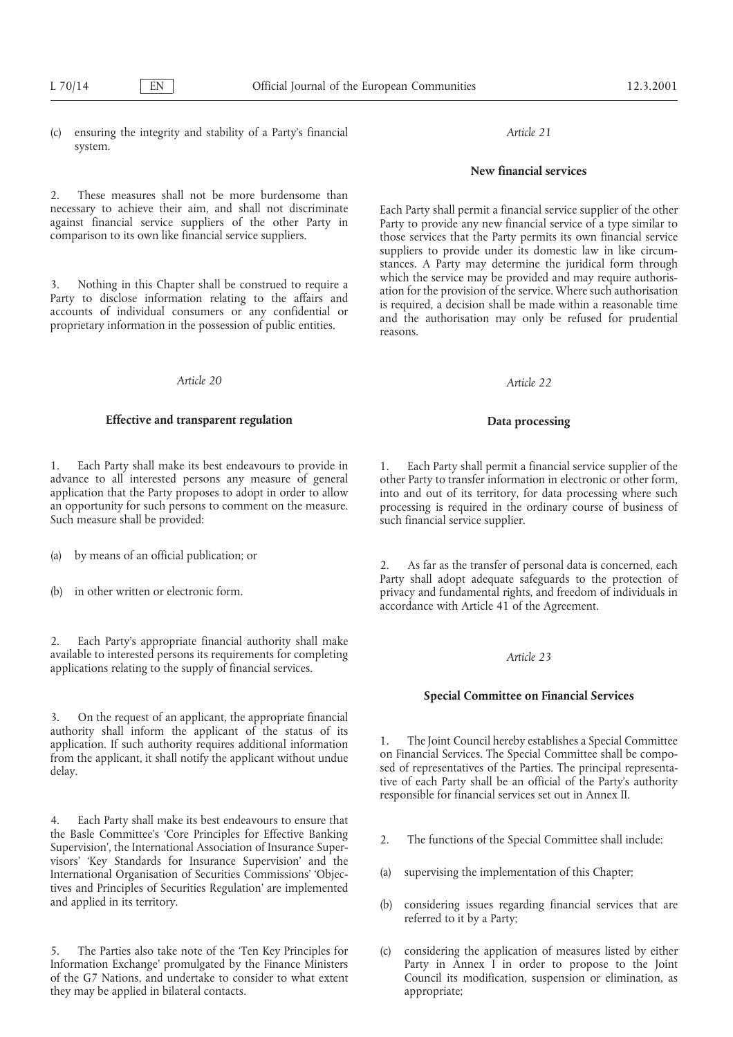(c) ensuring the integrity and stability of a Party's financial *Article 21* system.

2. These measures shall not be more burdensome than<br>necessary to achieve their aim, and shall not discriminate necessary to achieve their aim, and shall not discriminate<br>against financial service suppliers of the other Party in Farty to provide any new financial service supplier of the other<br>comparison to its own like financial ser

# **Effective and transparent regulation Data processing**

advance to all interested persons any measure of general other Party to transfer information in electronic or other form, application that the Party proposes to adopt in order to allow into and out of its territory, for da application that the Party proposes to adopt in order to allow into and out of its territory, for data processing where such an opportunity for such persons to comment on the measure. processing is required in the ordinary an opportunity for such persons to comment on the measure. processing is required in the ordinary course of business of such measure shall be provided:<br>Such measure shall be provided:

2. Each Party's appropriate financial authority shall make available to interested persons its requirements for completing *Article 23* applications relating to the supply of financial services.

3. On the request of an applicant, the appropriate financial

4. Each Party shall make its best endeavours to ensure that the Basic Committee's Core Principles for Effective Banking<br>
Supervision', the International Association of Insurance Super-<br>
visors' 'Key Standards for Insurance Supervision' and the International Organisation of Securities Commissions' 'Objec- (a) supervising the implementation of this Chapter; tives and Principles of Securities Regulation' are implemented and applied in its territory. (b) considering issues regarding financial services that are

of the G7 Nations, and undertake to consider to what extent they may be applied in bilateral contacts.

# **New financial services**

those services that the Party permits its own financial service suppliers to provide under its domestic law in like circumstances. A Party may determine the juridical form through which the service may be provided and may require authoris-3. Nothing in this Chapter shall be construed to require a<br>Party to disclose information relating to the affairs and<br>accounts of individual consumers or any confidential or<br>proprietary information in the possession of publ

# *Article 20 Article 22*

1. Each Party shall make its best endeavours to provide in 1. Each Party shall permit a financial service supplier of the such financial service supplier.

(a) by means of an official publication; or 2. As far as the transfer of personal data is concerned, each Party shall adopt adequate safeguards to the protection of (b) in other written or electronic form. privacy and fundamental rights, and freedom of individuals in accordance with Article 41 of the Agreement.

## **Special Committee on Financial Services**

application. If such authority requires additional information<br>from the applicant, it shall notify the applicant without undue<br>delay.<br>delay.<br>delay.<br>delay. responsible for financial services set out in Annex II.

- 
- 
- referred to it by a Party;
- 5. The Parties also take note of the 'Ten Key Principles for (c) considering the application of measures listed by either Information Exchange' promulgated by the Finance Ministers Party in Annex I in order to propose to t Information Exchange' promulgated by the Finance Ministers Party in Annex I in order to propose to the Joint of the G7 Nations, and undertake to consider to what extent Council its modification, suspension or elimination,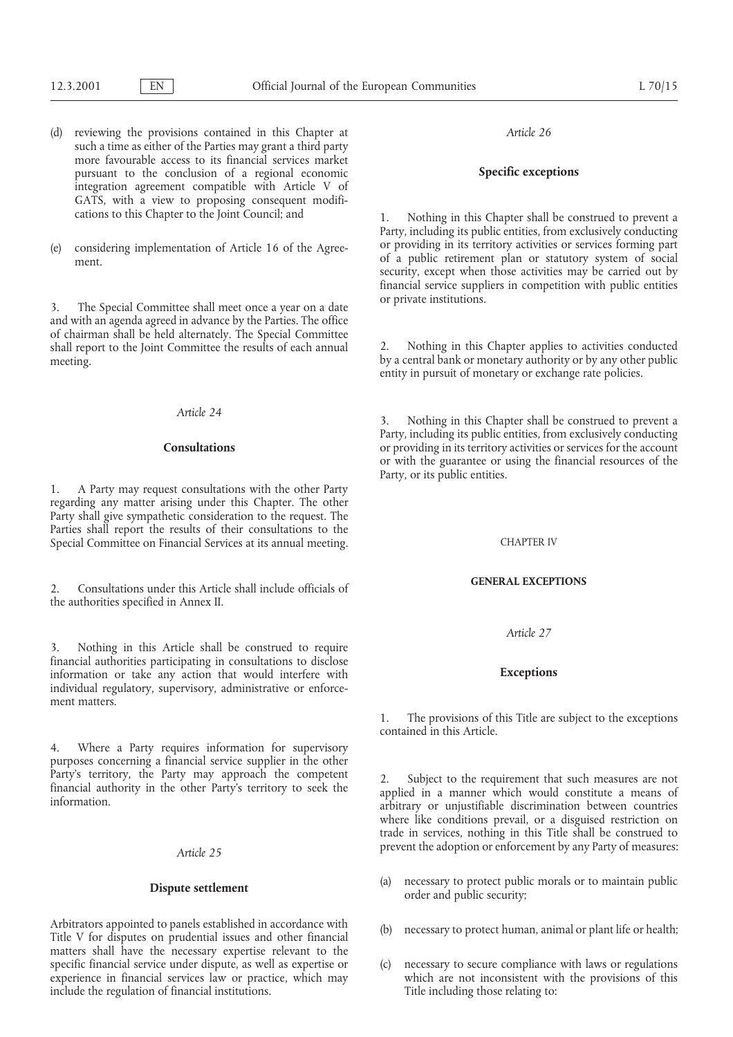- (d) reviewing the provisions contained in this Chapter at *Article 26* such a time as either of the Parties may grant a third party more favourable access to its financial services market pursuant to the conclusion of a regional economic **Specific exceptions** integration agreement compatible with Article V of GATS, with a view to proposing consequent modifications to this Chapter to the Joint Council; and 1. Nothing in this Chapter shall be construed to prevent a
- 

3. The Special Committee shall meet once a year on a date and with an agenda agreed in advance by the Parties. The office of chairman shall be held alternately. The Special Committee shall report to the Joint Committee the results of each annual 2. Nothing in this Chapter applies to activities conducted

1. A Party may request consultations with the other Party regarding any matter arising under this Chapter. The other Party shall give sympathetic consideration to the request. The Parties shall report the results of their consultations to the Special Committee on Financial Services at its annual meeting. The CHAPTER IV

**GENERAL EXCEPTIONS** 2. Consultations under this Article shall include officials of the authorities specified in Annex II.

3. Nothing in this Article shall be construed to require financial authorities participating in consultations to disclose information or take any action that would interfere with **Exceptions** individual regulatory, supervisory, administrative or enforcement matters.

4. Where a Party requires information for supervisory purposes concerning a financial service supplier in the other<br>Party's territory, the Party may approach the competent

Arbitrators appointed to panels established in accordance with (b) necessary to protect human, animal or plant life or health;<br>Title V for disputes on prudential issues and other financial (b) necessary to protect human, a matters shall have the necessary expertise relevant to the specific financial service under dispute, as well as expertise or (c) necessary to secure compliance with laws or regulations experience in financial services law or practice, which may which are not inconsistent with the provisions of this include the regulation of financial institutions. Title including those relating to:

Party, including its public entities, from exclusively conducting or providing in its territory activities or services forming part (e) considering implementation of Article 16 of the Agreement. <sup>o</sup> 1 security, except when those activities may be carried out by financial service suppliers in competition with public entities

meeting. **by a central bank or monetary authority or by any other public** entity in pursuit of monetary or exchange rate policies.

> *Article 24* 3. Nothing in this Chapter shall be construed to prevent a Party, including its public entities, from exclusively conducting **Consultations** or providing in its territory activities or services for the account or with the guarantee or using the financial resources of the Party, or its public entities.

## *Article 27*

1. The provisions of this Title are subject to the exceptions contained in this Article.

Party's territory, the Party may approach the competent<br>financial authority in the other Party's territory to seek the<br>information.<br>arbitrary or unjustifiable discrimination between countries where like conditions prevail, or a disguised restriction on trade in services, nothing in this Title shall be construed to prevent the adoption or enforcement by any Party of measures: *Article 25*

- **Dispute settlement** (a) necessary to protect public morals or to maintain public order and public security;
	-
	-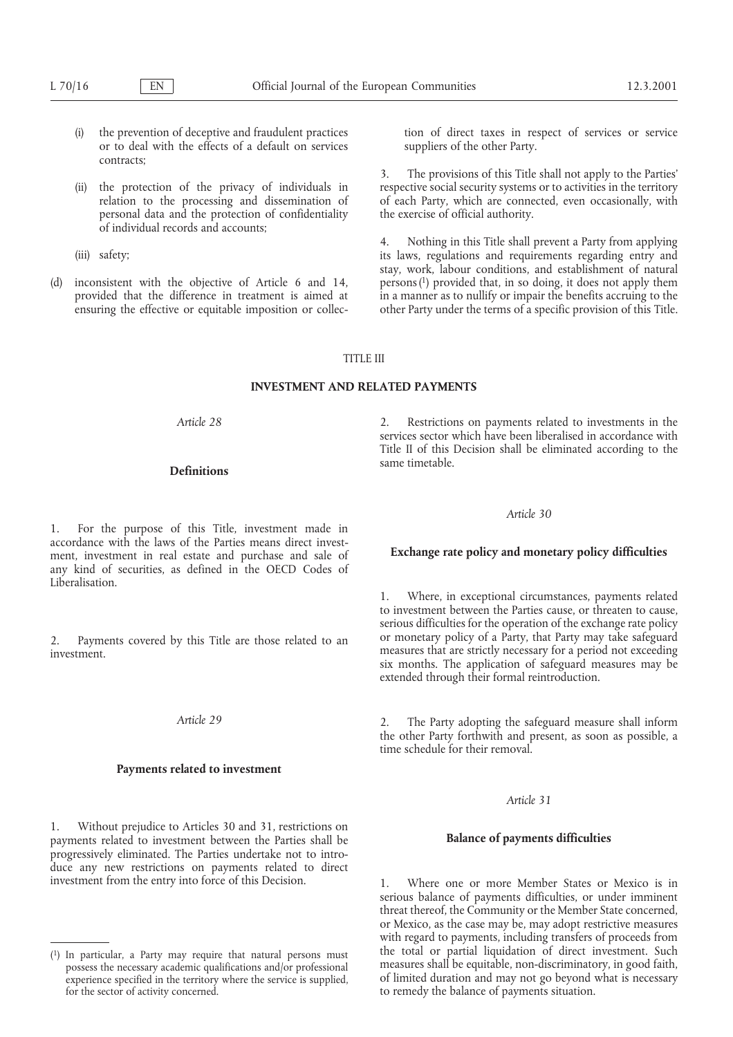- or to deal with the effects of a default on services contracts;
- personal data and the protection of confidentiality the exercise of official authority. of individual records and accounts;
- 
- 

(i) the prevention of deceptive and fraudulent practices tion of direct taxes in respect of services or service or to deal with the effects of a default on services suppliers of the other Party.

3. The provisions of this Title shall not apply to the Parties' (ii) the protection of the privacy of individuals in respective social security systems or to activities in the territory relation to the processing and dissemination of of each Party, which are connected, even occasionall of each Party, which are connected, even occasionally, with

4. Nothing in this Title shall prevent a Party from applying (iii) safety; its laws, regulations and requirements regarding entry and stay, work, labour conditions, and establishment of natural (d) inconsistent with the objective of Article 6 and 14,  $p$ ersons(1) provided that, in so doing, it does not apply them provided that the difference in treatment is aimed at  $p$  in a manner as to nullify or impair the be in a manner as to nullify or impair the benefits accruing to the ensuring the effective or equitable imposition or collec- other Party under the terms of a specific provision of this Title.

# TITLE III

# **INVESTMENT AND RELATED PAYMENTS**

1. For the purpose of this Title, investment made in accordance with the laws of the Parties means direct investment, investment in real estate and purchase and sale of **Exchange rate policy and monetary policy difficulties** any kind of securities, as defined in the OECD Codes of Liberalisation.

investment.

# **Payments related to investment**

1. Without prejudice to Articles 30 and 31, restrictions on payments related to investment between the Parties shall be **Balance of payments difficulties** progressively eliminated. The Parties undertake not to introduce any new restrictions on payments related to direct investment from the entry into force of this Decision.

*Article 28* 2. Restrictions on payments related to investments in the services sector which have been liberalised in accordance with Title II of this Decision shall be eliminated according to the same timetable. **Definitions**

### *Article 30*

1. Where, in exceptional circumstances, payments related to investment between the Parties cause, or threaten to cause, serious difficulties for the operation of the exchange rate policy 2. Payments covered by this Title are those related to an or monetary policy of a Party, that Party may take safeguard six months. The application of safeguard measures may be extended through their formal reintroduction.

> *Article 29* 2. The Party adopting the safeguard measure shall inform the other Party forthwith and present, as soon as possible, a time schedule for their removal.

## *Article 31*

1. Where one or more Member States or Mexico is in serious balance of payments difficulties, or under imminent threat thereof, the Community or the Member State concerned, or Mexico, as the case may be, may adopt restrictive measures with regard to payments, including transfers of proceeds from<br>the total or partial liquidation of direct investment. Such provides the necessary academic qualifications and/or professional measures shall be equitable, non-discriminatory, in good faith, possess the necessary academic qualifications and/or professional experience specified in t to remedy the balance of payments situation.

 $(1)$  In particular, a Party may require that natural persons must experience specified in the territory where the service is supplied, for the sector of activity concerned.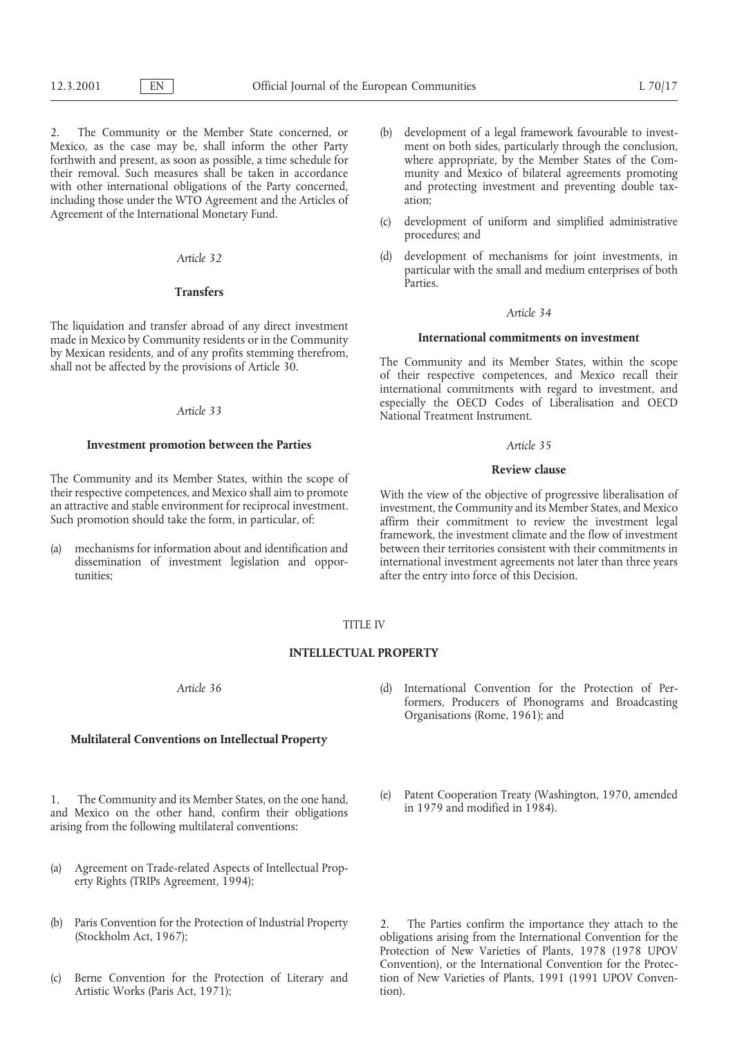2. The Community or the Member State concerned, or (b) development of a legal framework favourable to invest-Mexico, as the case may be, shall inform the other Party forthwith and present, as soon as possible, a time schedule for their removal. Such measures shall be taken in accordance munity and Mexico of bilateral agreements promoting with other international obligations of the Party concerned, and protecting investment and preventing double tax with other international obligations of the Party concerned, including those under the WTO Agreement and the Articles of ation;<br>Agreement of the International Monetary Fund.

The liquidation and transfer abroad of any direct investment made in Mexico by Community residents or in the Community **International commitments on investment**<br>by Mexican residents, and of any profits stemming therefrom,

### **Investment promotion between the Parties** *Article 35*

**Review clause**<br>The Community and its Member States, within the scope of<br>their respective competences, and Mexico shall aim to promote With the view of the objective of prog their respective competences, and Mexico shall aim to promote With the view of the objective of progressive liberalisation of an attractive and stable environment for reciprocal investment.<br>Such promotion should take the f

tunities; after the entry into force of this Decision.

- forthwith and present as a time solution, where appropriate, by the Member States of the Com-<br>munity and Mexico of bilateral agreements promoting
- (c) development of uniform and simplified administrative procedures; and
- *Article 32* (d) development of mechanisms for joint investments, in particular with the small and medium enterprises of both Parties. **Transfers**

## *Article 34*

shall not be affected by the provisions of Article 30.<br>The Community and its Member States, within the scope<br>of their respective competences, and Mexico recall their international commitments with regard to investment, and especially the OECD Codes of Liberalisation and OECD *Article 33* National Treatment Instrument.

framework, the investment climate and the flow of investment (a) mechanisms for information about and identification and between their territories consistent with their commitments in dissemination of investment legislation and oppor-<br>international investment agreements not later th international investment agreements not later than three years

# TITLE IV

# **INTELLECTUAL PROPERTY**

## **Multilateral Conventions on Intellectual Property**

arising from the following multilateral conventions:

- (a) Agreement on Trade-related Aspects of Intellectual Property Rights (TRIPs Agreement, 1994);
- (b) Paris Convention for the Protection of Industrial Property 2. The Parties confirm the importance they attach to the (Stockholm Act, 1967);<br>
obligations arising from the International Convention for the
- Artistic Works (Paris Act, 1971); tion).
- *Article 36* (d) International Convention for the Protection of Performers, Producers of Phonograms and Broadcasting Organisations (Rome, 1961); and
- 1. The Community and its Member States, on the one hand, (e) Patent Cooperation Treaty (Washington, 1970, amended and Mexico on the other hand, confirm their obligations in 1979 and modified in 1984).

 $obli$  atising from the International Convention for the Protection of New Varieties of Plants, 1978 (1978 UPOV Convention), or the International Convention for the Protec- (c) Berne Convention for the Protection of Literary and tion of New Varieties of Plants, 1991 (1991 UPOV Conven-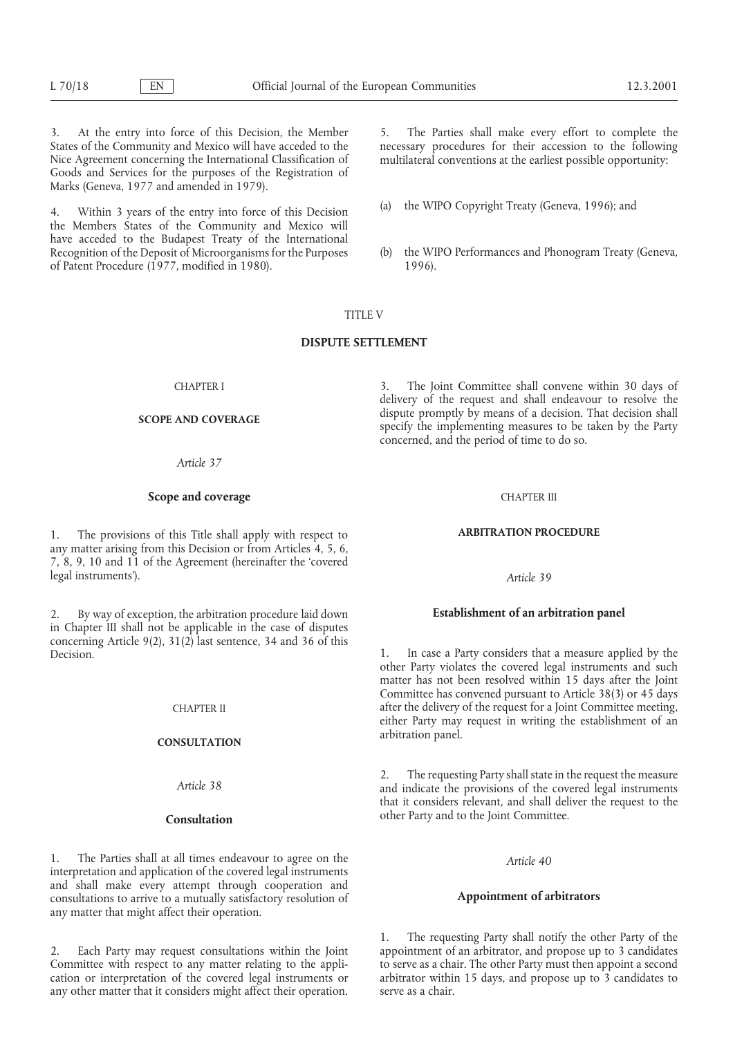3. At the entry into force of this Decision, the Member 5. The Parties shall make every effort to complete the States of the Community and Mexico will have acceded to the mecessary procedures for their accession to the fol States of the Community and Mexico will have acceded to the necessary procedures for their accession to the following<br>Nice Agreement concerning the International Classification of multilateral conventions at the earliest p Goods and Services for the purposes of the Registration of Marks (Geneva, 1977 and amended in 1979).

4. Within 3 years of the entry into force of this Decision (a) the WIPO Copyright Treaty (Geneva, 1996); and the Members States of the Community and Mexico will have acceded to the Budapest Treaty of the International Recognition of the Deposit of Microorganisms for the Purposes (b) the WIPO Performances and Phonogram Treaty (Geneva, of Patent Procedure  $(1977, \text{modified in } 1980)$ . 1996).

multilateral conventions at the earliest possible opportunity:

### TITLE V

# **DISPUTE SETTLEMENT**

# *Article 37*

### **Scope and coverage CHAPTER III**

1. The provisions of this Title shall apply with respect to **ARBITRATION PROCEDURE** any matter arising from this Decision or from Articles 4, 5, 6, 7, 8, 9, 10 and 11 of the Agreement (hereinafter the 'covered legal instruments'). *Article 39*

2. By way of exception, the arbitration procedure laid down **Establishment of an arbitration panel** in Chapter III shall not be applicable in the case of disputes concerning Article 9(2),  $31(2)$  last sentence, 34 and 36 of this Decision.

1. The Parties shall at all times endeavour to agree on the *Article 40* interpretation and application of the covered legal instruments and shall make every attempt through cooperation and consultations to arrive to a mutually satisfactory resolution of **Appointment of arbitrators** any matter that might affect their operation.

cation or interpretation of the covered legal instruments or any other matter that it considers might affect their operation. serve as a chair.

CHAPTER I 3. The Joint Committee shall convene within 30 days of delivery of the request and shall endeavour to resolve the dispute promptly by means of a decision. That decision shall **SCOPE AND COVERAGE** specify the implementing measures to be taken by the Party concerned, and the period of time to do so.

1. In case a Party considers that a measure applied by the other Party violates the covered legal instruments and such matter has not been resolved within 15 days after the Joint Committee has convened pursuant to Article 38(3) or 45 days CHAPTER II after the delivery of the request for a Joint Committee meeting, either Party may request in writing the establishment of an arbitration panel. **CONSULTATION**

2. The requesting Party shall state in the request the measure *Article 38* and indicate the provisions of the covered legal instruments that it considers relevant, and shall deliver the request to the other Party and to the Joint Committee. **Consultation**

1. The requesting Party shall notify the other Party of the 2. Each Party may request consultations within the Joint appointment of an arbitrator, and propose up to 3 candidates Committee with respect to any matter relating to the appli-<br>to serve as a chair. The other Party must th Committee with respect to any matter relating to the appli-<br>
to serve as a chair. The other Party must then appoint a second<br>
cation or interpretation of the covered legal instruments or<br>
arbitrator within 15 days, and pro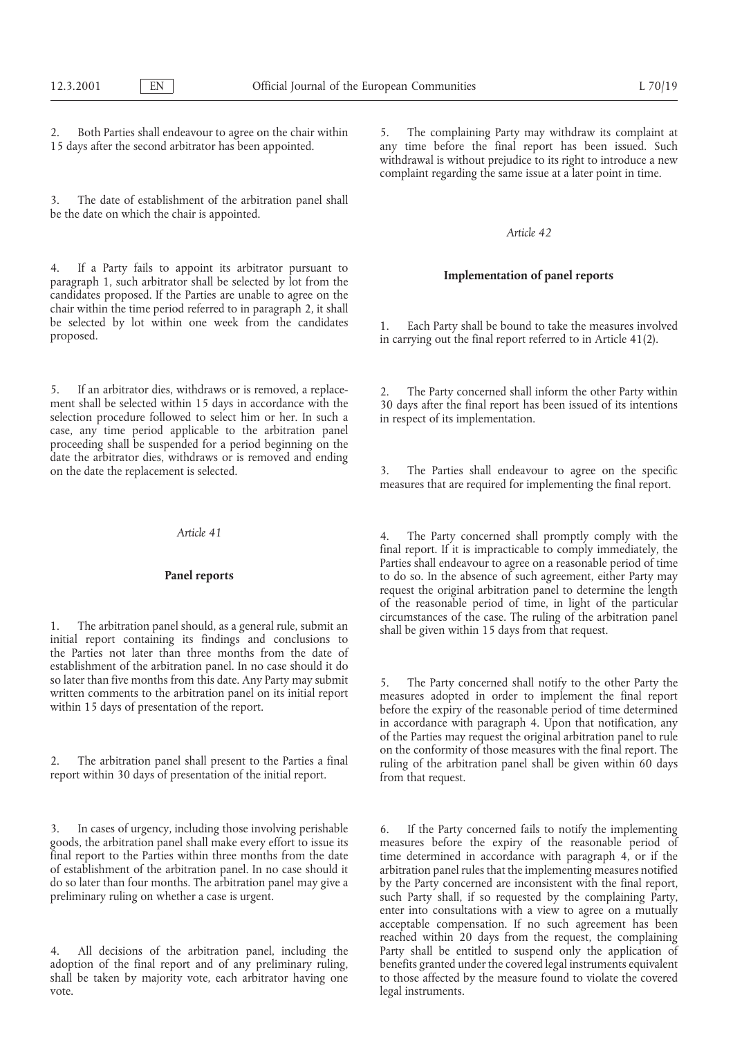2. Both Parties shall endeavour to agree on the chair within 5. The complaining Party may withdraw its complaint at 15 days after the second arbitrator has been appointed.

3. The date of establishment of the arbitration panel shall be the date on which the chair is appointed.

4. If a Party fails to appoint its arbitrator pursuant to **Implementation of panel reports** paragraph 1, such arbitrator shall be selected by lot from the candidates proposed. If the Parties are unable to agree on the chair within the time period referred to in paragraph 2, it shall<br>be selected by lot within one week from the candidates

5. If an arbitrator dies, withdraws or is removed, a replace-<br>ment shall be selected within 15 days in accordance with the 30 days after the final report has been issued of its intentions<br>selection procedure followed to se proceeding shall be suspended for a period beginning on the date the arbitrator dies, withdraws or is removed and ending on the date the replacement is selected. 3. The Parties shall endeavour to agree on the specific

the Parties not later than three months from the date of establishment of the arbitration panel. In no case should it do

final report to the Parties within three months from the date of establishment of the arbitration panel. In no case should it

adoption of the final report and of any preliminary ruling, vote. **legal instruments**.

any time before the final report has been issued. Such withdrawal is without prejudice to its right to introduce a new complaint regarding the same issue at a later point in time.

### *Article 42*

be selected by lot within one week from the candidates 1. Each Party shall be bound to take the measures involved proposed.  $\frac{1}{2}$ .

measures that are required for implementing the final report.

*Article 41* 4. The Party concerned shall promptly comply with the final report. If it is impracticable to comply immediately, the Parties shall endeavour to agree on a reasonable period of time **Panel reports** to do so. In the absence of such agreement, either Party may request the original arbitration panel to determine the length of the reasonable period of time, in light of the particular 1. The arbitration panel should, as a general rule, submit an circumstances of the case. The ruling of the arbitration panel<br>initial report containing its findings and conclusions to

so later than five months from this date. Any Party may submit<br>written comments to the arbitration panel on its initial report<br>within 15 days of presentation of the report.<br>within 15 days of presentation of the report.<br>bef in accordance with paragraph 4. Upon that notification, any of the Parties may request the original arbitration panel to rule 2. The arbitration panel shall present to the Parties a final ruling of the arbitration panel shall be given within 60 days report within 30 days of presentation of the initial report. from that request.

3. In cases of urgency, including those involving perishable 6. If the Party concerned fails to notify the implementing goods, the arbitration panel shall make every effort to issue its measures before the expiry of the re measures before the expiry of the reasonable period of time determined in accordance with paragraph 4, or if the of establishment of the arbitration panel. In no case should it arbitration panel rules that the implementing measures notified do so later than four months. The arbitration panel may give a by the Party concerned are inco do so later than four months. The arbitration panel may give a by the Party concerned are inconsistent with the final report, preliminary ruling on whether a case is urgent. Such Party shall, if so requested by the complai such Party shall, if so requested by the complaining Party, enter into consultations with a view to agree on a mutually acceptable compensation. If no such agreement has been reached within 20 days from the request, the complaining 4. All decisions of the arbitration panel, including the Party shall be entitled to suspend only the application of adoption of the final report and of any preliminary ruling, benefits granted under the covered legal instr shall be taken by majority vote, each arbitrator having one to those affected by the measure found to violate the covered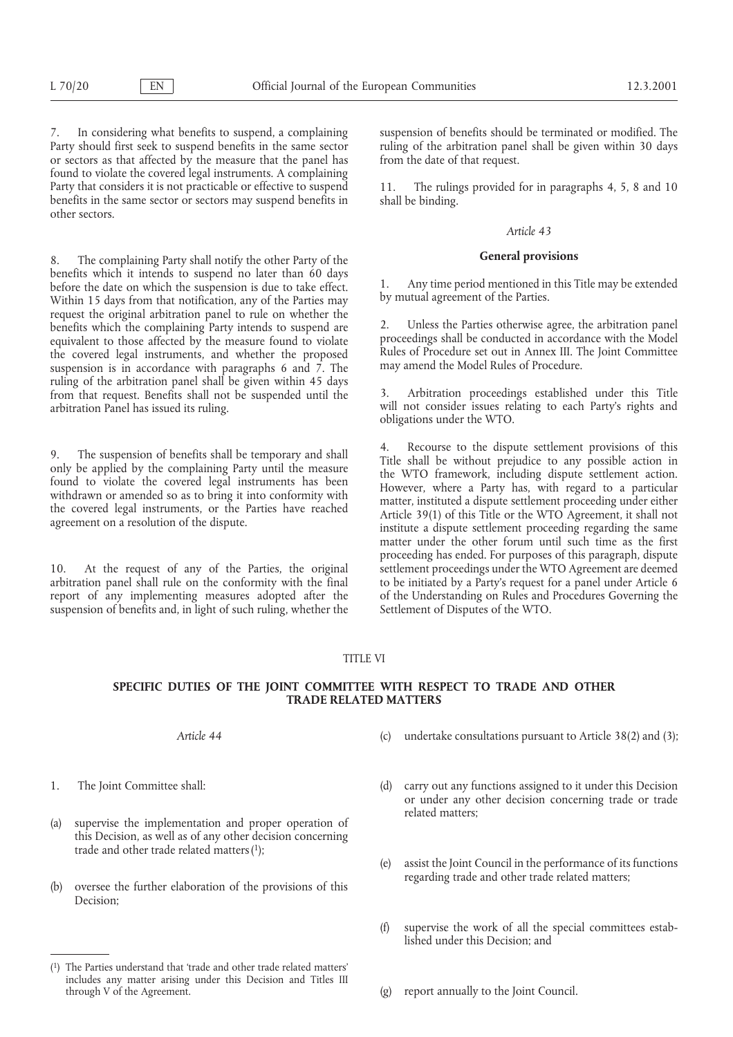7. In considering what benefits to suspend, a complaining suspension of benefits should be terminated or modified. The Party should first seek to suspend benefits in the same sector ruling of the arbitration panel shall be Party should first seek to suspend benefits in the same sector ruling of the arbitration panel or sectors as that affected by the measure that the panel has from the date of that request. or sectors as that affected by the measure that the panel has found to violate the covered legal instruments. A complaining Party that considers it is not practicable or effective to suspend 11. The rulings provided for in paragraphs 4, 5, 8 and 10 benefits in the same sector or sectors may suspend benefits in shall be binding. other sectors.

**General provisions** 8. The complaining Party shall notify the other Party of the benefits which it intends to suspend no later than  $\overline{60}$  days<br>before the date on which the suspension is due to take effect.<br>Within 15 days from that notification any of the Parties may<br>by mutual agreement of the Part Within 15 days from that notification, any of the Parties may request the original arbitration panel to rule on whether the benefits which the complaining Party intends to suspend are 2. Unless the Parties otherwise agree, the arbitration panel<br>equivalent to those affected by the measure found to violate proceedings shall be conducted in accord equivalent to those affected by the measure found to violate and proceedings shall be conducted in accordance with the Model<br>the covered legal instruments, and whether the proposed Rules of Procedure set out in Annex III. ruling of the arbitration panel shall be given within 45 days from that request. Benefits shall not be suspended until the 3. Arbitration proceedings established under this Title arbitration Panel has issued its ruling. will not consider issues relating to each Party's rights and

report of any implementing measures adopted after the of the Understanding on Rules and Procedures Governing the suspension of benefits and, in light of such ruling, whether the Settlement of Disputes of the WTO.

### *Article 43*

obligations under the WTO.

9. The suspension of benefits shall be temporary and shall<br>only be applied by the complaining Party until the measure<br>found to violate the covered legal instruments has been<br>withdrawn or amended so as to bring it into conf matter under the other forum until such time as the first proceeding has ended. For purposes of this paragraph, dispute 10. At the request of any of the Parties, the original settlement proceedings under the WTO Agreement are deemed arbitration panel shall rule on the conformity with the final to be initiated by a Party's request for a pane to be initiated by a Party's request for a panel under Article 6

# TITLE VI

# **SPECIFIC DUTIES OF THE JOINT COMMITTEE WITH RESPECT TO TRADE AND OTHER TRADE RELATED MATTERS**

- 
- related matters; (a) supervise the implementation and proper operation of this Decision, as well as of any other decision concerning trade and other trade related matters $(1)$ ;
- Decision;

*Article 44* (c) undertake consultations pursuant to Article 38(2) and (3);

- 1. The Joint Committee shall: (d) carry out any functions assigned to it under this Decision or under any other decision concerning trade or trade
- (e) assist the Joint Council in the performance of its functions regarding trade and other trade related matters; (b) oversee the further elaboration of the provisions of this
	- (f) supervise the work of all the special committees established under this Decision; and
	- report annually to the Joint Council.

<sup>(1)</sup> The Parties understand that 'trade and other trade related matters' includes any matter arising under this Decision and Titles III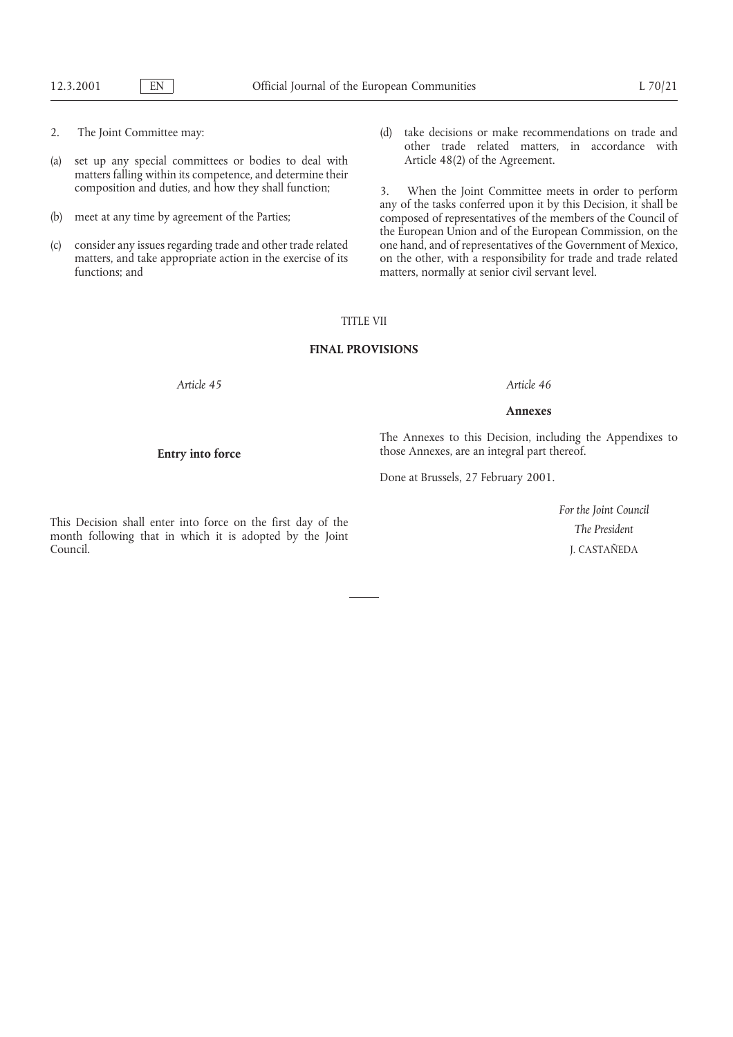- 
- (a) set up any special committees or bodies to deal with matters falling within its competence, and determine their composition and duties, and how they shall function;
- 
- functions; and matters, normally at senior civil servant level.
- 2. The Joint Committee may: (d) take decisions or make recommendations on trade and other trade related matters, in accordance with Article 48(2) of the Agreement.

3. When the Joint Committee meets in order to perform any of the tasks conferred upon it by this Decision, it shall be (b) meet at any time by agreement of the Parties; composed of representatives of the members of the Council of the European Union and of the European Commission, on the (c) consider any issues regarding trade and other trade related one hand, and of representatives of the Government of Mexico, matters, and take appropriate action in the exercise of its on the other, with a responsibility on the other, with a responsibility for trade and trade related

# TITLE VII

# **FINAL PROVISIONS**

*Article 45 Article 46*

**Annexes**

The Annexes to this Decision, including the Appendixes to **Entry into force** those Annexes, are an integral part thereof.

Done at Brussels, 27 February 2001.

*For the Joint Council*

This Decision shall enter into force on the first day of the *The President* month following that in which it is adopted by the Joint *The President* Council. Council. J. CASTAÑEDA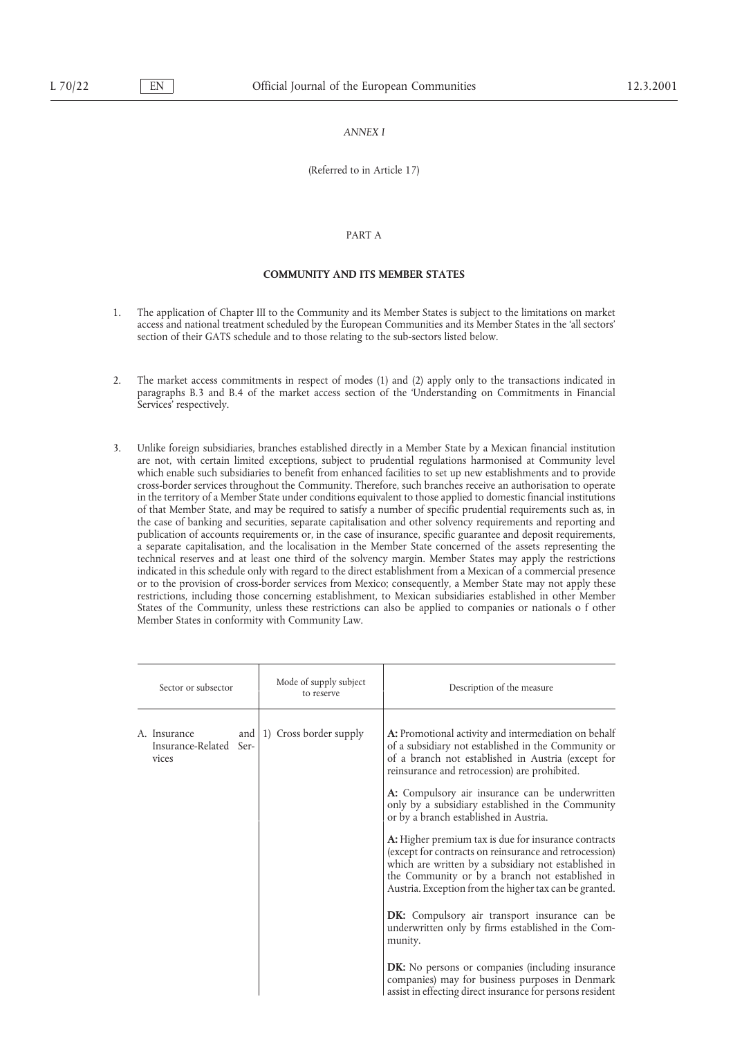## *ANNEX I*

## (Referred to in Article 17)

### PART A

## **COMMUNITY AND ITS MEMBER STATES**

- 1. The application of Chapter III to the Community and its Member States is subject to the limitations on market access and national treatment scheduled by the European Communities and its Member States in the 'all sectors' section of their GATS schedule and to those relating to the sub-sectors listed below.
- 2. The market access commitments in respect of modes (1) and (2) apply only to the transactions indicated in paragraphs B.3 and B.4 of the market access section of the 'Understanding on Commitments in Financial Services' respectively.
- 3. Unlike foreign subsidiaries, branches established directly in a Member State by a Mexican financial institution are not, with certain limited exceptions, subject to prudential regulations harmonised at Community level which enable such subsidiaries to benefit from enhanced facilities to set up new establishments and to provide cross-border services throughout the Community. Therefore, such branches receive an authorisation to operate in the territory of a Member State under conditions equivalent to those applied to domestic financial institutions of that Member State, and may be required to satisfy a number of specific prudential requirements such as, in the case of banking and securities, separate capitalisation and other solvency requirements and reporting and publication of accounts requirements or, in the case of insurance, specific guarantee and deposit requirements, a separate capitalisation, and the localisation in the Member State concerned of the assets representing the technical reserves and at least one third of the solvency margin. Member States may apply the restrictions indicated in this schedule only with regard to the direct establishment from a Mexican of a commercial presence or to the provision of cross-border services from Mexico; consequently, a Member State may not apply these restrictions, including those concerning establishment, to Mexican subsidiaries established in other Member States of the Community, unless these restrictions can also be applied to companies or nationals o f other Member States in conformity with Community Law.

| Sector or subsector                             | Mode of supply subject<br>to reserve | Description of the measure                                                                                                                                                                                                                                                          |
|-------------------------------------------------|--------------------------------------|-------------------------------------------------------------------------------------------------------------------------------------------------------------------------------------------------------------------------------------------------------------------------------------|
| A. Insurance<br>Insurance-Related Ser-<br>vices | and $(1)$ Cross border supply        | A: Promotional activity and intermediation on behalf<br>of a subsidiary not established in the Community or<br>of a branch not established in Austria (except for<br>reinsurance and retrocession) are prohibited.                                                                  |
|                                                 |                                      | A: Compulsory air insurance can be underwritten<br>only by a subsidiary established in the Community<br>or by a branch established in Austria.                                                                                                                                      |
|                                                 |                                      | A: Higher premium tax is due for insurance contracts<br>(except for contracts on reinsurance and retrocession)<br>which are written by a subsidiary not established in<br>the Community or by a branch not established in<br>Austria. Exception from the higher tax can be granted. |
|                                                 |                                      | DK: Compulsory air transport insurance can be<br>underwritten only by firms established in the Com-<br>munity.                                                                                                                                                                      |
|                                                 |                                      | <b>DK:</b> No persons or companies (including insurance<br>companies) may for business purposes in Denmark<br>assist in effecting direct insurance for persons resident                                                                                                             |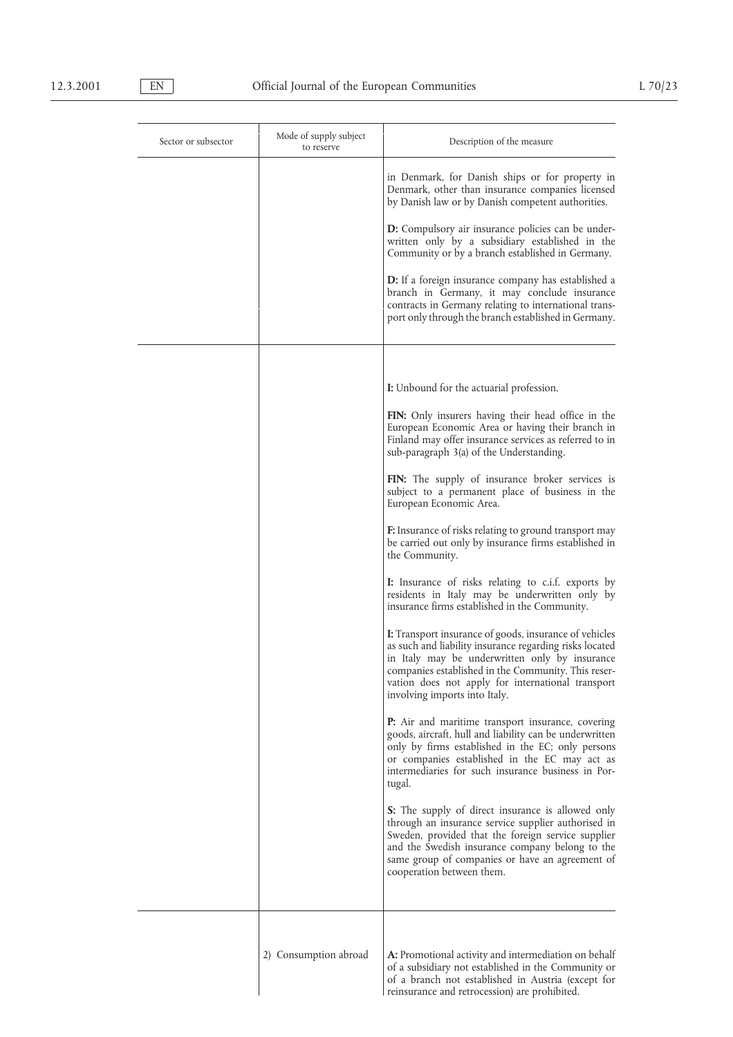| Sector or subsector | Mode of supply subject<br>to reserve | Description of the measure                                                                                                                                                                                                                                                                                       |
|---------------------|--------------------------------------|------------------------------------------------------------------------------------------------------------------------------------------------------------------------------------------------------------------------------------------------------------------------------------------------------------------|
|                     |                                      | in Denmark, for Danish ships or for property in<br>Denmark, other than insurance companies licensed<br>by Danish law or by Danish competent authorities.                                                                                                                                                         |
|                     |                                      | <b>D:</b> Compulsory air insurance policies can be under-<br>written only by a subsidiary established in the<br>Community or by a branch established in Germany.                                                                                                                                                 |
|                     |                                      | <b>D:</b> If a foreign insurance company has established a<br>branch in Germany, it may conclude insurance<br>contracts in Germany relating to international trans-<br>port only through the branch established in Germany.                                                                                      |
|                     |                                      |                                                                                                                                                                                                                                                                                                                  |
|                     |                                      | I: Unbound for the actuarial profession.                                                                                                                                                                                                                                                                         |
|                     |                                      | <b>FIN:</b> Only insurers having their head office in the<br>European Economic Area or having their branch in<br>Finland may offer insurance services as referred to in<br>sub-paragraph 3(a) of the Understanding.                                                                                              |
|                     |                                      | FIN: The supply of insurance broker services is<br>subject to a permanent place of business in the<br>European Economic Area.                                                                                                                                                                                    |
|                     |                                      | <b>F:</b> Insurance of risks relating to ground transport may<br>be carried out only by insurance firms established in<br>the Community.                                                                                                                                                                         |
|                     |                                      | <b>I:</b> Insurance of risks relating to c.i.f. exports by<br>residents in Italy may be underwritten only by<br>insurance firms established in the Community.                                                                                                                                                    |
|                     |                                      | I: Transport insurance of goods, insurance of vehicles<br>as such and liability insurance regarding risks located<br>in Italy may be underwritten only by insurance<br>companies established in the Community. This reser-<br>vation does not apply for international transport<br>involving imports into Italy. |
|                     |                                      | <b>P:</b> Air and maritime transport insurance, covering<br>goods, aircraft, hull and liability can be underwritten<br>only by firms established in the EC; only persons<br>or companies established in the EC may act as<br>intermediaries for such insurance business in Por-<br>tugal.                        |
|                     |                                      | <b>S:</b> The supply of direct insurance is allowed only<br>through an insurance service supplier authorised in<br>Sweden, provided that the foreign service supplier<br>and the Swedish insurance company belong to the<br>same group of companies or have an agreement of<br>cooperation between them.         |
|                     |                                      |                                                                                                                                                                                                                                                                                                                  |
|                     | 2) Consumption abroad                | A: Promotional activity and intermediation on behalf<br>of a subsidiary not established in the Community or<br>of a branch not established in Austria (except for<br>reinsurance and retrocession) are prohibited.                                                                                               |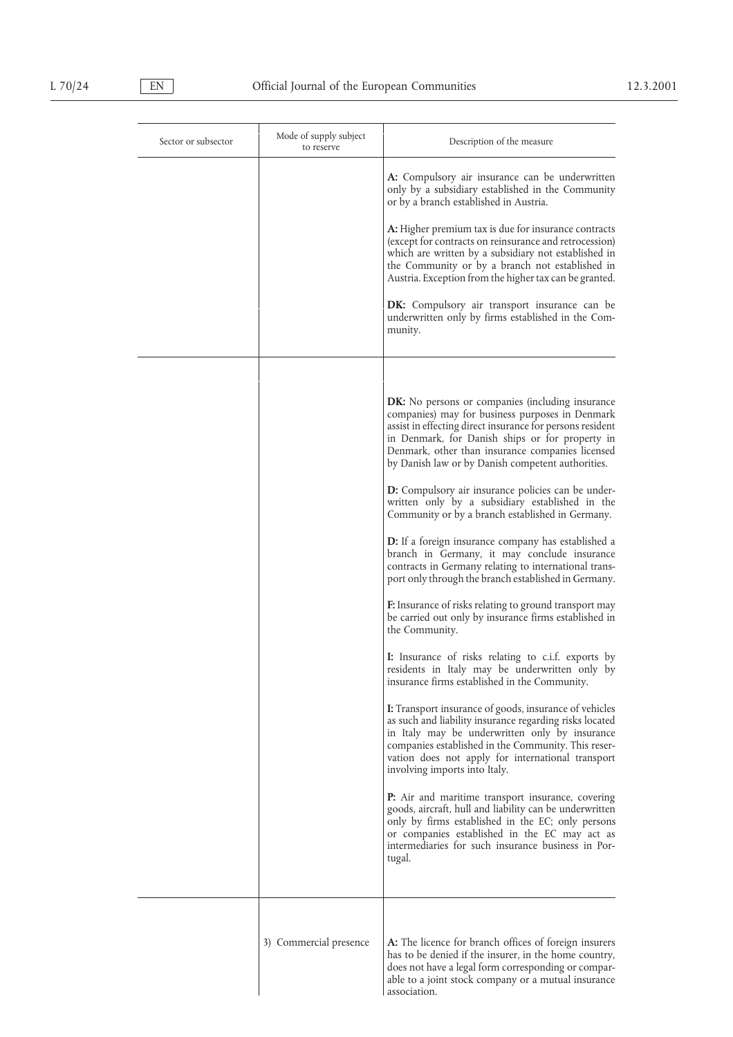| Sector or subsector | Mode of supply subject<br>to reserve | Description of the measure                                                                                                                                                                                                                                                                                                                                                                |
|---------------------|--------------------------------------|-------------------------------------------------------------------------------------------------------------------------------------------------------------------------------------------------------------------------------------------------------------------------------------------------------------------------------------------------------------------------------------------|
|                     |                                      | A: Compulsory air insurance can be underwritten<br>only by a subsidiary established in the Community<br>or by a branch established in Austria.                                                                                                                                                                                                                                            |
|                     |                                      | A: Higher premium tax is due for insurance contracts<br>(except for contracts on reinsurance and retrocession)<br>which are written by a subsidiary not established in<br>the Community or by a branch not established in<br>Austria. Exception from the higher tax can be granted.                                                                                                       |
|                     |                                      | <b>DK:</b> Compulsory air transport insurance can be<br>underwritten only by firms established in the Com-<br>munity.                                                                                                                                                                                                                                                                     |
|                     |                                      | <b>DK:</b> No persons or companies (including insurance<br>companies) may for business purposes in Denmark<br>assist in effecting direct insurance for persons resident<br>in Denmark, for Danish ships or for property in<br>Denmark, other than insurance companies licensed<br>by Danish law or by Danish competent authorities.<br>D: Compulsory air insurance policies can be under- |
|                     |                                      | written only by a subsidiary established in the<br>Community or by a branch established in Germany.<br><b>D:</b> If a foreign insurance company has established a<br>branch in Germany, it may conclude insurance<br>contracts in Germany relating to international trans-<br>port only through the branch established in Germany.                                                        |
|                     |                                      | F: Insurance of risks relating to ground transport may<br>be carried out only by insurance firms established in<br>the Community.                                                                                                                                                                                                                                                         |
|                     |                                      | <b>I:</b> Insurance of risks relating to c.i.f. exports by<br>residents in Italy may be underwritten only by<br>insurance firms established in the Community.                                                                                                                                                                                                                             |
|                     |                                      | <b>I:</b> Transport insurance of goods, insurance of vehicles<br>as such and liability insurance regarding risks located<br>in Italy may be underwritten only by insurance<br>companies established in the Community. This reser-<br>vation does not apply for international transport<br>involving imports into Italy.                                                                   |
|                     |                                      | <b>P:</b> Air and maritime transport insurance, covering<br>goods, aircraft, hull and liability can be underwritten<br>only by firms established in the EC; only persons<br>or companies established in the EC may act as<br>intermediaries for such insurance business in Por-<br>tugal.                                                                                                 |
|                     | 3) Commercial presence               | A: The licence for branch offices of foreign insurers<br>has to be denied if the insurer, in the home country,<br>does not have a legal form corresponding or compar-<br>able to a joint stock company or a mutual insurance<br>association.                                                                                                                                              |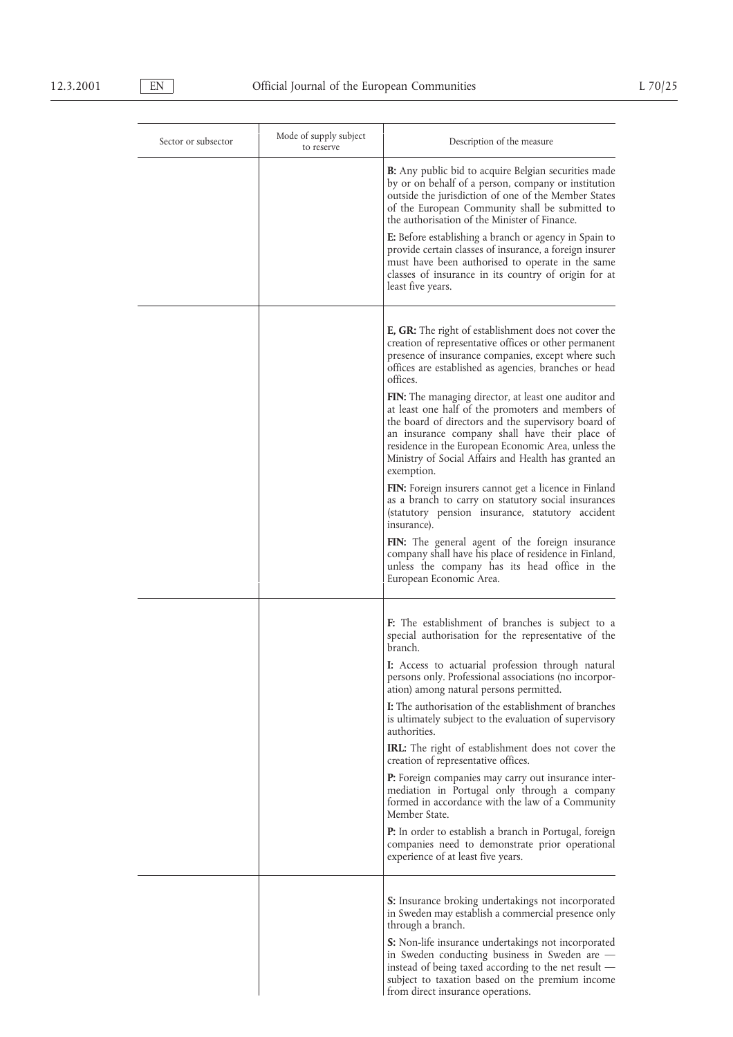| Sector or subsector | Mode of supply subject<br>to reserve | Description of the measure                                                                                                                                                                                                                                                                                                                      |
|---------------------|--------------------------------------|-------------------------------------------------------------------------------------------------------------------------------------------------------------------------------------------------------------------------------------------------------------------------------------------------------------------------------------------------|
|                     |                                      | <b>B:</b> Any public bid to acquire Belgian securities made<br>by or on behalf of a person, company or institution<br>outside the jurisdiction of one of the Member States<br>of the European Community shall be submitted to<br>the authorisation of the Minister of Finance.                                                                  |
|                     |                                      | <b>E:</b> Before establishing a branch or agency in Spain to<br>provide certain classes of insurance, a foreign insurer<br>must have been authorised to operate in the same<br>classes of insurance in its country of origin for at<br>least five years.                                                                                        |
|                     |                                      | <b>E, GR:</b> The right of establishment does not cover the<br>creation of representative offices or other permanent<br>presence of insurance companies, except where such<br>offices are established as agencies, branches or head<br>offices.                                                                                                 |
|                     |                                      | FIN: The managing director, at least one auditor and<br>at least one half of the promoters and members of<br>the board of directors and the supervisory board of<br>an insurance company shall have their place of<br>residence in the European Economic Area, unless the<br>Ministry of Social Affairs and Health has granted an<br>exemption. |
|                     |                                      | FIN: Foreign insurers cannot get a licence in Finland<br>as a branch to carry on statutory social insurances<br>(statutory pension insurance, statutory accident<br>insurance).                                                                                                                                                                 |
|                     |                                      | FIN: The general agent of the foreign insurance<br>company shall have his place of residence in Finland,<br>unless the company has its head office in the<br>European Economic Area.                                                                                                                                                            |
|                     |                                      | <b>F:</b> The establishment of branches is subject to a<br>special authorisation for the representative of the<br>branch.                                                                                                                                                                                                                       |
|                     |                                      | I: Access to actuarial profession through natural<br>persons only. Professional associations (no incorpor-<br>ation) among natural persons permitted.                                                                                                                                                                                           |
|                     |                                      | <b>I:</b> The authorisation of the establishment of branches<br>is ultimately subject to the evaluation of supervisory<br>authorities.                                                                                                                                                                                                          |
|                     |                                      | IRL: The right of establishment does not cover the<br>creation of representative offices.                                                                                                                                                                                                                                                       |
|                     |                                      | P: Foreign companies may carry out insurance inter-<br>mediation in Portugal only through a company<br>formed in accordance with the law of a Community<br>Member State.                                                                                                                                                                        |
|                     |                                      | P: In order to establish a branch in Portugal, foreign<br>companies need to demonstrate prior operational<br>experience of at least five years.                                                                                                                                                                                                 |
|                     |                                      | <b>S:</b> Insurance broking undertakings not incorporated<br>in Sweden may establish a commercial presence only<br>through a branch.                                                                                                                                                                                                            |
|                     |                                      | <b>S:</b> Non-life insurance undertakings not incorporated<br>in Sweden conducting business in Sweden are $-$<br>instead of being taxed according to the net result —<br>subject to taxation based on the premium income<br>from direct insurance operations.                                                                                   |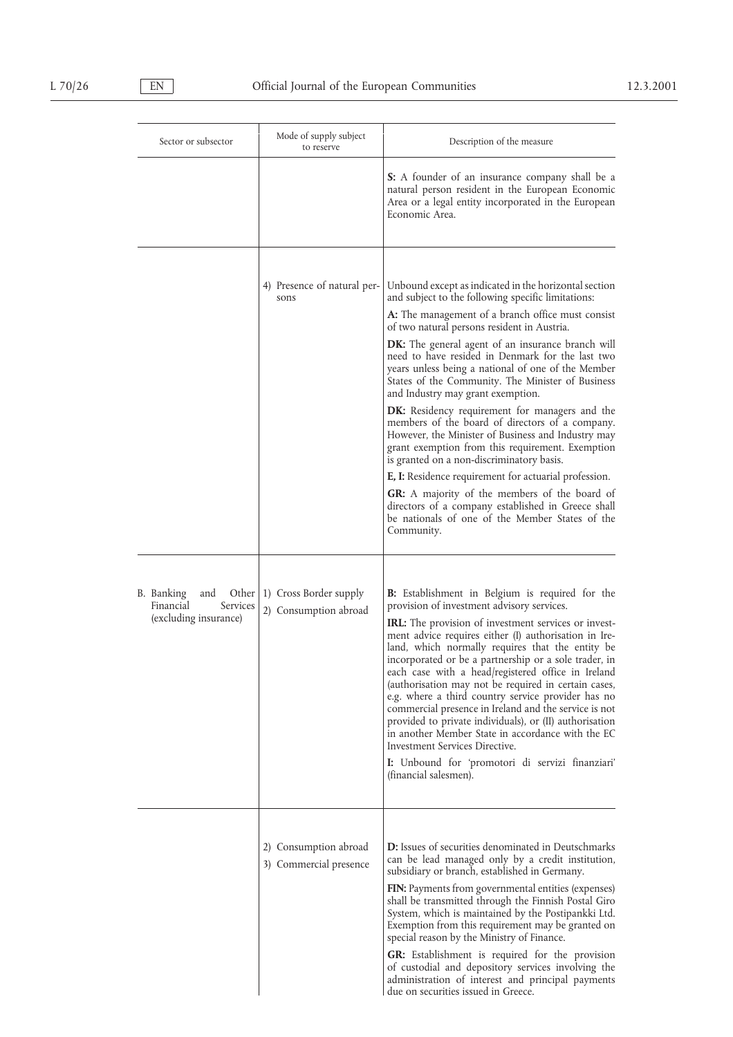| Sector or subsector                                                          | Mode of supply subject<br>to reserve            | Description of the measure                                                                                                                                                                                                                                                                                                                                                                                                                                                                                                                                                                                                                                                                                                                                                                                   |
|------------------------------------------------------------------------------|-------------------------------------------------|--------------------------------------------------------------------------------------------------------------------------------------------------------------------------------------------------------------------------------------------------------------------------------------------------------------------------------------------------------------------------------------------------------------------------------------------------------------------------------------------------------------------------------------------------------------------------------------------------------------------------------------------------------------------------------------------------------------------------------------------------------------------------------------------------------------|
|                                                                              |                                                 | <b>S:</b> A founder of an insurance company shall be a<br>natural person resident in the European Economic<br>Area or a legal entity incorporated in the European<br>Economic Area.                                                                                                                                                                                                                                                                                                                                                                                                                                                                                                                                                                                                                          |
|                                                                              |                                                 |                                                                                                                                                                                                                                                                                                                                                                                                                                                                                                                                                                                                                                                                                                                                                                                                              |
|                                                                              | 4) Presence of natural per-<br>sons             | Unbound except as indicated in the horizontal section<br>and subject to the following specific limitations:                                                                                                                                                                                                                                                                                                                                                                                                                                                                                                                                                                                                                                                                                                  |
|                                                                              |                                                 | A: The management of a branch office must consist<br>of two natural persons resident in Austria.                                                                                                                                                                                                                                                                                                                                                                                                                                                                                                                                                                                                                                                                                                             |
|                                                                              |                                                 | <b>DK:</b> The general agent of an insurance branch will<br>need to have resided in Denmark for the last two<br>years unless being a national of one of the Member<br>States of the Community. The Minister of Business<br>and Industry may grant exemption.                                                                                                                                                                                                                                                                                                                                                                                                                                                                                                                                                 |
|                                                                              |                                                 | <b>DK:</b> Residency requirement for managers and the<br>members of the board of directors of a company.<br>However, the Minister of Business and Industry may<br>grant exemption from this requirement. Exemption<br>is granted on a non-discriminatory basis.                                                                                                                                                                                                                                                                                                                                                                                                                                                                                                                                              |
|                                                                              |                                                 | <b>E, I:</b> Residence requirement for actuarial profession.                                                                                                                                                                                                                                                                                                                                                                                                                                                                                                                                                                                                                                                                                                                                                 |
|                                                                              |                                                 | <b>GR:</b> A majority of the members of the board of<br>directors of a company established in Greece shall<br>be nationals of one of the Member States of the<br>Community.                                                                                                                                                                                                                                                                                                                                                                                                                                                                                                                                                                                                                                  |
| B. Banking<br>and<br>Other<br>Financial<br>Services<br>(excluding insurance) | 1) Cross Border supply<br>2) Consumption abroad | <b>B:</b> Establishment in Belgium is required for the<br>provision of investment advisory services.<br><b>IRL:</b> The provision of investment services or invest-<br>ment advice requires either (I) authorisation in Ire-<br>land, which normally requires that the entity be<br>incorporated or be a partnership or a sole trader, in<br>each case with a head/registered office in Ireland<br>(authorisation may not be required in certain cases,<br>e.g. where a third country service provider has no<br>commercial presence in Ireland and the service is not<br>provided to private individuals), or (II) authorisation<br>in another Member State in accordance with the EC<br>Investment Services Directive.<br><b>I:</b> Unbound for 'promotori di servizi finanziari'<br>(financial salesmen). |
|                                                                              | 2) Consumption abroad<br>3) Commercial presence | D: Issues of securities denominated in Deutschmarks<br>can be lead managed only by a credit institution,<br>subsidiary or branch, established in Germany.<br><b>FIN:</b> Payments from governmental entities (expenses)<br>shall be transmitted through the Finnish Postal Giro<br>System, which is maintained by the Postipankki Ltd.<br>Exemption from this requirement may be granted on<br>special reason by the Ministry of Finance.<br><b>GR:</b> Establishment is required for the provision<br>of custodial and depository services involving the<br>administration of interest and principal payments<br>due on securities issued in Greece.                                                                                                                                                        |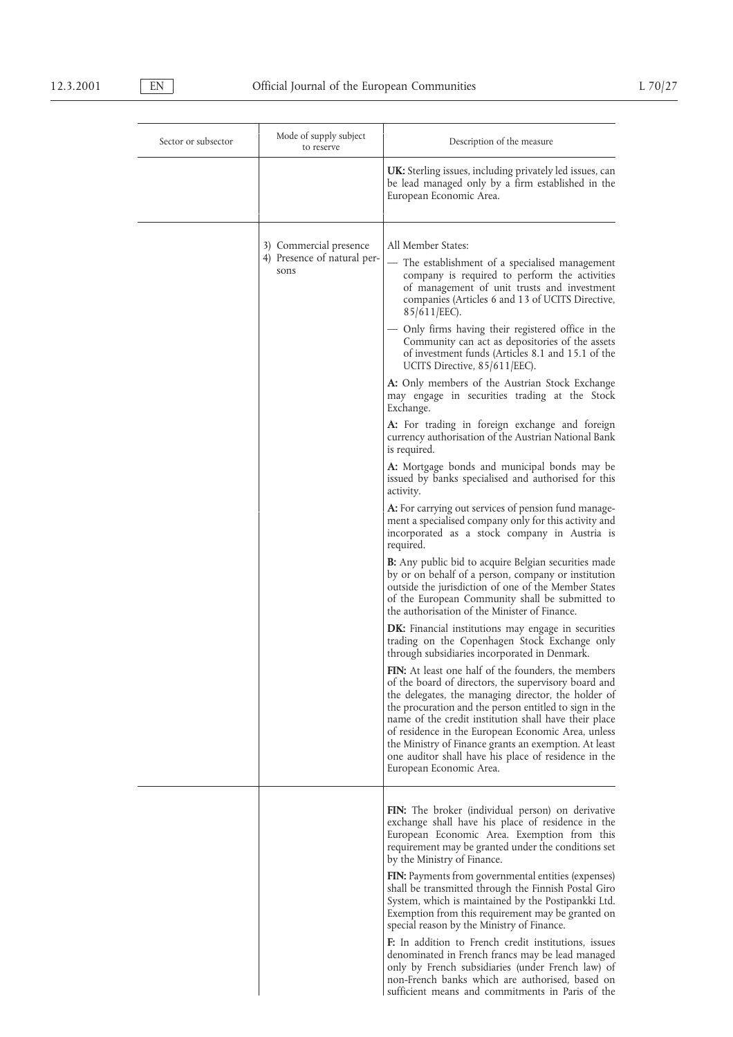| Sector or subsector | Mode of supply subject<br>to reserve                          | Description of the measure                                                                                                                                                                                                                                                                                                                                                                                                                                                                                                                                                                                                                                                                                                     |
|---------------------|---------------------------------------------------------------|--------------------------------------------------------------------------------------------------------------------------------------------------------------------------------------------------------------------------------------------------------------------------------------------------------------------------------------------------------------------------------------------------------------------------------------------------------------------------------------------------------------------------------------------------------------------------------------------------------------------------------------------------------------------------------------------------------------------------------|
|                     |                                                               | <b>UK:</b> Sterling issues, including privately led issues, can<br>be lead managed only by a firm established in the<br>European Economic Area.                                                                                                                                                                                                                                                                                                                                                                                                                                                                                                                                                                                |
|                     | 3) Commercial presence<br>4) Presence of natural per-<br>sons | All Member States:<br>The establishment of a specialised management<br>company is required to perform the activities<br>of management of unit trusts and investment<br>companies (Articles 6 and 13 of UCITS Directive,<br>85/611/EEC).<br>Only firms having their registered office in the<br>Community can act as depositories of the assets<br>of investment funds (Articles 8.1 and 15.1 of the<br>UCITS Directive, 85/611/EEC).<br>A: Only members of the Austrian Stock Exchange<br>may engage in securities trading at the Stock<br>Exchange.<br>A: For trading in foreign exchange and foreign<br>currency authorisation of the Austrian National Bank<br>is required.<br>A: Mortgage bonds and municipal bonds may be |
|                     |                                                               | issued by banks specialised and authorised for this<br>activity.<br>A: For carrying out services of pension fund manage-<br>ment a specialised company only for this activity and<br>incorporated as a stock company in Austria is                                                                                                                                                                                                                                                                                                                                                                                                                                                                                             |
|                     |                                                               | required.<br><b>B:</b> Any public bid to acquire Belgian securities made<br>by or on behalf of a person, company or institution<br>outside the jurisdiction of one of the Member States<br>of the European Community shall be submitted to<br>the authorisation of the Minister of Finance.                                                                                                                                                                                                                                                                                                                                                                                                                                    |
|                     |                                                               | <b>DK:</b> Financial institutions may engage in securities<br>trading on the Copenhagen Stock Exchange only<br>through subsidiaries incorporated in Denmark.                                                                                                                                                                                                                                                                                                                                                                                                                                                                                                                                                                   |
|                     |                                                               | FIN: At least one half of the founders, the members<br>of the board of directors, the supervisory board and<br>the delegates, the managing director, the holder of<br>the procuration and the person entitled to sign in the<br>name of the credit institution shall have their place<br>of residence in the European Economic Area, unless<br>the Ministry of Finance grants an exemption. At least<br>one auditor shall have his place of residence in the<br>European Economic Area.                                                                                                                                                                                                                                        |
|                     |                                                               | FIN: The broker (individual person) on derivative<br>exchange shall have his place of residence in the<br>European Economic Area. Exemption from this<br>requirement may be granted under the conditions set<br>by the Ministry of Finance.                                                                                                                                                                                                                                                                                                                                                                                                                                                                                    |
|                     |                                                               | <b>FIN:</b> Payments from governmental entities (expenses)<br>shall be transmitted through the Finnish Postal Giro<br>System, which is maintained by the Postipankki Ltd.<br>Exemption from this requirement may be granted on<br>special reason by the Ministry of Finance.                                                                                                                                                                                                                                                                                                                                                                                                                                                   |
|                     |                                                               | <b>F:</b> In addition to French credit institutions, issues<br>denominated in French francs may be lead managed<br>only by French subsidiaries (under French law) of<br>non-French banks which are authorised, based on<br>sufficient means and commitments in Paris of the                                                                                                                                                                                                                                                                                                                                                                                                                                                    |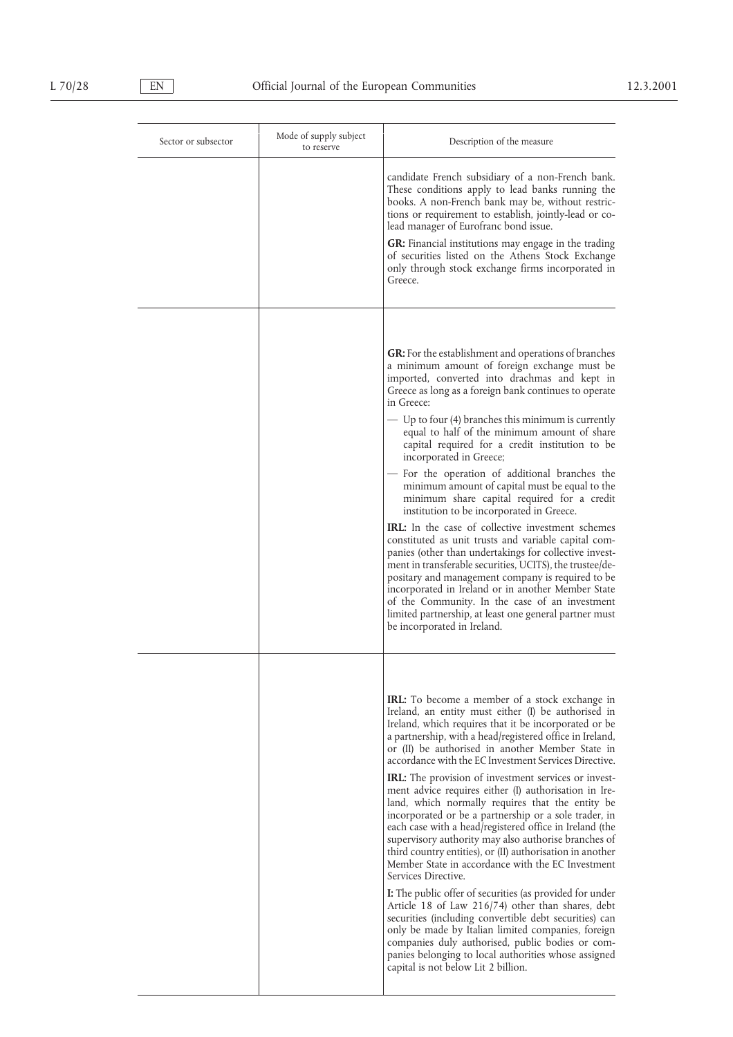| Sector or subsector | Mode of supply subject<br>to reserve | Description of the measure                                                                                                                                                                                                                                                                                                                                                                                                                                                                                                                                                   |
|---------------------|--------------------------------------|------------------------------------------------------------------------------------------------------------------------------------------------------------------------------------------------------------------------------------------------------------------------------------------------------------------------------------------------------------------------------------------------------------------------------------------------------------------------------------------------------------------------------------------------------------------------------|
|                     |                                      | candidate French subsidiary of a non-French bank.<br>These conditions apply to lead banks running the<br>books. A non-French bank may be, without restric-<br>tions or requirement to establish, jointly-lead or co-<br>lead manager of Eurofranc bond issue.                                                                                                                                                                                                                                                                                                                |
|                     |                                      | <b>GR:</b> Financial institutions may engage in the trading<br>of securities listed on the Athens Stock Exchange<br>only through stock exchange firms incorporated in<br>Greece.                                                                                                                                                                                                                                                                                                                                                                                             |
|                     |                                      |                                                                                                                                                                                                                                                                                                                                                                                                                                                                                                                                                                              |
|                     |                                      | <b>GR:</b> For the establishment and operations of branches<br>a minimum amount of foreign exchange must be<br>imported, converted into drachmas and kept in<br>Greece as long as a foreign bank continues to operate<br>in Greece:                                                                                                                                                                                                                                                                                                                                          |
|                     |                                      | Up to four (4) branches this minimum is currently<br>equal to half of the minimum amount of share<br>capital required for a credit institution to be<br>incorporated in Greece;                                                                                                                                                                                                                                                                                                                                                                                              |
|                     |                                      | - For the operation of additional branches the<br>minimum amount of capital must be equal to the<br>minimum share capital required for a credit<br>institution to be incorporated in Greece.                                                                                                                                                                                                                                                                                                                                                                                 |
|                     |                                      | <b>IRL:</b> In the case of collective investment schemes<br>constituted as unit trusts and variable capital com-<br>panies (other than undertakings for collective invest-<br>ment in transferable securities, UCITS), the trustee/de-<br>positary and management company is required to be<br>incorporated in Ireland or in another Member State<br>of the Community. In the case of an investment<br>limited partnership, at least one general partner must<br>be incorporated in Ireland.                                                                                 |
|                     |                                      | IRL: To become a member of a stock exchange in<br>Ireland, an entity must either (I) be authorised in<br>Ireland, which requires that it be incorporated or be<br>a partnership, with a head/registered office in Ireland,<br>or (II) be authorised in another Member State in<br>accordance with the EC Investment Services Directive.<br><b>IRL:</b> The provision of investment services or invest-<br>ment advice requires either (I) authorisation in Ire-<br>land, which normally requires that the entity be<br>incorporated or be a partnership or a sole trader, in |
|                     |                                      | each case with a head/registered office in Ireland (the<br>supervisory authority may also authorise branches of<br>third country entities), or (II) authorisation in another<br>Member State in accordance with the EC Investment<br>Services Directive.                                                                                                                                                                                                                                                                                                                     |
|                     |                                      | I: The public offer of securities (as provided for under<br>Article 18 of Law 216/74) other than shares, debt<br>securities (including convertible debt securities) can<br>only be made by Italian limited companies, foreign<br>companies duly authorised, public bodies or com-<br>panies belonging to local authorities whose assigned<br>capital is not below Lit 2 billion.                                                                                                                                                                                             |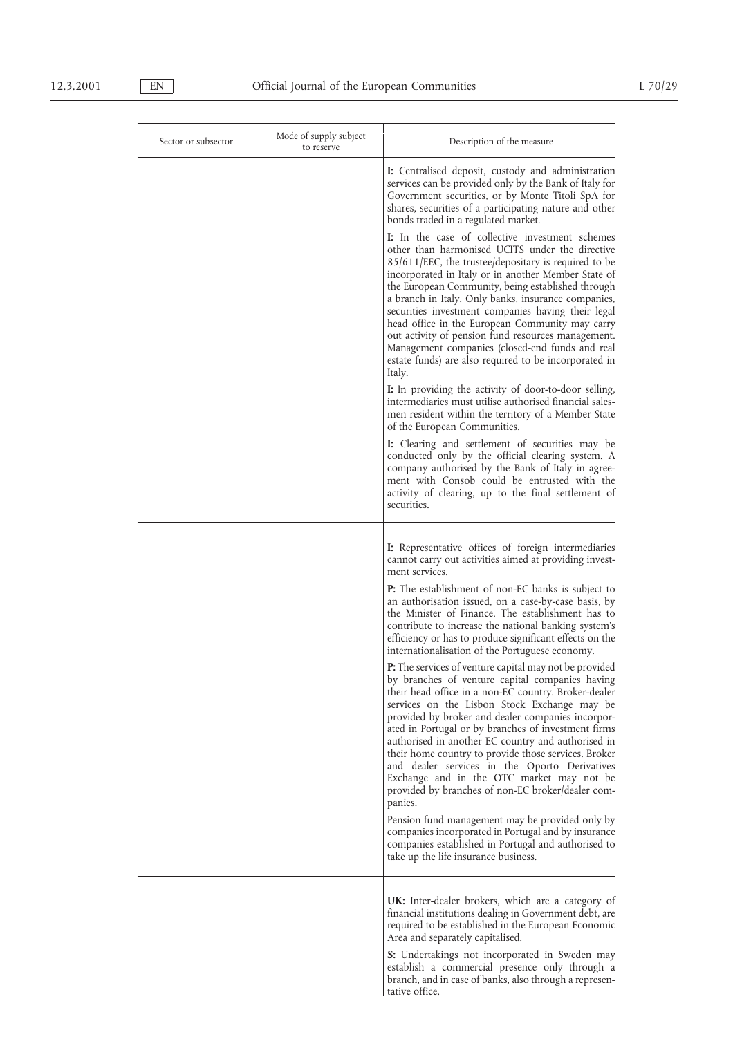| Sector or subsector | Mode of supply subject<br>to reserve | Description of the measure                                                                                                                                                                                                                                                                                                                                                                                                                                                                                                                                                                                         |
|---------------------|--------------------------------------|--------------------------------------------------------------------------------------------------------------------------------------------------------------------------------------------------------------------------------------------------------------------------------------------------------------------------------------------------------------------------------------------------------------------------------------------------------------------------------------------------------------------------------------------------------------------------------------------------------------------|
|                     |                                      | I: Centralised deposit, custody and administration<br>services can be provided only by the Bank of Italy for<br>Government securities, or by Monte Titoli SpA for<br>shares, securities of a participating nature and other<br>bonds traded in a regulated market.                                                                                                                                                                                                                                                                                                                                                 |
|                     |                                      | I: In the case of collective investment schemes<br>other than harmonised UCITS under the directive<br>85/611/EEC, the trustee/depositary is required to be<br>incorporated in Italy or in another Member State of<br>the European Community, being established through<br>a branch in Italy. Only banks, insurance companies,<br>securities investment companies having their legal<br>head office in the European Community may carry<br>out activity of pension fund resources management.<br>Management companies (closed-end funds and real<br>estate funds) are also required to be incorporated in<br>Italy. |
|                     |                                      | <b>I:</b> In providing the activity of door-to-door selling,<br>intermediaries must utilise authorised financial sales-<br>men resident within the territory of a Member State<br>of the European Communities.                                                                                                                                                                                                                                                                                                                                                                                                     |
|                     |                                      | <b>I:</b> Clearing and settlement of securities may be<br>conducted only by the official clearing system. A<br>company authorised by the Bank of Italy in agree-<br>ment with Consob could be entrusted with the<br>activity of clearing, up to the final settlement of<br>securities.                                                                                                                                                                                                                                                                                                                             |
|                     |                                      | <b>I:</b> Representative offices of foreign intermediaries<br>cannot carry out activities aimed at providing invest-<br>ment services.                                                                                                                                                                                                                                                                                                                                                                                                                                                                             |
|                     |                                      | P: The establishment of non-EC banks is subject to<br>an authorisation issued, on a case-by-case basis, by<br>the Minister of Finance. The establishment has to<br>contribute to increase the national banking system's<br>efficiency or has to produce significant effects on the<br>internationalisation of the Portuguese economy.                                                                                                                                                                                                                                                                              |
|                     |                                      | P: The services of venture capital may not be provided<br>by branches of venture capital companies having<br>their head office in a non-EC country. Broker-dealer<br>services on the Lisbon Stock Exchange may be<br>provided by broker and dealer companies incorpor-<br>ated in Portugal or by branches of investment firms<br>authorised in another EC country and authorised in<br>their home country to provide those services. Broker<br>and dealer services in the Oporto Derivatives<br>Exchange and in the OTC market may not be<br>provided by branches of non-EC broker/dealer com-<br>panies.          |
|                     |                                      | Pension fund management may be provided only by<br>companies incorporated in Portugal and by insurance<br>companies established in Portugal and authorised to<br>take up the life insurance business.                                                                                                                                                                                                                                                                                                                                                                                                              |
|                     |                                      | UK: Inter-dealer brokers, which are a category of<br>financial institutions dealing in Government debt, are<br>required to be established in the European Economic<br>Area and separately capitalised.                                                                                                                                                                                                                                                                                                                                                                                                             |
|                     |                                      | S: Undertakings not incorporated in Sweden may<br>establish a commercial presence only through a<br>branch, and in case of banks, also through a represen-<br>tative office.                                                                                                                                                                                                                                                                                                                                                                                                                                       |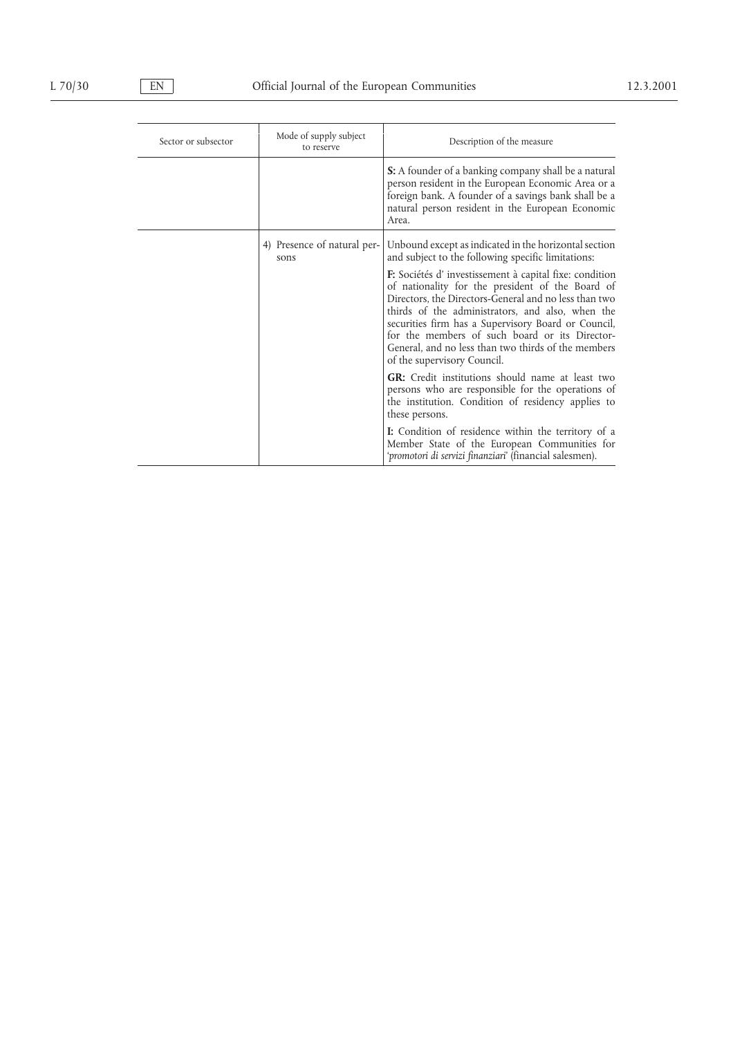| Sector or subsector | Mode of supply subject<br>to reserve | Description of the measure                                                                                                                                                                                                                                                                                                                                                                                                    |
|---------------------|--------------------------------------|-------------------------------------------------------------------------------------------------------------------------------------------------------------------------------------------------------------------------------------------------------------------------------------------------------------------------------------------------------------------------------------------------------------------------------|
|                     |                                      | S: A founder of a banking company shall be a natural<br>person resident in the European Economic Area or a<br>foreign bank. A founder of a savings bank shall be a<br>natural person resident in the European Economic<br>Area.                                                                                                                                                                                               |
|                     | 4) Presence of natural per-<br>sons  | Unbound except as indicated in the horizontal section<br>and subject to the following specific limitations:                                                                                                                                                                                                                                                                                                                   |
|                     |                                      | <b>F:</b> Sociétés d'investissement à capital fixe: condition<br>of nationality for the president of the Board of<br>Directors, the Directors-General and no less than two<br>thirds of the administrators, and also, when the<br>securities firm has a Supervisory Board or Council,<br>for the members of such board or its Director-<br>General, and no less than two thirds of the members<br>of the supervisory Council. |
|                     |                                      | <b>GR:</b> Credit institutions should name at least two<br>persons who are responsible for the operations of<br>the institution. Condition of residency applies to<br>these persons.                                                                                                                                                                                                                                          |
|                     |                                      | I: Condition of residence within the territory of a<br>Member State of the European Communities for<br>'promotori di servizi finanziari' (financial salesmen).                                                                                                                                                                                                                                                                |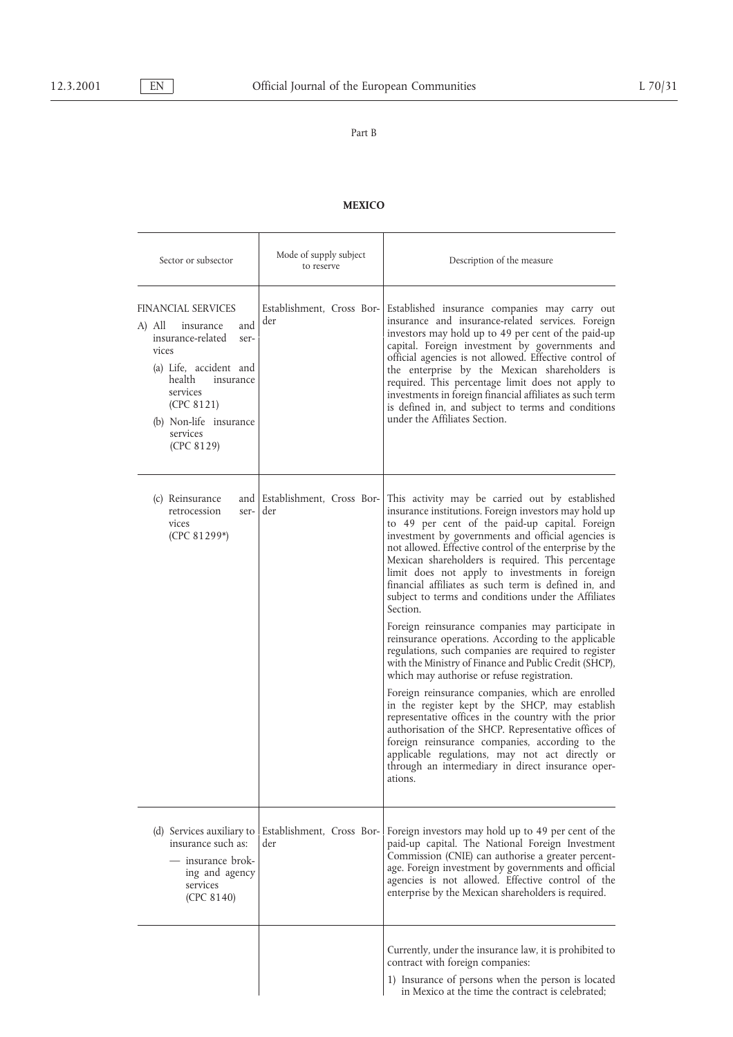# Part B

# **MEXICO**

| Sector or subsector                                                                                                                                                                                                   | Mode of supply subject<br>to reserve | Description of the measure                                                                                                                                                                                                                                                                                                                                                                                                                                                                                                                                                                                                                                                                                                                                                                                                                                                                                                                                                                                                                                                                                                                                                               |
|-----------------------------------------------------------------------------------------------------------------------------------------------------------------------------------------------------------------------|--------------------------------------|------------------------------------------------------------------------------------------------------------------------------------------------------------------------------------------------------------------------------------------------------------------------------------------------------------------------------------------------------------------------------------------------------------------------------------------------------------------------------------------------------------------------------------------------------------------------------------------------------------------------------------------------------------------------------------------------------------------------------------------------------------------------------------------------------------------------------------------------------------------------------------------------------------------------------------------------------------------------------------------------------------------------------------------------------------------------------------------------------------------------------------------------------------------------------------------|
| FINANCIAL SERVICES<br>A) All<br>and<br>insurance<br>insurance-related<br>ser-<br>vices<br>(a) Life, accident and<br>health<br>insurance<br>services<br>(CPC 8121)<br>(b) Non-life insurance<br>services<br>(CPC 8129) | Establishment, Cross Bor-<br>der     | Established insurance companies may carry out<br>insurance and insurance-related services. Foreign<br>investors may hold up to 49 per cent of the paid-up<br>capital. Foreign investment by governments and<br>official agencies is not allowed. Effective control of<br>the enterprise by the Mexican shareholders is<br>required. This percentage limit does not apply to<br>investments in foreign financial affiliates as such term<br>is defined in, and subject to terms and conditions<br>under the Affiliates Section.                                                                                                                                                                                                                                                                                                                                                                                                                                                                                                                                                                                                                                                           |
| (c) Reinsurance<br>retrocession<br>ser-<br>vices<br>(CPC 81299*)                                                                                                                                                      | and Establishment, Cross Bor-<br>der | This activity may be carried out by established<br>insurance institutions. Foreign investors may hold up<br>to 49 per cent of the paid-up capital. Foreign<br>investment by governments and official agencies is<br>not allowed. Effective control of the enterprise by the<br>Mexican shareholders is required. This percentage<br>limit does not apply to investments in foreign<br>financial affiliates as such term is defined in, and<br>subject to terms and conditions under the Affiliates<br>Section.<br>Foreign reinsurance companies may participate in<br>reinsurance operations. According to the applicable<br>regulations, such companies are required to register<br>with the Ministry of Finance and Public Credit (SHCP),<br>which may authorise or refuse registration.<br>Foreign reinsurance companies, which are enrolled<br>in the register kept by the SHCP, may establish<br>representative offices in the country with the prior<br>authorisation of the SHCP. Representative offices of<br>foreign reinsurance companies, according to the<br>applicable regulations, may not act directly or<br>through an intermediary in direct insurance oper-<br>ations. |
| (d) Services auxiliary to<br>insurance such as:<br>– insurance brok-<br>ing and agency<br>services<br>(CPC 8140)                                                                                                      | Establishment, Cross Bor-<br>der     | Foreign investors may hold up to 49 per cent of the<br>paid-up capital. The National Foreign Investment<br>Commission (CNIE) can authorise a greater percent-<br>age. Foreign investment by governments and official<br>agencies is not allowed. Effective control of the<br>enterprise by the Mexican shareholders is required.                                                                                                                                                                                                                                                                                                                                                                                                                                                                                                                                                                                                                                                                                                                                                                                                                                                         |
|                                                                                                                                                                                                                       |                                      | Currently, under the insurance law, it is prohibited to<br>contract with foreign companies:<br>1) Insurance of persons when the person is located<br>in Mexico at the time the contract is celebrated;                                                                                                                                                                                                                                                                                                                                                                                                                                                                                                                                                                                                                                                                                                                                                                                                                                                                                                                                                                                   |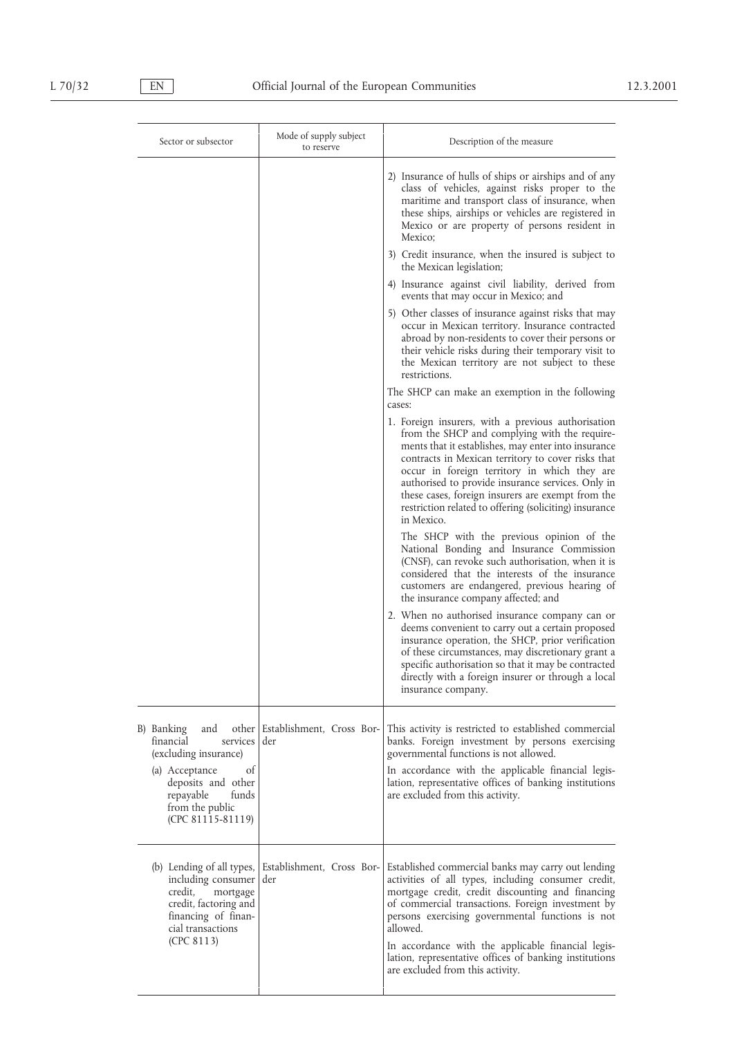| Sector or subsector                                                                                                                                       | Mode of supply subject<br>to reserve     | Description of the measure                                                                                                                                                                                                                                                                                                                                                                                                                         |
|-----------------------------------------------------------------------------------------------------------------------------------------------------------|------------------------------------------|----------------------------------------------------------------------------------------------------------------------------------------------------------------------------------------------------------------------------------------------------------------------------------------------------------------------------------------------------------------------------------------------------------------------------------------------------|
|                                                                                                                                                           |                                          | 2) Insurance of hulls of ships or airships and of any<br>class of vehicles, against risks proper to the<br>maritime and transport class of insurance, when<br>these ships, airships or vehicles are registered in<br>Mexico or are property of persons resident in<br>Mexico;<br>3) Credit insurance, when the insured is subject to                                                                                                               |
|                                                                                                                                                           |                                          | the Mexican legislation;<br>4) Insurance against civil liability, derived from                                                                                                                                                                                                                                                                                                                                                                     |
|                                                                                                                                                           |                                          | events that may occur in Mexico; and<br>5) Other classes of insurance against risks that may<br>occur in Mexican territory. Insurance contracted<br>abroad by non-residents to cover their persons or<br>their vehicle risks during their temporary visit to<br>the Mexican territory are not subject to these<br>restrictions.                                                                                                                    |
|                                                                                                                                                           |                                          | The SHCP can make an exemption in the following<br>cases:                                                                                                                                                                                                                                                                                                                                                                                          |
|                                                                                                                                                           |                                          | 1. Foreign insurers, with a previous authorisation<br>from the SHCP and complying with the require-<br>ments that it establishes, may enter into insurance<br>contracts in Mexican territory to cover risks that<br>occur in foreign territory in which they are<br>authorised to provide insurance services. Only in<br>these cases, foreign insurers are exempt from the<br>restriction related to offering (soliciting) insurance<br>in Mexico. |
|                                                                                                                                                           |                                          | The SHCP with the previous opinion of the<br>National Bonding and Insurance Commission<br>(CNSF), can revoke such authorisation, when it is<br>considered that the interests of the insurance<br>customers are endangered, previous hearing of<br>the insurance company affected; and                                                                                                                                                              |
|                                                                                                                                                           |                                          | 2. When no authorised insurance company can or<br>deems convenient to carry out a certain proposed<br>insurance operation, the SHCP, prior verification<br>of these circumstances, may discretionary grant a<br>specific authorisation so that it may be contracted<br>directly with a foreign insurer or through a local<br>insurance company.                                                                                                    |
| B) Banking<br>and<br>financial<br>services<br>(excluding insurance)                                                                                       | other   Establishment, Cross Bor-<br>der | This activity is restricted to established commercial<br>banks. Foreign investment by persons exercising<br>governmental functions is not allowed.                                                                                                                                                                                                                                                                                                 |
| (a) Acceptance<br>οt<br>deposits and other<br>repayable<br>funds<br>from the public<br>$(CPC 81115 - 81119)$                                              |                                          | In accordance with the applicable financial legis-<br>lation, representative offices of banking institutions<br>are excluded from this activity.                                                                                                                                                                                                                                                                                                   |
| (b) Lending of all types,<br>including consumer<br>credit,<br>mortgage<br>credit, factoring and<br>financing of finan-<br>cial transactions<br>(CPC 8113) | Establishment, Cross Bor-<br>der         | Established commercial banks may carry out lending<br>activities of all types, including consumer credit,<br>mortgage credit, credit discounting and financing<br>of commercial transactions. Foreign investment by<br>persons exercising governmental functions is not<br>allowed.<br>In accordance with the applicable financial legis-<br>lation, representative offices of banking institutions<br>are excluded from this activity.            |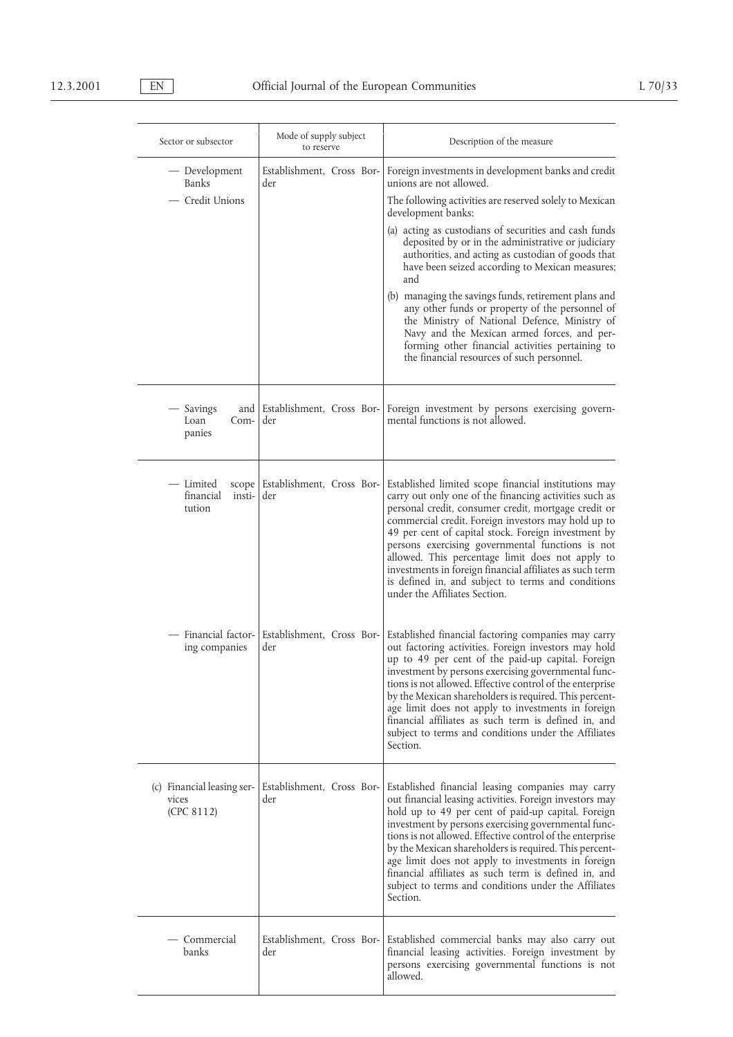| Sector or subsector                               | Mode of supply subject<br>to reserve   | Description of the measure                                                                                                                                                                                                                                                                                                                                                                                                                                                                                                                      |
|---------------------------------------------------|----------------------------------------|-------------------------------------------------------------------------------------------------------------------------------------------------------------------------------------------------------------------------------------------------------------------------------------------------------------------------------------------------------------------------------------------------------------------------------------------------------------------------------------------------------------------------------------------------|
| — Development<br><b>Banks</b>                     | Establishment, Cross Bor-<br>der       | Foreign investments in development banks and credit<br>unions are not allowed.                                                                                                                                                                                                                                                                                                                                                                                                                                                                  |
| Credit Unions                                     |                                        | The following activities are reserved solely to Mexican<br>development banks:                                                                                                                                                                                                                                                                                                                                                                                                                                                                   |
|                                                   |                                        | (a) acting as custodians of securities and cash funds<br>deposited by or in the administrative or judiciary<br>authorities, and acting as custodian of goods that<br>have been seized according to Mexican measures;<br>and                                                                                                                                                                                                                                                                                                                     |
|                                                   |                                        | (b) managing the savings funds, retirement plans and<br>any other funds or property of the personnel of<br>the Ministry of National Defence, Ministry of<br>Navy and the Mexican armed forces, and per-<br>forming other financial activities pertaining to<br>the financial resources of such personnel.                                                                                                                                                                                                                                       |
| Savings<br>and  <br>Com-<br>Loan<br>panies        | Establishment, Cross Bor-<br>der       | Foreign investment by persons exercising govern-<br>mental functions is not allowed.                                                                                                                                                                                                                                                                                                                                                                                                                                                            |
| — Limited<br>financial<br>insti-<br>tution        | scope Establishment, Cross Bor-<br>der | Established limited scope financial institutions may<br>carry out only one of the financing activities such as<br>personal credit, consumer credit, mortgage credit or<br>commercial credit. Foreign investors may hold up to<br>49 per cent of capital stock. Foreign investment by<br>persons exercising governmental functions is not<br>allowed. This percentage limit does not apply to<br>investments in foreign financial affiliates as such term<br>is defined in, and subject to terms and conditions<br>under the Affiliates Section. |
| Financial factor-<br>ing companies                | Establishment, Cross Bor-<br>der       | Established financial factoring companies may carry<br>out factoring activities. Foreign investors may hold<br>up to 49 per cent of the paid-up capital. Foreign<br>investment by persons exercising governmental func-<br>tions is not allowed. Effective control of the enterprise<br>by the Mexican shareholders is required. This percent-<br>age limit does not apply to investments in foreign<br>financial affiliates as such term is defined in, and<br>subject to terms and conditions under the Affiliates<br>Section.                |
| (c) Financial leasing ser-<br>vices<br>(CPC 8112) | Establishment, Cross Bor-<br>der       | Established financial leasing companies may carry<br>out financial leasing activities. Foreign investors may<br>hold up to 49 per cent of paid-up capital. Foreign<br>investment by persons exercising governmental func-<br>tions is not allowed. Effective control of the enterprise<br>by the Mexican shareholders is required. This percent-<br>age limit does not apply to investments in foreign<br>financial affiliates as such term is defined in, and<br>subject to terms and conditions under the Affiliates<br>Section.              |
| Commercial<br>banks                               | Establishment, Cross Bor-<br>der       | Established commercial banks may also carry out<br>financial leasing activities. Foreign investment by<br>persons exercising governmental functions is not<br>allowed.                                                                                                                                                                                                                                                                                                                                                                          |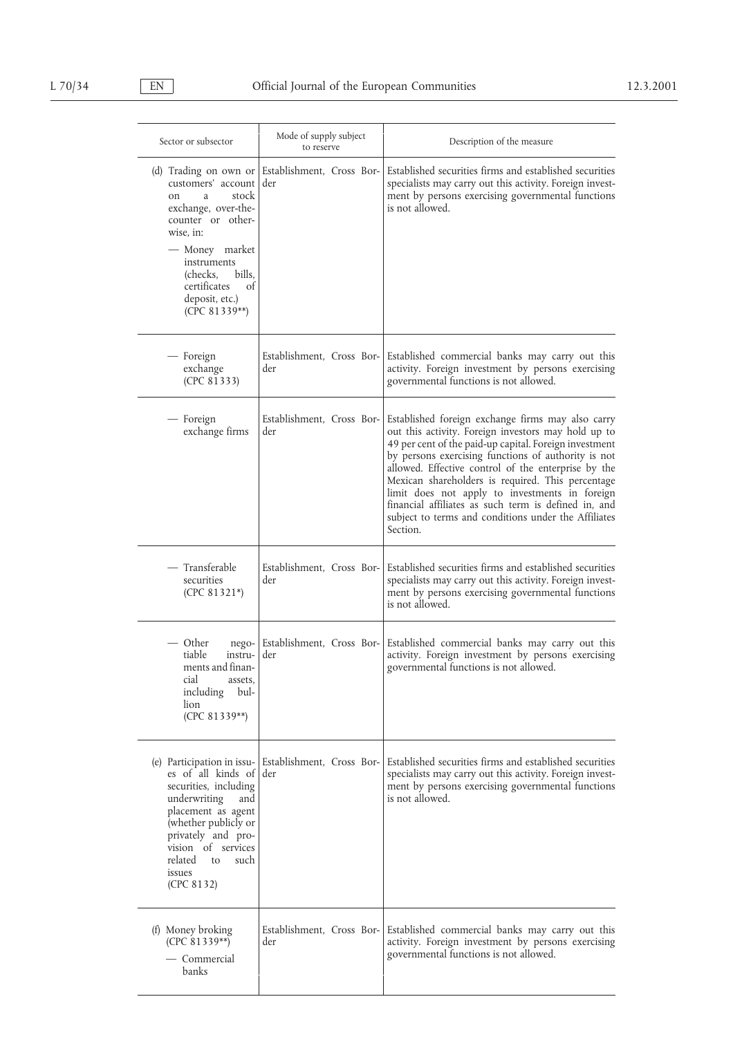| Sector or subsector                                                                                                                                                                                                                                                | Mode of supply subject<br>to reserve |  | Description of the measure                                                                                                                                                                                                                                                                                                                                                                                                                                                                                          |
|--------------------------------------------------------------------------------------------------------------------------------------------------------------------------------------------------------------------------------------------------------------------|--------------------------------------|--|---------------------------------------------------------------------------------------------------------------------------------------------------------------------------------------------------------------------------------------------------------------------------------------------------------------------------------------------------------------------------------------------------------------------------------------------------------------------------------------------------------------------|
| (d) Trading on own or Establishment, Cross Bor-<br>customers' account<br>stock<br>a<br>on<br>exchange, over-the-<br>counter or other-<br>wise, in:<br>— Money market<br>instruments<br>(checks,<br>bills.<br>certificates<br>οf<br>deposit, etc.)<br>(CPC 81339**) | der                                  |  | Established securities firms and established securities<br>specialists may carry out this activity. Foreign invest-<br>ment by persons exercising governmental functions<br>is not allowed.                                                                                                                                                                                                                                                                                                                         |
| - Foreign<br>exchange<br>(CPC 81333)                                                                                                                                                                                                                               | Establishment, Cross Bor-<br>der     |  | Established commercial banks may carry out this<br>activity. Foreign investment by persons exercising<br>governmental functions is not allowed.                                                                                                                                                                                                                                                                                                                                                                     |
| Foreign<br>exchange firms                                                                                                                                                                                                                                          | Establishment, Cross Bor-<br>der     |  | Established foreign exchange firms may also carry<br>out this activity. Foreign investors may hold up to<br>49 per cent of the paid-up capital. Foreign investment<br>by persons exercising functions of authority is not<br>allowed. Effective control of the enterprise by the<br>Mexican shareholders is required. This percentage<br>limit does not apply to investments in foreign<br>financial affiliates as such term is defined in, and<br>subject to terms and conditions under the Affiliates<br>Section. |
| — Transferable<br>securities<br>(CPC 81321*)                                                                                                                                                                                                                       | Establishment, Cross Bor-<br>der     |  | Established securities firms and established securities<br>specialists may carry out this activity. Foreign invest-<br>ment by persons exercising governmental functions<br>is not allowed.                                                                                                                                                                                                                                                                                                                         |
| — Other<br>$nego-$<br>tiable<br>instru-<br>ments and finan-<br>cial<br>assets,<br>including<br>bul-<br>lion<br>(CPC 81339**)                                                                                                                                       | Establishment, Cross Bor-<br>der     |  | Established commercial banks may carry out this<br>activity. Foreign investment by persons exercising<br>governmental functions is not allowed.                                                                                                                                                                                                                                                                                                                                                                     |
| (e) Participation in issu-<br>es of all kinds of<br>securities, including<br>underwriting<br>and<br>placement as agent<br>(whether publicly or<br>privately and pro-<br>vision of services<br>related<br>to<br>such<br>issues<br>(CPC 8132)                        | Establishment, Cross Bor-<br>der     |  | Established securities firms and established securities<br>specialists may carry out this activity. Foreign invest-<br>ment by persons exercising governmental functions<br>is not allowed.                                                                                                                                                                                                                                                                                                                         |
| (f) Money broking<br>(CPC 81339**)<br>- Commercial<br>banks                                                                                                                                                                                                        | Establishment, Cross Bor-<br>der     |  | Established commercial banks may carry out this<br>activity. Foreign investment by persons exercising<br>governmental functions is not allowed.                                                                                                                                                                                                                                                                                                                                                                     |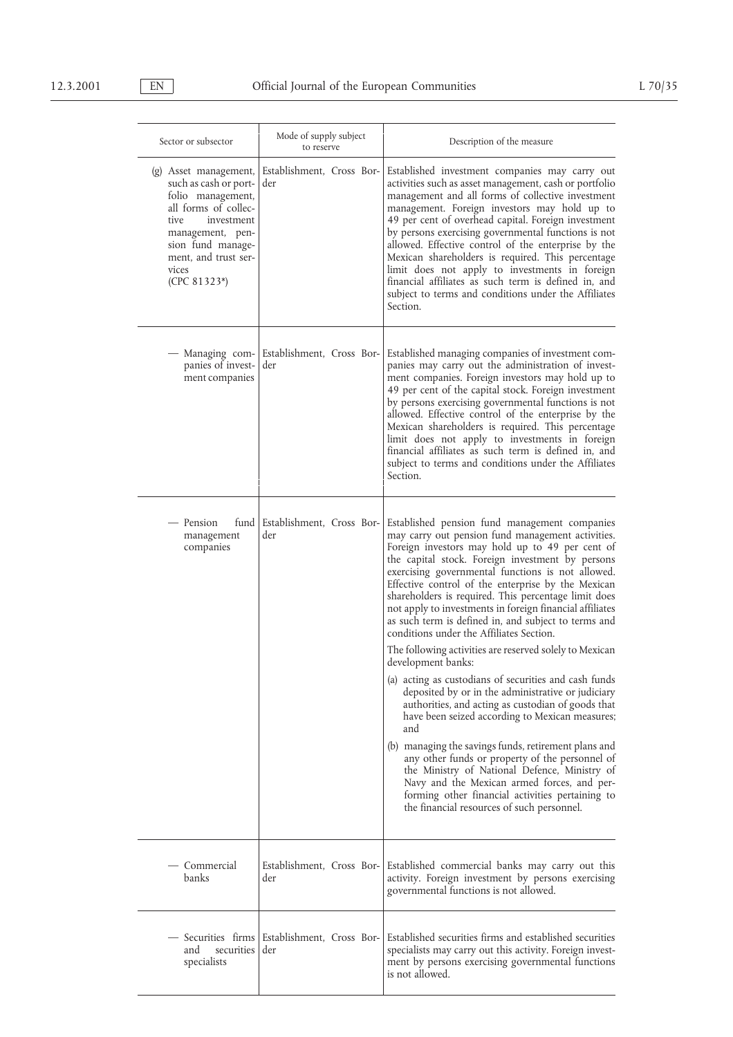| Sector or subsector                                                                                                                                                                                         | Mode of supply subject<br>to reserve    | Description of the measure                                                                                                                                                                                                                                                                                                                                                                                                                                                                                                                                                                                                                                                                                                                                                                                                                                                                                                                                                                                                                                                                                                                                                |
|-------------------------------------------------------------------------------------------------------------------------------------------------------------------------------------------------------------|-----------------------------------------|---------------------------------------------------------------------------------------------------------------------------------------------------------------------------------------------------------------------------------------------------------------------------------------------------------------------------------------------------------------------------------------------------------------------------------------------------------------------------------------------------------------------------------------------------------------------------------------------------------------------------------------------------------------------------------------------------------------------------------------------------------------------------------------------------------------------------------------------------------------------------------------------------------------------------------------------------------------------------------------------------------------------------------------------------------------------------------------------------------------------------------------------------------------------------|
| (g) Asset management,<br>such as cash or port-<br>folio management,<br>all forms of collec-<br>investment<br>tive<br>management, pen-<br>sion fund manage-<br>ment, and trust ser-<br>vices<br>(CPC 81323*) | Establishment, Cross Bor-<br>der        | Established investment companies may carry out<br>activities such as asset management, cash or portfolio<br>management and all forms of collective investment<br>management. Foreign investors may hold up to<br>49 per cent of overhead capital. Foreign investment<br>by persons exercising governmental functions is not<br>allowed. Effective control of the enterprise by the<br>Mexican shareholders is required. This percentage<br>limit does not apply to investments in foreign<br>financial affiliates as such term is defined in, and<br>subject to terms and conditions under the Affiliates<br>Section.                                                                                                                                                                                                                                                                                                                                                                                                                                                                                                                                                     |
| Managing com-<br>panies of invest-<br>ment companies                                                                                                                                                        | Establishment, Cross Bor-<br>der        | Established managing companies of investment com-<br>panies may carry out the administration of invest-<br>ment companies. Foreign investors may hold up to<br>49 per cent of the capital stock. Foreign investment<br>by persons exercising governmental functions is not<br>allowed. Effective control of the enterprise by the<br>Mexican shareholders is required. This percentage<br>limit does not apply to investments in foreign<br>financial affiliates as such term is defined in, and<br>subject to terms and conditions under the Affiliates<br>Section.                                                                                                                                                                                                                                                                                                                                                                                                                                                                                                                                                                                                      |
| - Pension<br>management<br>companies                                                                                                                                                                        | fund   Establishment, Cross Bor-<br>der | Established pension fund management companies<br>may carry out pension fund management activities.<br>Foreign investors may hold up to 49 per cent of<br>the capital stock. Foreign investment by persons<br>exercising governmental functions is not allowed.<br>Effective control of the enterprise by the Mexican<br>shareholders is required. This percentage limit does<br>not apply to investments in foreign financial affiliates<br>as such term is defined in, and subject to terms and<br>conditions under the Affiliates Section.<br>The following activities are reserved solely to Mexican<br>development banks:<br>(a) acting as custodians of securities and cash funds<br>deposited by or in the administrative or judiciary<br>authorities, and acting as custodian of goods that<br>have been seized according to Mexican measures;<br>and<br>(b) managing the savings funds, retirement plans and<br>any other funds or property of the personnel of<br>the Ministry of National Defence, Ministry of<br>Navy and the Mexican armed forces, and per-<br>forming other financial activities pertaining to<br>the financial resources of such personnel. |
| – Commercial<br>banks                                                                                                                                                                                       | Establishment, Cross Bor-<br>der        | Established commercial banks may carry out this<br>activity. Foreign investment by persons exercising<br>governmental functions is not allowed.                                                                                                                                                                                                                                                                                                                                                                                                                                                                                                                                                                                                                                                                                                                                                                                                                                                                                                                                                                                                                           |
| Securities firms<br>securities<br>and<br>specialists                                                                                                                                                        | Establishment, Cross Bor-<br>der        | Established securities firms and established securities<br>specialists may carry out this activity. Foreign invest-<br>ment by persons exercising governmental functions<br>is not allowed.                                                                                                                                                                                                                                                                                                                                                                                                                                                                                                                                                                                                                                                                                                                                                                                                                                                                                                                                                                               |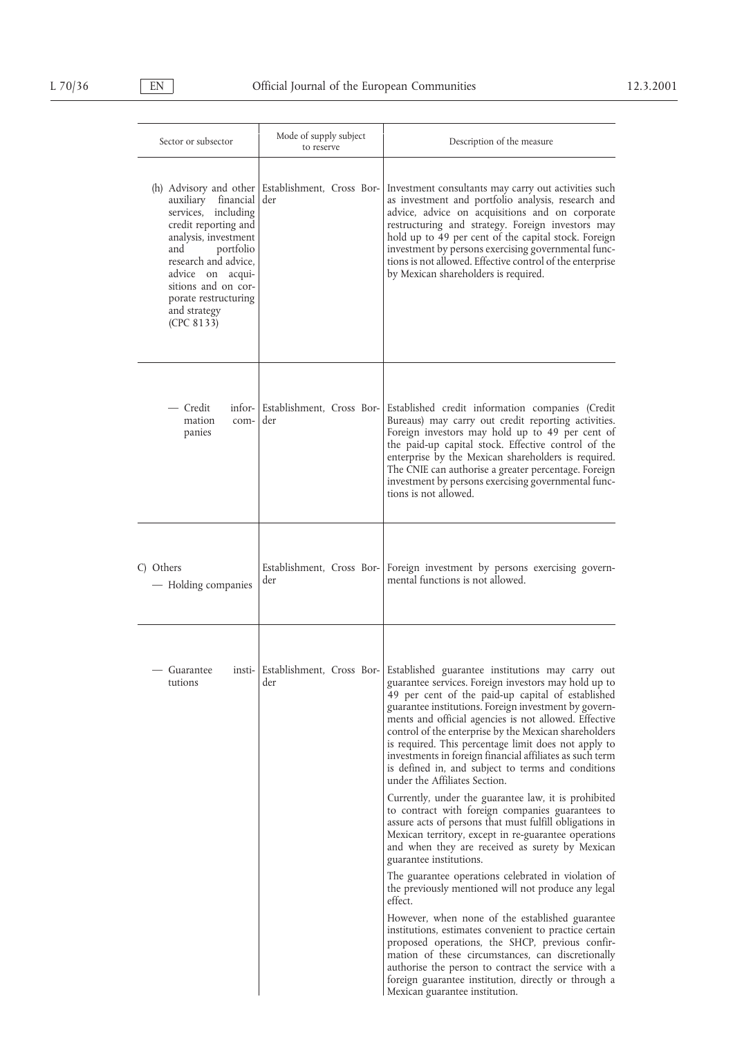| Sector or subsector                                                                                                                                                                                                                     | Mode of supply subject<br>to reserve                    | Description of the measure                                                                                                                                                                                                                                                                                                                                                                                                                                                                                                                                                                                                                                                                                                                                                                                                                                                                                                                                                                                                                                                                                                                                                                                                                                                                                                                                     |
|-----------------------------------------------------------------------------------------------------------------------------------------------------------------------------------------------------------------------------------------|---------------------------------------------------------|----------------------------------------------------------------------------------------------------------------------------------------------------------------------------------------------------------------------------------------------------------------------------------------------------------------------------------------------------------------------------------------------------------------------------------------------------------------------------------------------------------------------------------------------------------------------------------------------------------------------------------------------------------------------------------------------------------------------------------------------------------------------------------------------------------------------------------------------------------------------------------------------------------------------------------------------------------------------------------------------------------------------------------------------------------------------------------------------------------------------------------------------------------------------------------------------------------------------------------------------------------------------------------------------------------------------------------------------------------------|
| auxiliary financial<br>services, including<br>credit reporting and<br>analysis, investment<br>portfolio<br>and<br>research and advice,<br>advice on acqui-<br>sitions and on cor-<br>porate restructuring<br>and strategy<br>(CPC 8133) | (h) Advisory and other Establishment, Cross Bor-<br>der | Investment consultants may carry out activities such<br>as investment and portfolio analysis, research and<br>advice, advice on acquisitions and on corporate<br>restructuring and strategy. Foreign investors may<br>hold up to 49 per cent of the capital stock. Foreign<br>investment by persons exercising governmental func-<br>tions is not allowed. Effective control of the enterprise<br>by Mexican shareholders is required.                                                                                                                                                                                                                                                                                                                                                                                                                                                                                                                                                                                                                                                                                                                                                                                                                                                                                                                         |
| Credit<br>mation<br>com-<br>panies                                                                                                                                                                                                      | infor- Establishment, Cross Bor-<br>der                 | Established credit information companies (Credit<br>Bureaus) may carry out credit reporting activities.<br>Foreign investors may hold up to 49 per cent of<br>the paid-up capital stock. Effective control of the<br>enterprise by the Mexican shareholders is required.<br>The CNIE can authorise a greater percentage. Foreign<br>investment by persons exercising governmental func-<br>tions is not allowed.                                                                                                                                                                                                                                                                                                                                                                                                                                                                                                                                                                                                                                                                                                                                                                                                                                                                                                                                               |
| C) Others<br>— Holding companies                                                                                                                                                                                                        | Establishment, Cross Bor-<br>der                        | Foreign investment by persons exercising govern-<br>mental functions is not allowed.                                                                                                                                                                                                                                                                                                                                                                                                                                                                                                                                                                                                                                                                                                                                                                                                                                                                                                                                                                                                                                                                                                                                                                                                                                                                           |
| Guarantee<br>tutions                                                                                                                                                                                                                    | der                                                     | insti- Establishment, Cross Bor- Established guarantee institutions may carry out<br>guarantee services. Foreign investors may hold up to<br>49 per cent of the paid-up capital of established<br>guarantee institutions. Foreign investment by govern-<br>ments and official agencies is not allowed. Effective<br>control of the enterprise by the Mexican shareholders<br>is required. This percentage limit does not apply to<br>investments in foreign financial affiliates as such term<br>is defined in, and subject to terms and conditions<br>under the Affiliates Section.<br>Currently, under the guarantee law, it is prohibited<br>to contract with foreign companies guarantees to<br>assure acts of persons that must fulfill obligations in<br>Mexican territory, except in re-guarantee operations<br>and when they are received as surety by Mexican<br>guarantee institutions.<br>The guarantee operations celebrated in violation of<br>the previously mentioned will not produce any legal<br>effect.<br>However, when none of the established guarantee<br>institutions, estimates convenient to practice certain<br>proposed operations, the SHCP, previous confir-<br>mation of these circumstances, can discretionally<br>authorise the person to contract the service with a<br>foreign guarantee institution, directly or through a |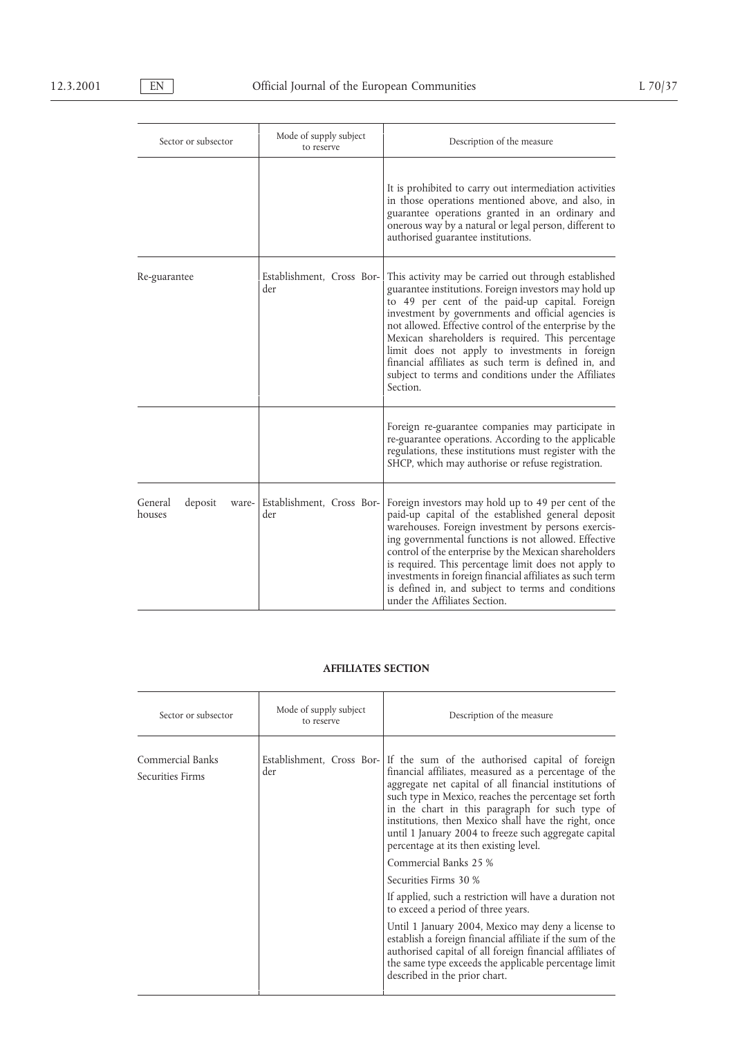$\overline{\phantom{0}}$ 

 $\overline{\phantom{0}}$ 

| Sector or subsector                   | Mode of supply subject<br>to reserve | Description of the measure                                                                                                                                                                                                                                                                                                                                                                                                                                                                                          |
|---------------------------------------|--------------------------------------|---------------------------------------------------------------------------------------------------------------------------------------------------------------------------------------------------------------------------------------------------------------------------------------------------------------------------------------------------------------------------------------------------------------------------------------------------------------------------------------------------------------------|
|                                       |                                      | It is prohibited to carry out intermediation activities<br>in those operations mentioned above, and also, in<br>guarantee operations granted in an ordinary and<br>onerous way by a natural or legal person, different to<br>authorised guarantee institutions.                                                                                                                                                                                                                                                     |
| Re-guarantee                          | Establishment, Cross Bor-<br>der     | This activity may be carried out through established<br>guarantee institutions. Foreign investors may hold up<br>to 49 per cent of the paid-up capital. Foreign<br>investment by governments and official agencies is<br>not allowed. Effective control of the enterprise by the<br>Mexican shareholders is required. This percentage<br>limit does not apply to investments in foreign<br>financial affiliates as such term is defined in, and<br>subject to terms and conditions under the Affiliates<br>Section. |
|                                       |                                      | Foreign re-guarantee companies may participate in<br>re-guarantee operations. According to the applicable<br>regulations, these institutions must register with the<br>SHCP, which may authorise or refuse registration.                                                                                                                                                                                                                                                                                            |
| General<br>deposit<br>ware-<br>houses | Establishment, Cross Bor-<br>der     | Foreign investors may hold up to 49 per cent of the<br>paid-up capital of the established general deposit<br>warehouses. Foreign investment by persons exercis-<br>ing governmental functions is not allowed. Effective<br>control of the enterprise by the Mexican shareholders<br>is required. This percentage limit does not apply to<br>investments in foreign financial affiliates as such term                                                                                                                |

# **AFFILIATES SECTION**

is defined in, and subject to terms and conditions

under the Affiliates Section.

| Sector or subsector                                                      | Mode of supply subject<br>to reserve                                                                                                                                                                                                                                                                                                                                                                                                                               | Description of the measure                                                                                                                                                                                                                                             |
|--------------------------------------------------------------------------|--------------------------------------------------------------------------------------------------------------------------------------------------------------------------------------------------------------------------------------------------------------------------------------------------------------------------------------------------------------------------------------------------------------------------------------------------------------------|------------------------------------------------------------------------------------------------------------------------------------------------------------------------------------------------------------------------------------------------------------------------|
| Commercial Banks<br>Establishment, Cross Bor-<br>der<br>Securities Firms | If the sum of the authorised capital of foreign<br>financial affiliates, measured as a percentage of the<br>aggregate net capital of all financial institutions of<br>such type in Mexico, reaches the percentage set forth<br>in the chart in this paragraph for such type of<br>institutions, then Mexico shall have the right, once<br>until 1 January 2004 to freeze such aggregate capital<br>percentage at its then existing level.<br>Commercial Banks 25 % |                                                                                                                                                                                                                                                                        |
|                                                                          |                                                                                                                                                                                                                                                                                                                                                                                                                                                                    | Securities Firms 30 %                                                                                                                                                                                                                                                  |
|                                                                          |                                                                                                                                                                                                                                                                                                                                                                                                                                                                    | If applied, such a restriction will have a duration not<br>to exceed a period of three years.                                                                                                                                                                          |
|                                                                          |                                                                                                                                                                                                                                                                                                                                                                                                                                                                    | Until 1 January 2004, Mexico may deny a license to<br>establish a foreign financial affiliate if the sum of the<br>authorised capital of all foreign financial affiliates of<br>the same type exceeds the applicable percentage limit<br>described in the prior chart. |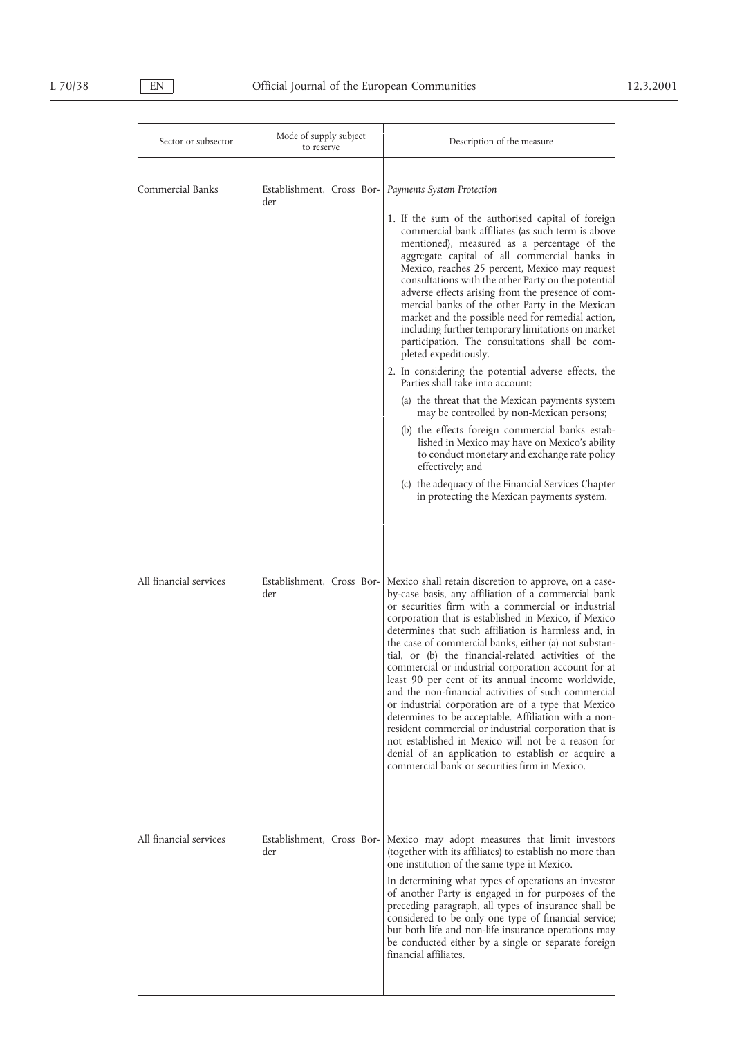| Sector or subsector    | Mode of supply subject<br>to reserve | Description of the measure                                                                                                                                                                                                                                                                                                                                                                                                                                                                                                                                                                                                                                                                                                                                                                                                                                                                                                                                                                                                                                                                                         |
|------------------------|--------------------------------------|--------------------------------------------------------------------------------------------------------------------------------------------------------------------------------------------------------------------------------------------------------------------------------------------------------------------------------------------------------------------------------------------------------------------------------------------------------------------------------------------------------------------------------------------------------------------------------------------------------------------------------------------------------------------------------------------------------------------------------------------------------------------------------------------------------------------------------------------------------------------------------------------------------------------------------------------------------------------------------------------------------------------------------------------------------------------------------------------------------------------|
| Commercial Banks       | Establishment, Cross Bor-<br>der     | Payments System Protection<br>1. If the sum of the authorised capital of foreign<br>commercial bank affiliates (as such term is above<br>mentioned), measured as a percentage of the<br>aggregate capital of all commercial banks in<br>Mexico, reaches 25 percent, Mexico may request<br>consultations with the other Party on the potential<br>adverse effects arising from the presence of com-<br>mercial banks of the other Party in the Mexican<br>market and the possible need for remedial action,<br>including further temporary limitations on market<br>participation. The consultations shall be com-<br>pleted expeditiously.<br>2. In considering the potential adverse effects, the<br>Parties shall take into account:<br>(a) the threat that the Mexican payments system<br>may be controlled by non-Mexican persons;<br>(b) the effects foreign commercial banks estab-<br>lished in Mexico may have on Mexico's ability<br>to conduct monetary and exchange rate policy<br>effectively; and<br>(c) the adequacy of the Financial Services Chapter<br>in protecting the Mexican payments system. |
| All financial services | Establishment, Cross Bor-<br>der     | Mexico shall retain discretion to approve, on a case-<br>by-case basis, any affiliation of a commercial bank<br>or securities firm with a commercial or industrial<br>corporation that is established in Mexico, if Mexico<br>determines that such affiliation is harmless and, in<br>the case of commercial banks, either (a) not substan-<br>tial, or (b) the financial-related activities of the<br>commercial or industrial corporation account for at<br>least 90 per cent of its annual income worldwide,<br>and the non-financial activities of such commercial<br>or industrial corporation are of a type that Mexico<br>determines to be acceptable. Affiliation with a non-<br>resident commercial or industrial corporation that is<br>not established in Mexico will not be a reason for<br>denial of an application to establish or acquire a<br>commercial bank or securities firm in Mexico.                                                                                                                                                                                                        |
| All financial services | Establishment, Cross Bor-<br>der     | Mexico may adopt measures that limit investors<br>(together with its affiliates) to establish no more than<br>one institution of the same type in Mexico.<br>In determining what types of operations an investor<br>of another Party is engaged in for purposes of the<br>preceding paragraph, all types of insurance shall be<br>considered to be only one type of financial service;<br>but both life and non-life insurance operations may<br>be conducted either by a single or separate foreign<br>financial affiliates.                                                                                                                                                                                                                                                                                                                                                                                                                                                                                                                                                                                      |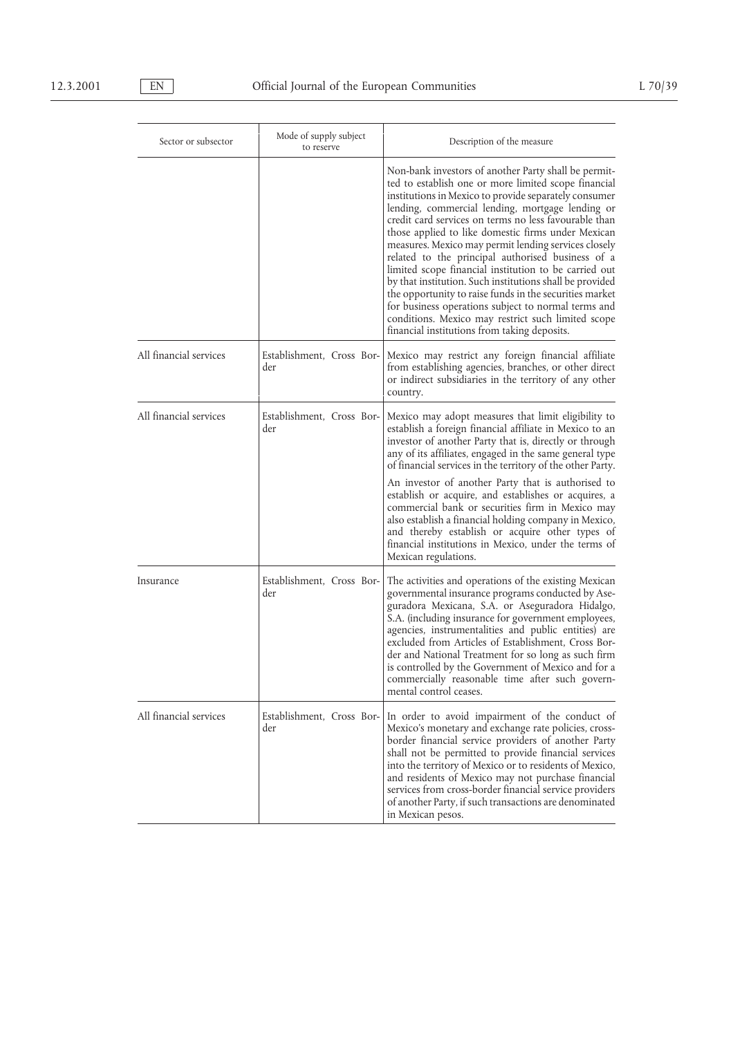Sector or subsector Mode of supply subject<br>to reserve

| Mode of supply subject<br>to reserve | Description of the measure                                                                                                                                                                                                                                                                                                                                                                                                                                                                                                                                                                                                                                                                                                                                                                         |  |  |
|--------------------------------------|----------------------------------------------------------------------------------------------------------------------------------------------------------------------------------------------------------------------------------------------------------------------------------------------------------------------------------------------------------------------------------------------------------------------------------------------------------------------------------------------------------------------------------------------------------------------------------------------------------------------------------------------------------------------------------------------------------------------------------------------------------------------------------------------------|--|--|
|                                      | Non-bank investors of another Party shall be permit-<br>ted to establish one or more limited scope financial<br>institutions in Mexico to provide separately consumer<br>lending, commercial lending, mortgage lending or<br>credit card services on terms no less favourable than<br>those applied to like domestic firms under Mexican<br>measures. Mexico may permit lending services closely<br>related to the principal authorised business of a<br>limited scope financial institution to be carried out<br>by that institution. Such institutions shall be provided<br>the opportunity to raise funds in the securities market<br>for business operations subject to normal terms and<br>conditions. Mexico may restrict such limited scope<br>financial institutions from taking deposits. |  |  |
| Establishment, Cross Bor- <br>der    | Mexico may restrict any foreign financial affiliate<br>from establishing agencies, branches, or other direct<br>or indirect subsidiaries in the territory of any other                                                                                                                                                                                                                                                                                                                                                                                                                                                                                                                                                                                                                             |  |  |

| All financial services | Establishment, Cross Bor-<br>der |  | Mexico may restrict any foreign financial affiliate<br>from establishing agencies, branches, or other direct<br>or indirect subsidiaries in the territory of any other<br>country.                                                                                                                                                                                                                                                                                                                                                                                                                                                                              |
|------------------------|----------------------------------|--|-----------------------------------------------------------------------------------------------------------------------------------------------------------------------------------------------------------------------------------------------------------------------------------------------------------------------------------------------------------------------------------------------------------------------------------------------------------------------------------------------------------------------------------------------------------------------------------------------------------------------------------------------------------------|
| All financial services | Establishment, Cross Bor-<br>der |  | Mexico may adopt measures that limit eligibility to<br>establish a foreign financial affiliate in Mexico to an<br>investor of another Party that is, directly or through<br>any of its affiliates, engaged in the same general type<br>of financial services in the territory of the other Party.<br>An investor of another Party that is authorised to<br>establish or acquire, and establishes or acquires, a<br>commercial bank or securities firm in Mexico may<br>also establish a financial holding company in Mexico,<br>and thereby establish or acquire other types of<br>financial institutions in Mexico, under the terms of<br>Mexican regulations. |
| Insurance              | Establishment, Cross Bor-<br>der |  | The activities and operations of the existing Mexican<br>governmental insurance programs conducted by Ase-<br>guradora Mexicana, S.A. or Aseguradora Hidalgo,<br>S.A. (including insurance for government employees,<br>agencies, instrumentalities and public entities) are<br>excluded from Articles of Establishment, Cross Bor-<br>der and National Treatment for so long as such firm<br>is controlled by the Government of Mexico and for a<br>commercially reasonable time after such govern-<br>mental control ceases.                                                                                                                                  |
| All financial services | Establishment, Cross Bor-<br>der |  | In order to avoid impairment of the conduct of<br>Mexico's monetary and exchange rate policies, cross-<br>border financial service providers of another Party<br>shall not be permitted to provide financial services<br>into the territory of Mexico or to residents of Mexico,<br>and residents of Mexico may not purchase financial<br>services from cross-border financial service providers<br>of another Party, if such transactions are denominated<br>in Mexican pesos.                                                                                                                                                                                 |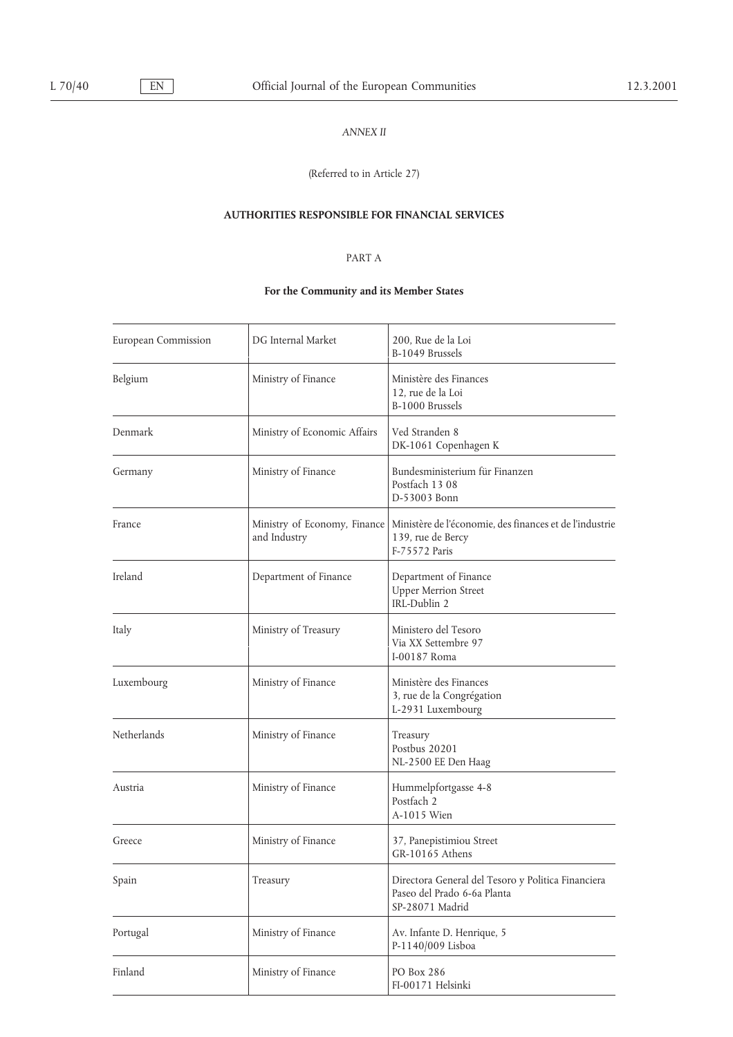# *ANNEX II*

# (Referred to in Article 27)

# **AUTHORITIES RESPONSIBLE FOR FINANCIAL SERVICES**

# PART A

# **For the Community and its Member States**

| European Commission            | DG Internal Market                           | 200, Rue de la Loi<br>B-1049 Brussels                                                                |
|--------------------------------|----------------------------------------------|------------------------------------------------------------------------------------------------------|
| Belgium                        | Ministry of Finance                          | Ministère des Finances<br>12, rue de la Loi<br>B-1000 Brussels                                       |
| Denmark                        | Ministry of Economic Affairs                 | Ved Stranden 8<br>DK-1061 Copenhagen K                                                               |
| Germany                        | Ministry of Finance                          | Bundesministerium für Finanzen<br>Postfach 13 08<br>D-53003 Bonn                                     |
| France                         | Ministry of Economy, Finance<br>and Industry | Ministère de l'économie, des finances et de l'industrie<br>139, rue de Bercy<br>F-75572 Paris        |
| Ireland                        | Department of Finance                        | Department of Finance<br><b>Upper Merrion Street</b><br>IRL-Dublin 2                                 |
| Italy                          | Ministry of Treasury                         | Ministero del Tesoro<br>Via XX Settembre 97<br>I-00187 Roma                                          |
| Luxembourg                     | Ministry of Finance                          | Ministère des Finances<br>3, rue de la Congrégation<br>L-2931 Luxembourg                             |
| <b>Netherlands</b>             | Ministry of Finance                          | Treasury<br>Postbus 20201<br>NL-2500 EE Den Haag                                                     |
| Austria<br>Ministry of Finance |                                              | Hummelpfortgasse 4-8<br>Postfach 2<br>A-1015 Wien                                                    |
| Greece                         | Ministry of Finance                          | 37, Panepistimiou Street<br>GR-10165 Athens                                                          |
| Spain                          | Treasury                                     | Directora General del Tesoro y Politica Financiera<br>Paseo del Prado 6-6a Planta<br>SP-28071 Madrid |
| Portugal                       | Ministry of Finance                          | Av. Infante D. Henrique, 5<br>P-1140/009 Lisboa                                                      |
| Finland                        | Ministry of Finance                          | PO Box 286<br>FI-00171 Helsinki                                                                      |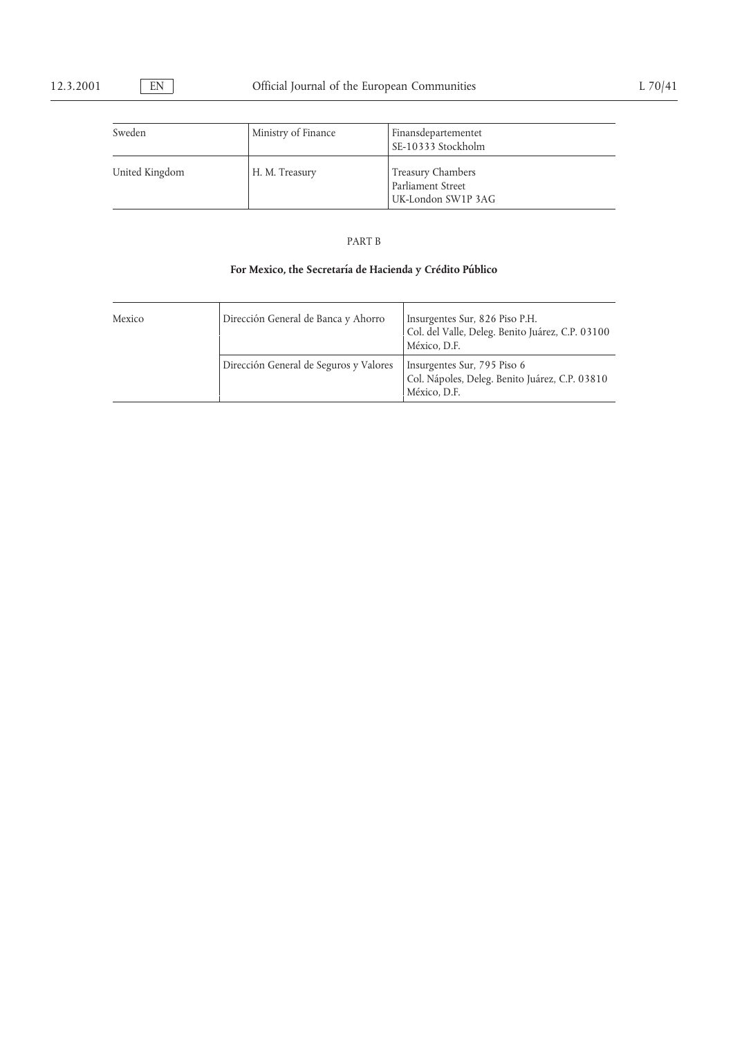| Sweden         | Ministry of Finance | Finansdepartementet<br>SE-10333 Stockholm                    |
|----------------|---------------------|--------------------------------------------------------------|
| United Kingdom | H. M. Treasury      | Treasury Chambers<br>Parliament Street<br>UK-London SW1P 3AG |

# PART B

# For Mexico, the Secretaría de Hacienda y Crédito Público

| Dirección General de Banca y Ahorro<br>Mexico |                                        | Insurgentes Sur, 826 Piso P.H.<br>Col. del Valle, Deleg. Benito Juárez, C.P. 03100<br>México, D.F. |
|-----------------------------------------------|----------------------------------------|----------------------------------------------------------------------------------------------------|
|                                               | Dirección General de Seguros y Valores | Insurgentes Sur, 795 Piso 6<br>Col. Nápoles, Deleg. Benito Juárez, C.P. 03810<br>México, D.F.      |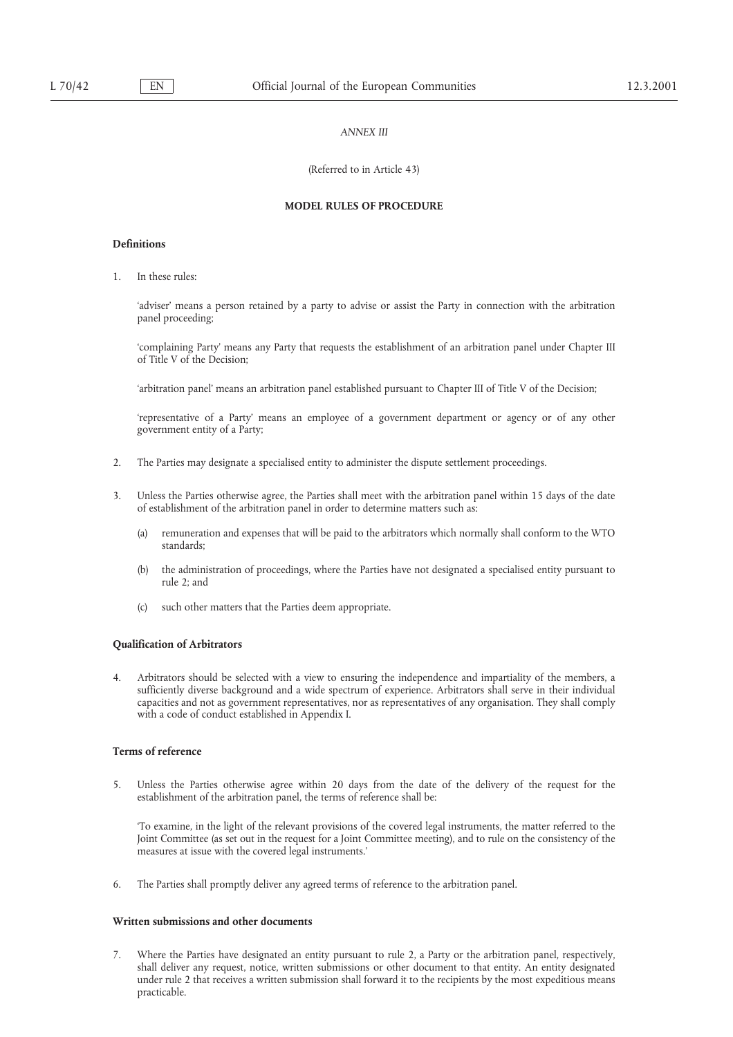## *ANNEX III*

## (Referred to in Article 43)

### **MODEL RULES OF PROCEDURE**

## **Definitions**

1. In these rules:

'adviser' means a person retained by a party to advise or assist the Party in connection with the arbitration panel proceeding;

'complaining Party' means any Party that requests the establishment of an arbitration panel under Chapter III of Title V of the Decision;

'arbitration panel' means an arbitration panel established pursuant to Chapter III of Title V of the Decision;

'representative of a Party' means an employee of a government department or agency or of any other government entity of a Party;

- 2. The Parties may designate a specialised entity to administer the dispute settlement proceedings.
- 3. Unless the Parties otherwise agree, the Parties shall meet with the arbitration panel within 15 days of the date of establishment of the arbitration panel in order to determine matters such as:
	- (a) remuneration and expenses that will be paid to the arbitrators which normally shall conform to the WTO standards;
	- (b) the administration of proceedings, where the Parties have not designated a specialised entity pursuant to rule 2; and
	- (c) such other matters that the Parties deem appropriate.

## **Qualification of Arbitrators**

4. Arbitrators should be selected with a view to ensuring the independence and impartiality of the members, a sufficiently diverse background and a wide spectrum of experience. Arbitrators shall serve in their individual capacities and not as government representatives, nor as representatives of any organisation. They shall comply with a code of conduct established in Appendix I.

# **Terms of reference**

5. Unless the Parties otherwise agree within 20 days from the date of the delivery of the request for the establishment of the arbitration panel, the terms of reference shall be:

'To examine, in the light of the relevant provisions of the covered legal instruments, the matter referred to the Joint Committee (as set out in the request for a Joint Committee meeting), and to rule on the consistency of the measures at issue with the covered legal instruments.'

6. The Parties shall promptly deliver any agreed terms of reference to the arbitration panel.

## **Written submissions and other documents**

7. Where the Parties have designated an entity pursuant to rule 2, a Party or the arbitration panel, respectively, shall deliver any request, notice, written submissions or other document to that entity. An entity designated under rule 2 that receives a written submission shall forward it to the recipients by the most expeditious means practicable.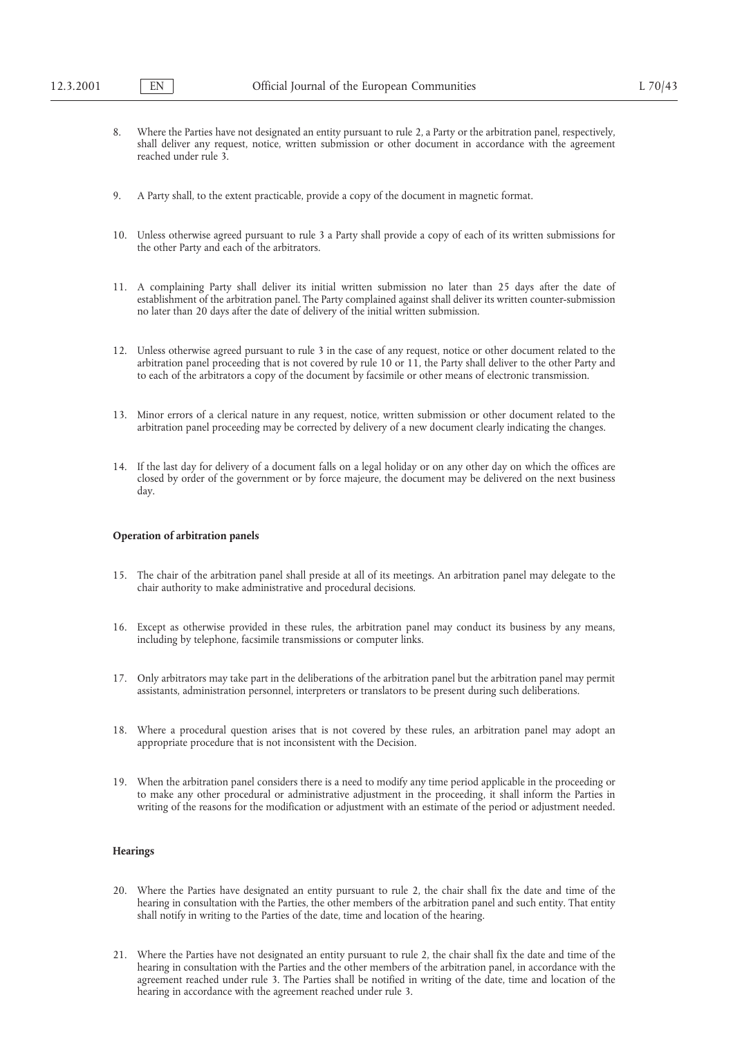- 8. Where the Parties have not designated an entity pursuant to rule 2, a Party or the arbitration panel, respectively, shall deliver any request, notice, written submission or other document in accordance with the agreement reached under rule 3.
- 9. A Party shall, to the extent practicable, provide a copy of the document in magnetic format.
- 10. Unless otherwise agreed pursuant to rule 3 a Party shall provide a copy of each of its written submissions for the other Party and each of the arbitrators.
- 11. A complaining Party shall deliver its initial written submission no later than 25 days after the date of establishment of the arbitration panel. The Party complained against shall deliver its written counter-submission no later than 20 days after the date of delivery of the initial written submission.
- 12. Unless otherwise agreed pursuant to rule 3 in the case of any request, notice or other document related to the arbitration panel proceeding that is not covered by rule 10 or 11, the Party shall deliver to the other Party and to each of the arbitrators a copy of the document by facsimile or other means of electronic transmission.
- 13. Minor errors of a clerical nature in any request, notice, written submission or other document related to the arbitration panel proceeding may be corrected by delivery of a new document clearly indicating the changes.
- 14. If the last day for delivery of a document falls on a legal holiday or on any other day on which the offices are closed by order of the government or by force majeure, the document may be delivered on the next business day.

## **Operation of arbitration panels**

- 15. The chair of the arbitration panel shall preside at all of its meetings. An arbitration panel may delegate to the chair authority to make administrative and procedural decisions.
- 16. Except as otherwise provided in these rules, the arbitration panel may conduct its business by any means, including by telephone, facsimile transmissions or computer links.
- 17. Only arbitrators may take part in the deliberations of the arbitration panel but the arbitration panel may permit assistants, administration personnel, interpreters or translators to be present during such deliberations.
- 18. Where a procedural question arises that is not covered by these rules, an arbitration panel may adopt an appropriate procedure that is not inconsistent with the Decision.
- 19. When the arbitration panel considers there is a need to modify any time period applicable in the proceeding or to make any other procedural or administrative adjustment in the proceeding, it shall inform the Parties in writing of the reasons for the modification or adjustment with an estimate of the period or adjustment needed.

# **Hearings**

- 20. Where the Parties have designated an entity pursuant to rule 2, the chair shall fix the date and time of the hearing in consultation with the Parties, the other members of the arbitration panel and such entity. That entity shall notify in writing to the Parties of the date, time and location of the hearing.
- 21. Where the Parties have not designated an entity pursuant to rule 2, the chair shall fix the date and time of the hearing in consultation with the Parties and the other members of the arbitration panel, in accordance with the agreement reached under rule 3. The Parties shall be notified in writing of the date, time and location of the hearing in accordance with the agreement reached under rule 3.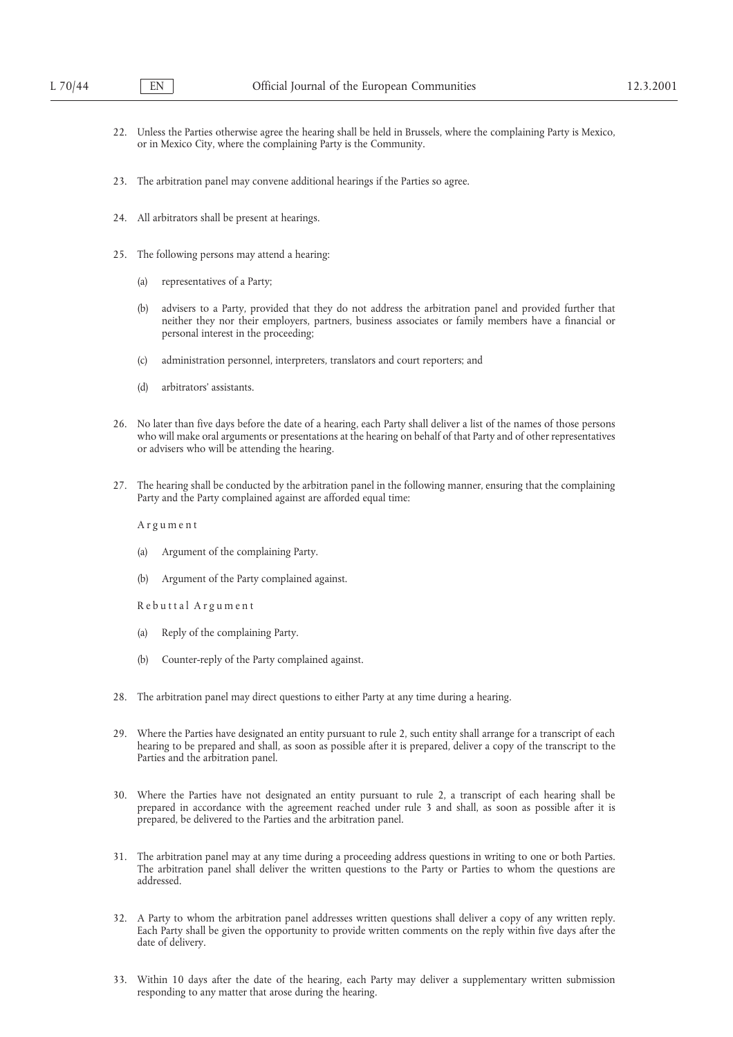- 22. Unless the Parties otherwise agree the hearing shall be held in Brussels, where the complaining Party is Mexico, or in Mexico City, where the complaining Party is the Community.
- 23. The arbitration panel may convene additional hearings if the Parties so agree.
- 24. All arbitrators shall be present at hearings.
- 25. The following persons may attend a hearing:
	- (a) representatives of a Party;
	- (b) advisers to a Party, provided that they do not address the arbitration panel and provided further that neither they nor their employers, partners, business associates or family members have a financial or personal interest in the proceeding;
	- (c) administration personnel, interpreters, translators and court reporters; and
	- (d) arbitrators' assistants.
- 26. No later than five days before the date of a hearing, each Party shall deliver a list of the names of those persons who will make oral arguments or presentations at the hearing on behalf of that Party and of other representatives or advisers who will be attending the hearing.
- 27. The hearing shall be conducted by the arbitration panel in the following manner, ensuring that the complaining Party and the Party complained against are afforded equal time:

Argument

- (a) Argument of the complaining Party.
- (b) Argument of the Party complained against.

Rebuttal Argument

- (a) Reply of the complaining Party.
- (b) Counter-reply of the Party complained against.
- 28. The arbitration panel may direct questions to either Party at any time during a hearing.
- 29. Where the Parties have designated an entity pursuant to rule 2, such entity shall arrange for a transcript of each hearing to be prepared and shall, as soon as possible after it is prepared, deliver a copy of the transcript to the Parties and the arbitration panel.
- 30. Where the Parties have not designated an entity pursuant to rule 2, a transcript of each hearing shall be prepared in accordance with the agreement reached under rule 3 and shall, as soon as possible after it is prepared, be delivered to the Parties and the arbitration panel.
- 31. The arbitration panel may at any time during a proceeding address questions in writing to one or both Parties. The arbitration panel shall deliver the written questions to the Party or Parties to whom the questions are addressed.
- 32. A Party to whom the arbitration panel addresses written questions shall deliver a copy of any written reply. Each Party shall be given the opportunity to provide written comments on the reply within five days after the date of delivery.
- 33. Within 10 days after the date of the hearing, each Party may deliver a supplementary written submission responding to any matter that arose during the hearing.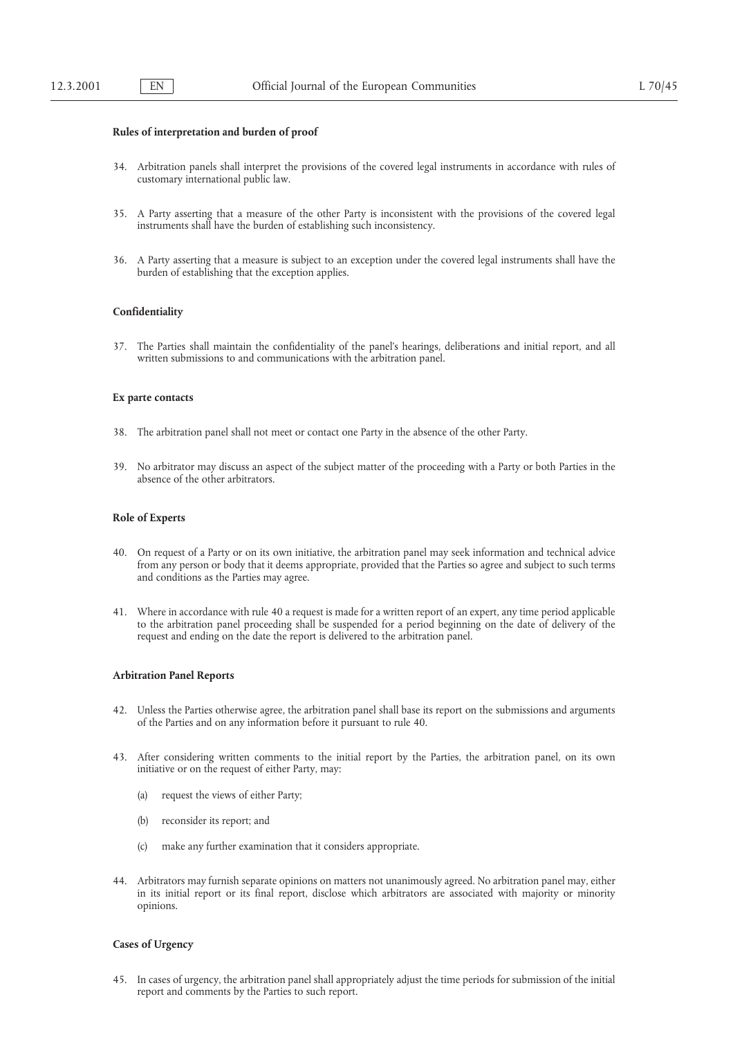# **Rules of interpretation and burden of proof**

- 34. Arbitration panels shall interpret the provisions of the covered legal instruments in accordance with rules of customary international public law.
- 35. A Party asserting that a measure of the other Party is inconsistent with the provisions of the covered legal instruments shall have the burden of establishing such inconsistency.
- 36. A Party asserting that a measure is subject to an exception under the covered legal instruments shall have the burden of establishing that the exception applies.

### **Confidentiality**

37. The Parties shall maintain the confidentiality of the panel's hearings, deliberations and initial report, and all written submissions to and communications with the arbitration panel.

## **Ex parte contacts**

- 38. The arbitration panel shall not meet or contact one Party in the absence of the other Party.
- 39. No arbitrator may discuss an aspect of the subject matter of the proceeding with a Party or both Parties in the absence of the other arbitrators.

## **Role of Experts**

- 40. On request of a Party or on its own initiative, the arbitration panel may seek information and technical advice from any person or body that it deems appropriate, provided that the Parties so agree and subject to such terms and conditions as the Parties may agree.
- 41. Where in accordance with rule 40 a request is made for a written report of an expert, any time period applicable to the arbitration panel proceeding shall be suspended for a period beginning on the date of delivery of the request and ending on the date the report is delivered to the arbitration panel.

## **Arbitration Panel Reports**

- 42. Unless the Parties otherwise agree, the arbitration panel shall base its report on the submissions and arguments of the Parties and on any information before it pursuant to rule 40.
- 43. After considering written comments to the initial report by the Parties, the arbitration panel, on its own initiative or on the request of either Party, may:
	- (a) request the views of either Party;
	- (b) reconsider its report; and
	- (c) make any further examination that it considers appropriate.
- 44. Arbitrators may furnish separate opinions on matters not unanimously agreed. No arbitration panel may, either in its initial report or its final report, disclose which arbitrators are associated with majority or minority opinions.

## **Cases of Urgency**

45. In cases of urgency, the arbitration panel shall appropriately adjust the time periods for submission of the initial report and comments by the Parties to such report.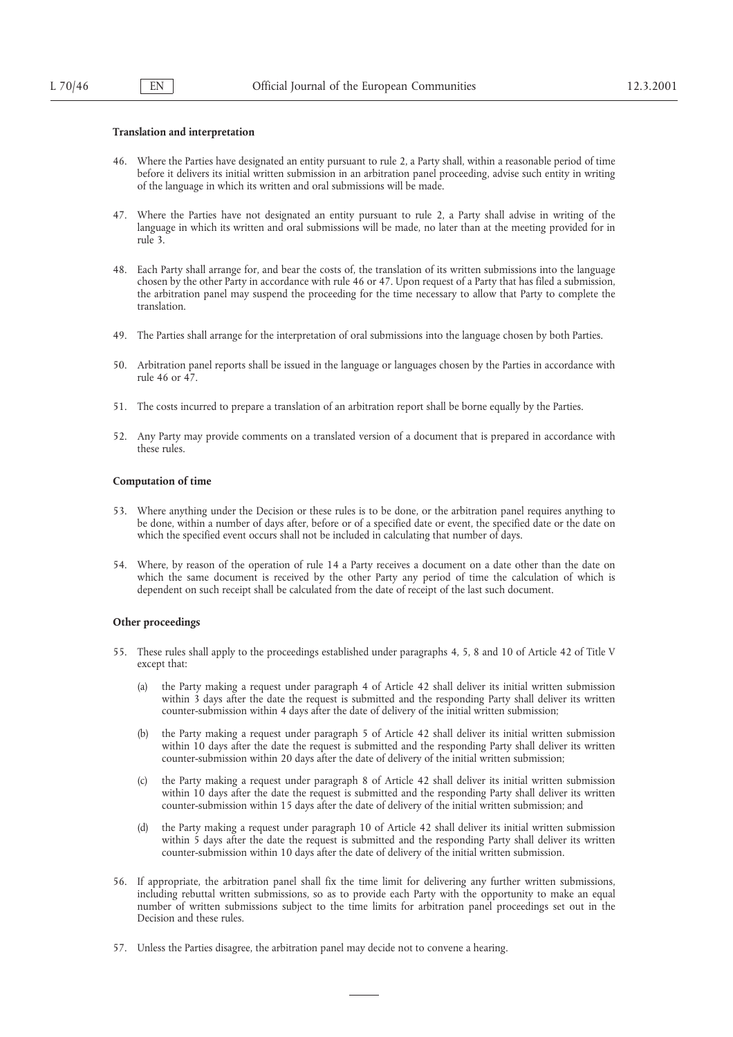## **Translation and interpretation**

- 46. Where the Parties have designated an entity pursuant to rule 2, a Party shall, within a reasonable period of time before it delivers its initial written submission in an arbitration panel proceeding, advise such entity in writing of the language in which its written and oral submissions will be made.
- 47. Where the Parties have not designated an entity pursuant to rule 2, a Party shall advise in writing of the language in which its written and oral submissions will be made, no later than at the meeting provided for in rule 3.
- 48. Each Party shall arrange for, and bear the costs of, the translation of its written submissions into the language chosen by the other Party in accordance with rule 46 or 47. Upon request of a Party that has filed a submission, the arbitration panel may suspend the proceeding for the time necessary to allow that Party to complete the translation.
- 49. The Parties shall arrange for the interpretation of oral submissions into the language chosen by both Parties.
- 50. Arbitration panel reports shall be issued in the language or languages chosen by the Parties in accordance with rule 46 or 47.
- 51. The costs incurred to prepare a translation of an arbitration report shall be borne equally by the Parties.
- 52. Any Party may provide comments on a translated version of a document that is prepared in accordance with these rules.

## **Computation of time**

- 53. Where anything under the Decision or these rules is to be done, or the arbitration panel requires anything to be done, within a number of days after, before or of a specified date or event, the specified date or the date on which the specified event occurs shall not be included in calculating that number of days.
- 54. Where, by reason of the operation of rule 14 a Party receives a document on a date other than the date on which the same document is received by the other Party any period of time the calculation of which is dependent on such receipt shall be calculated from the date of receipt of the last such document.

## **Other proceedings**

- 55. These rules shall apply to the proceedings established under paragraphs 4, 5, 8 and 10 of Article 42 of Title V except that:
	- (a) the Party making a request under paragraph 4 of Article 42 shall deliver its initial written submission within 3 days after the date the request is submitted and the responding Party shall deliver its written counter-submission within 4 days after the date of delivery of the initial written submission;
	- (b) the Party making a request under paragraph 5 of Article 42 shall deliver its initial written submission within 10 days after the date the request is submitted and the responding Party shall deliver its written counter-submission within 20 days after the date of delivery of the initial written submission;
	- (c) the Party making a request under paragraph 8 of Article 42 shall deliver its initial written submission within 10 days after the date the request is submitted and the responding Party shall deliver its written counter-submission within 15 days after the date of delivery of the initial written submission; and
	- (d) the Party making a request under paragraph 10 of Article 42 shall deliver its initial written submission within 5 days after the date the request is submitted and the responding Party shall deliver its written counter-submission within 10 days after the date of delivery of the initial written submission.
- 56. If appropriate, the arbitration panel shall fix the time limit for delivering any further written submissions, including rebuttal written submissions, so as to provide each Party with the opportunity to make an equal number of written submissions subject to the time limits for arbitration panel proceedings set out in the Decision and these rules.
- 57. Unless the Parties disagree, the arbitration panel may decide not to convene a hearing.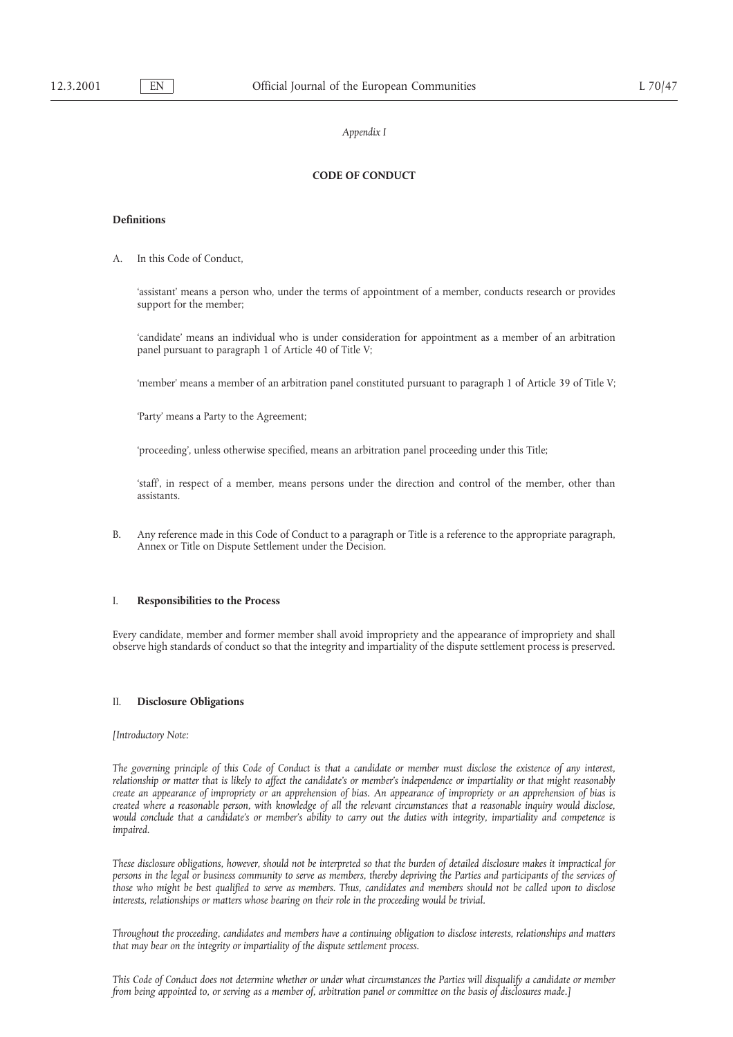# *Appendix I*

### **CODE OF CONDUCT**

### **Definitions**

A. In this Code of Conduct,

'assistant' means a person who, under the terms of appointment of a member, conducts research or provides support for the member;

'candidate' means an individual who is under consideration for appointment as a member of an arbitration panel pursuant to paragraph 1 of Article 40 of Title V;

'member' means a member of an arbitration panel constituted pursuant to paragraph 1 of Article 39 of Title V;

'Party' means a Party to the Agreement;

'proceeding', unless otherwise specified, means an arbitration panel proceeding under this Title;

'staff', in respect of a member, means persons under the direction and control of the member, other than assistants.

B. Any reference made in this Code of Conduct to a paragraph or Title is a reference to the appropriate paragraph, Annex or Title on Dispute Settlement under the Decision.

## I. **Responsibilities to the Process**

Every candidate, member and former member shall avoid impropriety and the appearance of impropriety and shall observe high standards of conduct so that the integrity and impartiality of the dispute settlement process is preserved.

### II. **Disclosure Obligations**

*[Introductory Note:*

*The governing principle of this Code of Conduct is that a candidate or member must disclose the existence of any interest, relationship or matter that is likely to affect the candidate's or member's independence or impartiality or that might reasonably create an appearance of impropriety or an apprehension of bias. An appearance of impropriety or an apprehension of bias is created where a reasonable person, with knowledge of all the relevant circumstances that a reasonable inquiry would disclose, would conclude that a candidate's or member's ability to carry out the duties with integrity, impartiality and competence is impaired.*

*These disclosure obligations, however, should not be interpreted so that the burden of detailed disclosure makes it impractical for persons in the legal or business community to serve as members, thereby depriving the Parties and participants of the services of those who might be best qualified to serve as members. Thus, candidates and members should not be called upon to disclose interests, relationships or matters whose bearing on their role in the proceeding would be trivial.*

*Throughout the proceeding, candidates and members have a continuing obligation to disclose interests, relationships and matters that may bear on the integrity or impartiality of the dispute settlement process.*

*This Code of Conduct does not determine whether or under what circumstances the Parties will disqualify a candidate or member from being appointed to, or serving as a member of, arbitration panel or committee on the basis of disclosures made.]*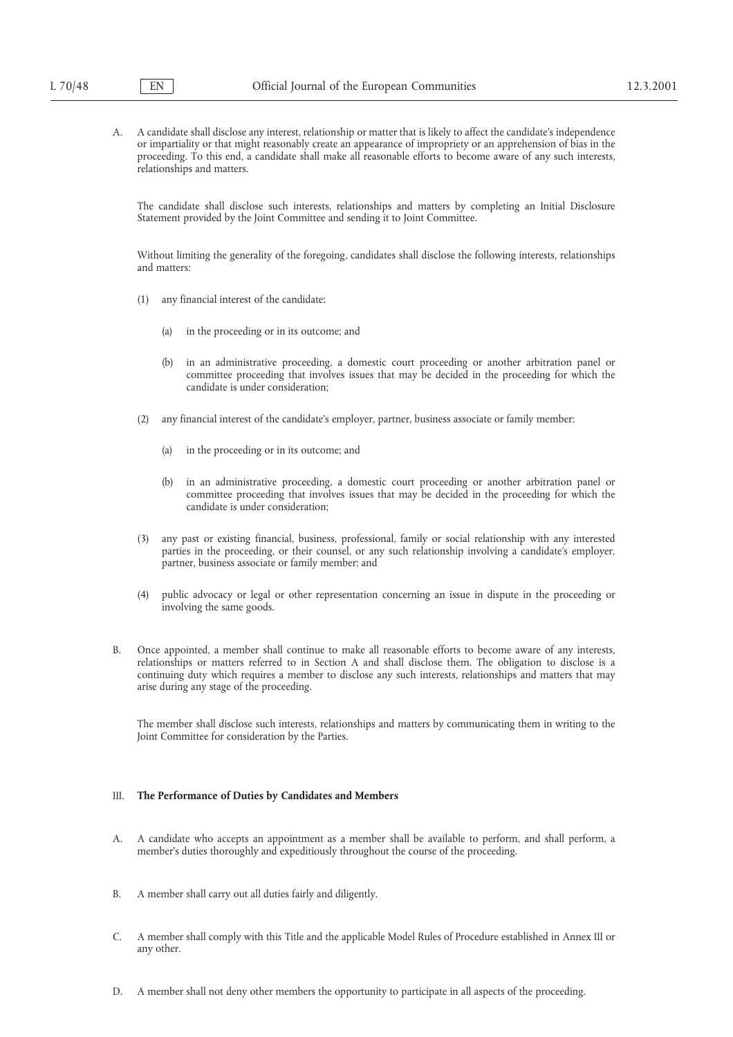A. A candidate shall disclose any interest, relationship or matter that is likely to affect the candidate's independence or impartiality or that might reasonably create an appearance of impropriety or an apprehension of bias in the proceeding. To this end, a candidate shall make all reasonable efforts to become aware of any such interests, relationships and matters.

The candidate shall disclose such interests, relationships and matters by completing an Initial Disclosure Statement provided by the Joint Committee and sending it to Joint Committee.

Without limiting the generality of the foregoing, candidates shall disclose the following interests, relationships and matters:

- (1) any financial interest of the candidate:
	- (a) in the proceeding or in its outcome; and
	- (b) in an administrative proceeding, a domestic court proceeding or another arbitration panel or committee proceeding that involves issues that may be decided in the proceeding for which the candidate is under consideration;
- (2) any financial interest of the candidate's employer, partner, business associate or family member:
	- (a) in the proceeding or in its outcome; and
	- (b) in an administrative proceeding, a domestic court proceeding or another arbitration panel or committee proceeding that involves issues that may be decided in the proceeding for which the candidate is under consideration;
- (3) any past or existing financial, business, professional, family or social relationship with any interested parties in the proceeding, or their counsel, or any such relationship involving a candidate's employer, partner, business associate or family member; and
- (4) public advocacy or legal or other representation concerning an issue in dispute in the proceeding or involving the same goods.
- B. Once appointed, a member shall continue to make all reasonable efforts to become aware of any interests, relationships or matters referred to in Section A and shall disclose them. The obligation to disclose is a continuing duty which requires a member to disclose any such interests, relationships and matters that may arise during any stage of the proceeding.

The member shall disclose such interests, relationships and matters by communicating them in writing to the Joint Committee for consideration by the Parties.

## III. **The Performance of Duties by Candidates and Members**

- A. A candidate who accepts an appointment as a member shall be available to perform, and shall perform, a member's duties thoroughly and expeditiously throughout the course of the proceeding.
- B. A member shall carry out all duties fairly and diligently.
- C. A member shall comply with this Title and the applicable Model Rules of Procedure established in Annex III or any other.
- D. A member shall not deny other members the opportunity to participate in all aspects of the proceeding.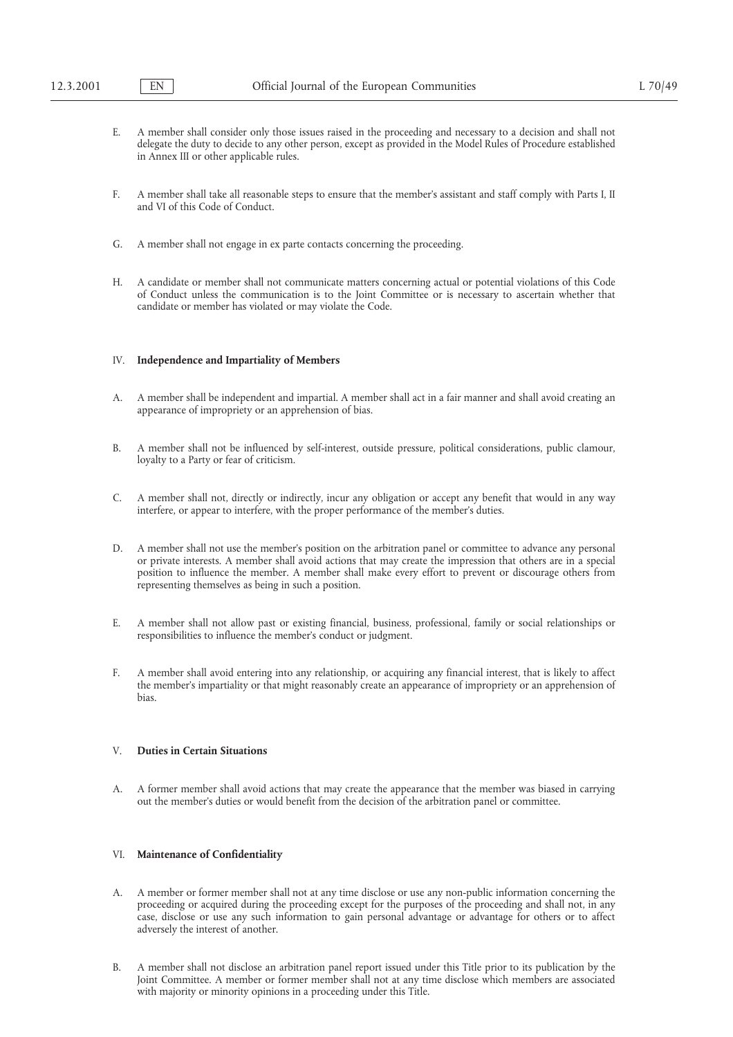- E. A member shall consider only those issues raised in the proceeding and necessary to a decision and shall not delegate the duty to decide to any other person, except as provided in the Model Rules of Procedure established in Annex III or other applicable rules.
- F. A member shall take all reasonable steps to ensure that the member's assistant and staff comply with Parts I, II and VI of this Code of Conduct.
- G. A member shall not engage in ex parte contacts concerning the proceeding.
- H. A candidate or member shall not communicate matters concerning actual or potential violations of this Code of Conduct unless the communication is to the Joint Committee or is necessary to ascertain whether that candidate or member has violated or may violate the Code.

## IV. **Independence and Impartiality of Members**

- A. A member shall be independent and impartial. A member shall act in a fair manner and shall avoid creating an appearance of impropriety or an apprehension of bias.
- B. A member shall not be influenced by self-interest, outside pressure, political considerations, public clamour, loyalty to a Party or fear of criticism.
- C. A member shall not, directly or indirectly, incur any obligation or accept any benefit that would in any way interfere, or appear to interfere, with the proper performance of the member's duties.
- D. A member shall not use the member's position on the arbitration panel or committee to advance any personal or private interests. A member shall avoid actions that may create the impression that others are in a special position to influence the member. A member shall make every effort to prevent or discourage others from representing themselves as being in such a position.
- E. A member shall not allow past or existing financial, business, professional, family or social relationships or responsibilities to influence the member's conduct or judgment.
- F. A member shall avoid entering into any relationship, or acquiring any financial interest, that is likely to affect the member's impartiality or that might reasonably create an appearance of impropriety or an apprehension of bias.

# V. **Duties in Certain Situations**

A. A former member shall avoid actions that may create the appearance that the member was biased in carrying out the member's duties or would benefit from the decision of the arbitration panel or committee.

# VI. **Maintenance of Confidentiality**

- A. A member or former member shall not at any time disclose or use any non-public information concerning the proceeding or acquired during the proceeding except for the purposes of the proceeding and shall not, in any case, disclose or use any such information to gain personal advantage or advantage for others or to affect adversely the interest of another.
- B. A member shall not disclose an arbitration panel report issued under this Title prior to its publication by the Joint Committee. A member or former member shall not at any time disclose which members are associated with majority or minority opinions in a proceeding under this Title.